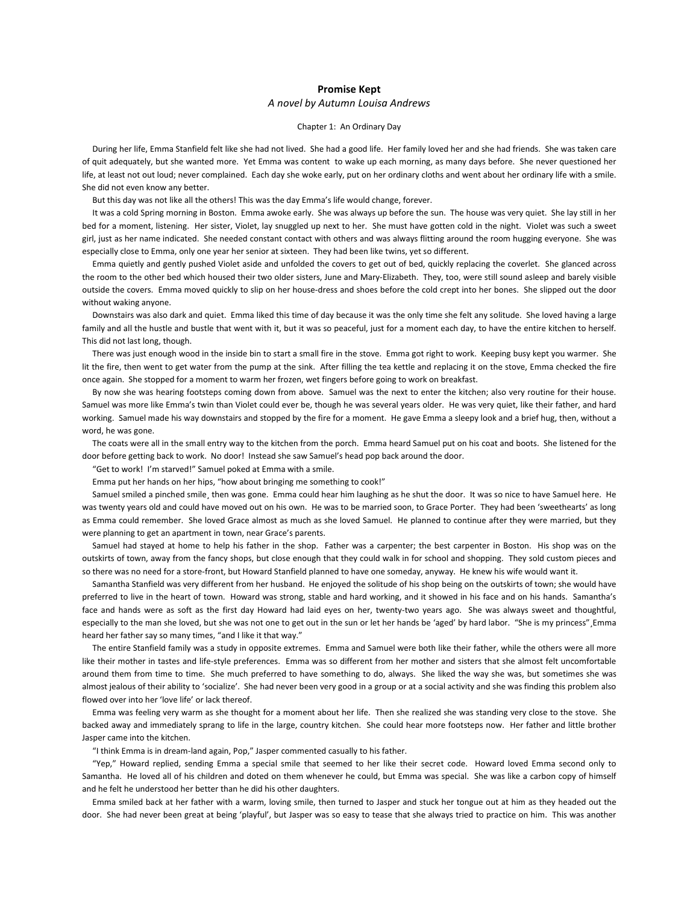# **Promise Kept**

# *A novel by Autumn Louisa Andrews*

## Chapter 1: An Ordinary Day

 During her life, Emma Stanfield felt like she had not lived. She had a good life. Her family loved her and she had friends. She was taken care of quit adequately, but she wanted more. Yet Emma was content to wake up each morning, as many days before. She never questioned her life, at least not out loud; never complained. Each day she woke early, put on her ordinary cloths and went about her ordinary life with a smile. She did not even know any better.

But this day was not like all the others! This was the day Emma's life would change, forever.

 It was a cold Spring morning in Boston. Emma awoke early. She was always up before the sun. The house was very quiet. She lay still in her bed for a moment, listening. Her sister, Violet, lay snuggled up next to her. She must have gotten cold in the night. Violet was such a sweet girl, just as her name indicated. She needed constant contact with others and was always flitting around the room hugging everyone. She was especially close to Emma, only one year her senior at sixteen. They had been like twins, yet so different.

 Emma quietly and gently pushed Violet aside and unfolded the covers to get out of bed, quickly replacing the coverlet. She glanced across the room to the other bed which housed their two older sisters, June and Mary-Elizabeth. They, too, were still sound asleep and barely visible outside the covers. Emma moved quickly to slip on her house-dress and shoes before the cold crept into her bones. She slipped out the door without waking anyone.

 Downstairs was also dark and quiet. Emma liked this time of day because it was the only time she felt any solitude. She loved having a large family and all the hustle and bustle that went with it, but it was so peaceful, just for a moment each day, to have the entire kitchen to herself. This did not last long, though.

 There was just enough wood in the inside bin to start a small fire in the stove. Emma got right to work. Keeping busy kept you warmer. She lit the fire, then went to get water from the pump at the sink. After filling the tea kettle and replacing it on the stove, Emma checked the fire once again. She stopped for a moment to warm her frozen, wet fingers before going to work on breakfast.

 By now she was hearing footsteps coming down from above. Samuel was the next to enter the kitchen; also very routine for their house. Samuel was more like Emma's twin than Violet could ever be, though he was several years older. He was very quiet, like their father, and hard working. Samuel made his way downstairs and stopped by the fire for a moment. He gave Emma a sleepy look and a brief hug, then, without a word, he was gone.

 The coats were all in the small entry way to the kitchen from the porch. Emma heard Samuel put on his coat and boots. She listened for the door before getting back to work. No door! Instead she saw Samuel's head pop back around the door.

"Get to work! I'm starved!" Samuel poked at Emma with a smile.

Emma put her hands on her hips, "how about bringing me something to cook!"

 Samuel smiled a pinched smile¸ then was gone. Emma could hear him laughing as he shut the door. It was so nice to have Samuel here. He was twenty years old and could have moved out on his own. He was to be married soon, to Grace Porter. They had been 'sweethearts' as long as Emma could remember. She loved Grace almost as much as she loved Samuel. He planned to continue after they were married, but they were planning to get an apartment in town, near Grace's parents.

 Samuel had stayed at home to help his father in the shop. Father was a carpenter; the best carpenter in Boston. His shop was on the outskirts of town, away from the fancy shops, but close enough that they could walk in for school and shopping. They sold custom pieces and so there was no need for a store-front, but Howard Stanfield planned to have one someday, anyway. He knew his wife would want it.

 Samantha Stanfield was very different from her husband. He enjoyed the solitude of his shop being on the outskirts of town; she would have preferred to live in the heart of town. Howard was strong, stable and hard working, and it showed in his face and on his hands. Samantha's face and hands were as soft as the first day Howard had laid eyes on her, twenty-two years ago. She was always sweet and thoughtful, especially to the man she loved, but she was not one to get out in the sun or let her hands be 'aged' by hard labor. "She is my princess"¸Emma heard her father say so many times, "and I like it that way."

 The entire Stanfield family was a study in opposite extremes. Emma and Samuel were both like their father, while the others were all more like their mother in tastes and life-style preferences. Emma was so different from her mother and sisters that she almost felt uncomfortable around them from time to time. She much preferred to have something to do, always. She liked the way she was, but sometimes she was almost jealous of their ability to 'socialize'. She had never been very good in a group or at a social activity and she was finding this problem also flowed over into her 'love life' or lack thereof.

 Emma was feeling very warm as she thought for a moment about her life. Then she realized she was standing very close to the stove. She backed away and immediately sprang to life in the large, country kitchen. She could hear more footsteps now. Her father and little brother Jasper came into the kitchen.

"I think Emma is in dream-land again, Pop," Jasper commented casually to his father.

 "Yep," Howard replied, sending Emma a special smile that seemed to her like their secret code. Howard loved Emma second only to Samantha. He loved all of his children and doted on them whenever he could, but Emma was special. She was like a carbon copy of himself and he felt he understood her better than he did his other daughters.

 Emma smiled back at her father with a warm, loving smile, then turned to Jasper and stuck her tongue out at him as they headed out the door. She had never been great at being 'playful', but Jasper was so easy to tease that she always tried to practice on him. This was another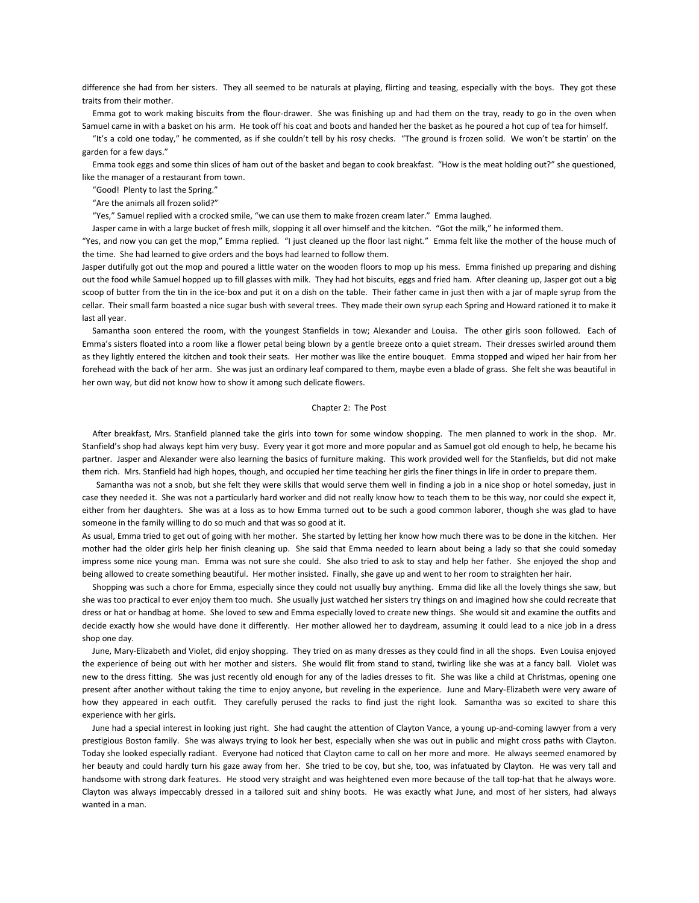difference she had from her sisters. They all seemed to be naturals at playing, flirting and teasing, especially with the boys. They got these traits from their mother.

 Emma got to work making biscuits from the flour-drawer. She was finishing up and had them on the tray, ready to go in the oven when Samuel came in with a basket on his arm. He took off his coat and boots and handed her the basket as he poured a hot cup of tea for himself.

 "It's a cold one today," he commented, as if she couldn't tell by his rosy checks. "The ground is frozen solid. We won't be startin' on the garden for a few days."

 Emma took eggs and some thin slices of ham out of the basket and began to cook breakfast. "How is the meat holding out?" she questioned, like the manager of a restaurant from town.

"Good! Plenty to last the Spring."

"Are the animals all frozen solid?"

"Yes," Samuel replied with a crocked smile, "we can use them to make frozen cream later." Emma laughed.

Jasper came in with a large bucket of fresh milk, slopping it all over himself and the kitchen. "Got the milk," he informed them.

"Yes, and now you can get the mop," Emma replied. "I just cleaned up the floor last night." Emma felt like the mother of the house much of the time. She had learned to give orders and the boys had learned to follow them.

Jasper dutifully got out the mop and poured a little water on the wooden floors to mop up his mess. Emma finished up preparing and dishing out the food while Samuel hopped up to fill glasses with milk. They had hot biscuits, eggs and fried ham. After cleaning up, Jasper got out a big scoop of butter from the tin in the ice-box and put it on a dish on the table. Their father came in just then with a jar of maple syrup from the cellar. Their small farm boasted a nice sugar bush with several trees. They made their own syrup each Spring and Howard rationed it to make it last all year.

 Samantha soon entered the room, with the youngest Stanfields in tow; Alexander and Louisa. The other girls soon followed. Each of Emma's sisters floated into a room like a flower petal being blown by a gentle breeze onto a quiet stream. Their dresses swirled around them as they lightly entered the kitchen and took their seats. Her mother was like the entire bouquet. Emma stopped and wiped her hair from her forehead with the back of her arm. She was just an ordinary leaf compared to them, maybe even a blade of grass. She felt she was beautiful in her own way, but did not know how to show it among such delicate flowers.

#### Chapter 2: The Post

 After breakfast, Mrs. Stanfield planned take the girls into town for some window shopping. The men planned to work in the shop. Mr. Stanfield's shop had always kept him very busy. Every year it got more and more popular and as Samuel got old enough to help, he became his partner. Jasper and Alexander were also learning the basics of furniture making. This work provided well for the Stanfields, but did not make them rich. Mrs. Stanfield had high hopes, though, and occupied her time teaching her girls the finer things in life in order to prepare them.

 Samantha was not a snob, but she felt they were skills that would serve them well in finding a job in a nice shop or hotel someday, just in case they needed it. She was not a particularly hard worker and did not really know how to teach them to be this way, nor could she expect it, either from her daughters. She was at a loss as to how Emma turned out to be such a good common laborer, though she was glad to have someone in the family willing to do so much and that was so good at it.

As usual, Emma tried to get out of going with her mother. She started by letting her know how much there was to be done in the kitchen. Her mother had the older girls help her finish cleaning up. She said that Emma needed to learn about being a lady so that she could someday impress some nice young man. Emma was not sure she could. She also tried to ask to stay and help her father. She enjoyed the shop and being allowed to create something beautiful. Her mother insisted. Finally, she gave up and went to her room to straighten her hair.

 Shopping was such a chore for Emma, especially since they could not usually buy anything. Emma did like all the lovely things she saw, but she was too practical to ever enjoy them too much. She usually just watched her sisters try things on and imagined how she could recreate that dress or hat or handbag at home. She loved to sew and Emma especially loved to create new things. She would sit and examine the outfits and decide exactly how she would have done it differently. Her mother allowed her to daydream, assuming it could lead to a nice job in a dress shop one day.

 June, Mary-Elizabeth and Violet, did enjoy shopping. They tried on as many dresses as they could find in all the shops. Even Louisa enjoyed the experience of being out with her mother and sisters. She would flit from stand to stand, twirling like she was at a fancy ball. Violet was new to the dress fitting. She was just recently old enough for any of the ladies dresses to fit. She was like a child at Christmas, opening one present after another without taking the time to enjoy anyone, but reveling in the experience. June and Mary-Elizabeth were very aware of how they appeared in each outfit. They carefully perused the racks to find just the right look. Samantha was so excited to share this experience with her girls.

 June had a special interest in looking just right. She had caught the attention of Clayton Vance, a young up-and-coming lawyer from a very prestigious Boston family. She was always trying to look her best, especially when she was out in public and might cross paths with Clayton. Today she looked especially radiant. Everyone had noticed that Clayton came to call on her more and more. He always seemed enamored by her beauty and could hardly turn his gaze away from her. She tried to be coy, but she, too, was infatuated by Clayton. He was very tall and handsome with strong dark features. He stood very straight and was heightened even more because of the tall top-hat that he always wore. Clayton was always impeccably dressed in a tailored suit and shiny boots. He was exactly what June, and most of her sisters, had always wanted in a man.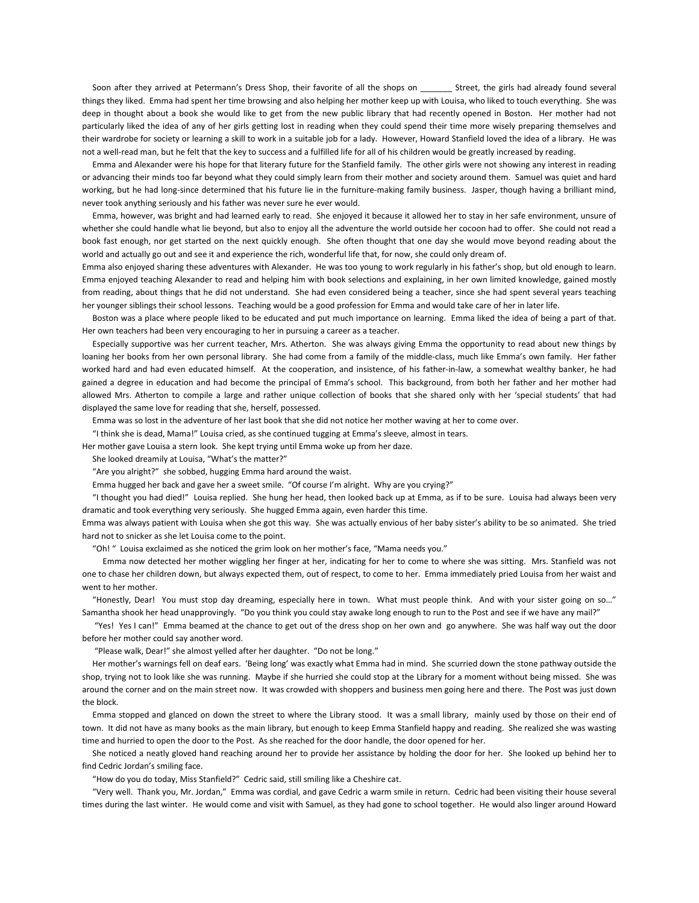Soon after they arrived at Petermann's Dress Shop, their favorite of all the shops on Street, the girls had already found several things they liked. Emma had spent her time browsing and also helping her mother keep up with Louisa, who liked to touch everything. She was deep in thought about a book she would like to get from the new public library that had recently opened in Boston. Her mother had not particularly liked the idea of any of her girls getting lost in reading when they could spend their time more wisely preparing themselves and their wardrobe for society or learning a skill to work in a suitable job for a lady. However, Howard Stanfield loved the idea of a library. He was not a well-read man, but he felt that the key to success and a fulfilled life for all of his children would be greatly increased by reading.

 Emma and Alexander were his hope for that literary future for the Stanfield family. The other girls were not showing any interest in reading or advancing their minds too far beyond what they could simply learn from their mother and society around them. Samuel was quiet and hard working, but he had long-since determined that his future lie in the furniture-making family business. Jasper, though having a brilliant mind, never took anything seriously and his father was never sure he ever would.

 Emma, however, was bright and had learned early to read. She enjoyed it because it allowed her to stay in her safe environment, unsure of whether she could handle what lie beyond, but also to enjoy all the adventure the world outside her cocoon had to offer. She could not read a book fast enough, nor get started on the next quickly enough. She often thought that one day she would move beyond reading about the world and actually go out and see it and experience the rich, wonderful life that, for now, she could only dream of.

Emma also enjoyed sharing these adventures with Alexander. He was too young to work regularly in his father's shop, but old enough to learn. Emma enjoyed teaching Alexander to read and helping him with book selections and explaining, in her own limited knowledge, gained mostly from reading, about things that he did not understand. She had even considered being a teacher, since she had spent several years teaching her younger siblings their school lessons. Teaching would be a good profession for Emma and would take care of her in later life.

 Boston was a place where people liked to be educated and put much importance on learning. Emma liked the idea of being a part of that. Her own teachers had been very encouraging to her in pursuing a career as a teacher.

 Especially supportive was her current teacher, Mrs. Atherton. She was always giving Emma the opportunity to read about new things by loaning her books from her own personal library. She had come from a family of the middle-class, much like Emma's own family. Her father worked hard and had even educated himself. At the cooperation, and insistence, of his father-in-law, a somewhat wealthy banker, he had gained a degree in education and had become the principal of Emma's school. This background, from both her father and her mother had allowed Mrs. Atherton to compile a large and rather unique collection of books that she shared only with her 'special students' that had displayed the same love for reading that she, herself, possessed.

Emma was so lost in the adventure of her last book that she did not notice her mother waving at her to come over.

"I think she is dead, Mama!" Louisa cried, as she continued tugging at Emma's sleeve, almost in tears.

Her mother gave Louisa a stern look. She kept trying until Emma woke up from her daze.

She looked dreamily at Louisa, "What's the matter?"

"Are you alright?" she sobbed, hugging Emma hard around the waist.

Emma hugged her back and gave her a sweet smile. "Of course I'm alright. Why are you crying?"

 "I thought you had died!" Louisa replied. She hung her head, then looked back up at Emma, as if to be sure. Louisa had always been very dramatic and took everything very seriously. She hugged Emma again, even harder this time.

Emma was always patient with Louisa when she got this way. She was actually envious of her baby sister's ability to be so animated. She tried hard not to snicker as she let Louisa come to the point.

"Oh! " Louisa exclaimed as she noticed the grim look on her mother's face, "Mama needs you."

 Emma now detected her mother wiggling her finger at her, indicating for her to come to where she was sitting. Mrs. Stanfield was not one to chase her children down, but always expected them, out of respect, to come to her. Emma immediately pried Louisa from her waist and went to her mother.

 "Honestly, Dear! You must stop day dreaming, especially here in town. What must people think. And with your sister going on so…" Samantha shook her head unapprovingly. "Do you think you could stay awake long enough to run to the Post and see if we have any mail?"

 "Yes! Yes I can!" Emma beamed at the chance to get out of the dress shop on her own and go anywhere. She was half way out the door before her mother could say another word.

"Please walk, Dear!" she almost yelled after her daughter. "Do not be long."

 Her mother's warnings fell on deaf ears. 'Being long' was exactly what Emma had in mind. She scurried down the stone pathway outside the shop, trying not to look like she was running. Maybe if she hurried she could stop at the Library for a moment without being missed. She was around the corner and on the main street now. It was crowded with shoppers and business men going here and there. The Post was just down the block.

 Emma stopped and glanced on down the street to where the Library stood. It was a small library, mainly used by those on their end of town. It did not have as many books as the main library, but enough to keep Emma Stanfield happy and reading. She realized she was wasting time and hurried to open the door to the Post. As she reached for the door handle, the door opened for her.

 She noticed a neatly gloved hand reaching around her to provide her assistance by holding the door for her. She looked up behind her to find Cedric Jordan's smiling face.

"How do you do today, Miss Stanfield?" Cedric said, still smiling like a Cheshire cat.

 "Very well. Thank you, Mr. Jordan," Emma was cordial, and gave Cedric a warm smile in return. Cedric had been visiting their house several times during the last winter. He would come and visit with Samuel, as they had gone to school together. He would also linger around Howard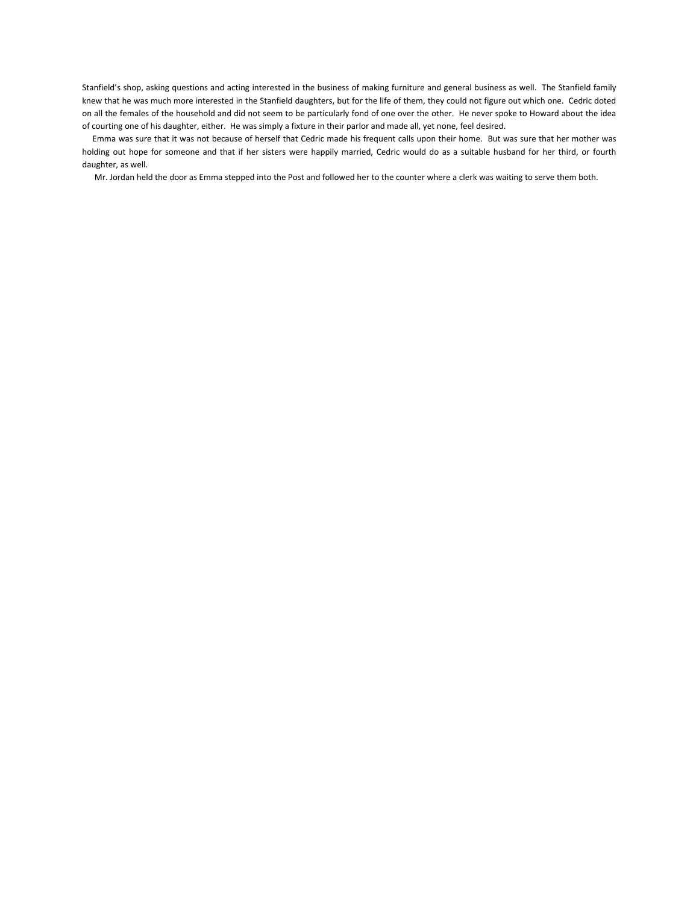Stanfield's shop, asking questions and acting interested in the business of making furniture and general business as well. The Stanfield family knew that he was much more interested in the Stanfield daughters, but for the life of them, they could not figure out which one. Cedric doted on all the females of the household and did not seem to be particularly fond of one over the other. He never spoke to Howard about the idea of courting one of his daughter, either. He was simply a fixture in their parlor and made all, yet none, feel desired.

 Emma was sure that it was not because of herself that Cedric made his frequent calls upon their home. But was sure that her mother was holding out hope for someone and that if her sisters were happily married, Cedric would do as a suitable husband for her third, or fourth daughter, as well.

Mr. Jordan held the door as Emma stepped into the Post and followed her to the counter where a clerk was waiting to serve them both.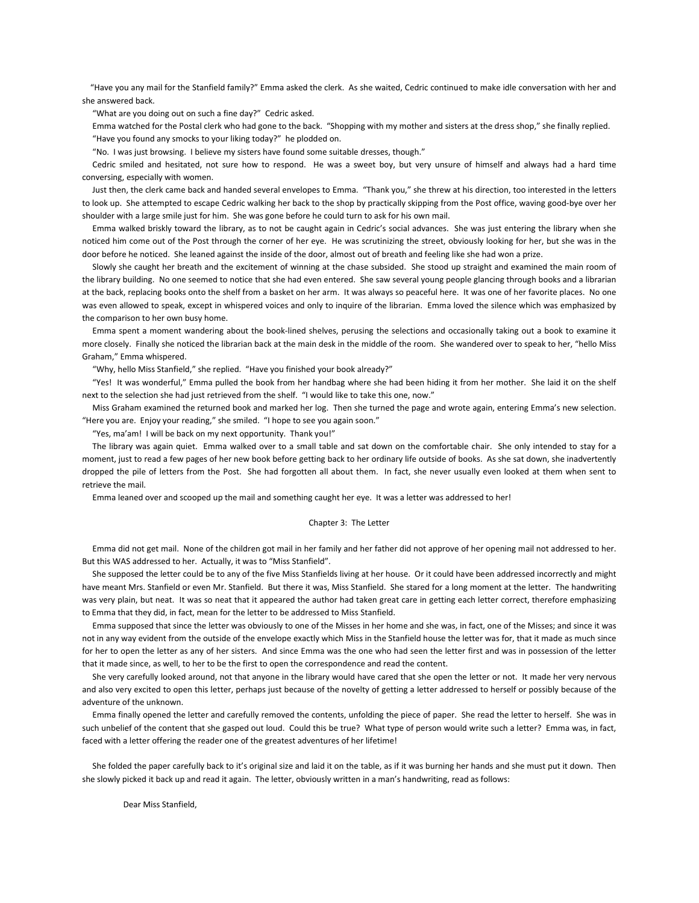"Have you any mail for the Stanfield family?" Emma asked the clerk. As she waited, Cedric continued to make idle conversation with her and she answered back.

"What are you doing out on such a fine day?" Cedric asked.

 Emma watched for the Postal clerk who had gone to the back. "Shopping with my mother and sisters at the dress shop," she finally replied. "Have you found any smocks to your liking today?" he plodded on.

"No. I was just browsing. I believe my sisters have found some suitable dresses, though."

 Cedric smiled and hesitated, not sure how to respond. He was a sweet boy, but very unsure of himself and always had a hard time conversing, especially with women.

 Just then, the clerk came back and handed several envelopes to Emma. "Thank you," she threw at his direction, too interested in the letters to look up. She attempted to escape Cedric walking her back to the shop by practically skipping from the Post office, waving good-bye over her shoulder with a large smile just for him. She was gone before he could turn to ask for his own mail.

 Emma walked briskly toward the library, as to not be caught again in Cedric's social advances. She was just entering the library when she noticed him come out of the Post through the corner of her eye. He was scrutinizing the street, obviously looking for her, but she was in the door before he noticed. She leaned against the inside of the door, almost out of breath and feeling like she had won a prize.

 Slowly she caught her breath and the excitement of winning at the chase subsided. She stood up straight and examined the main room of the library building. No one seemed to notice that she had even entered. She saw several young people glancing through books and a librarian at the back, replacing books onto the shelf from a basket on her arm. It was always so peaceful here. It was one of her favorite places. No one was even allowed to speak, except in whispered voices and only to inquire of the librarian. Emma loved the silence which was emphasized by the comparison to her own busy home.

 Emma spent a moment wandering about the book-lined shelves, perusing the selections and occasionally taking out a book to examine it more closely. Finally she noticed the librarian back at the main desk in the middle of the room. She wandered over to speak to her, "hello Miss Graham," Emma whispered.

"Why, hello Miss Stanfield," she replied. "Have you finished your book already?"

 "Yes! It was wonderful," Emma pulled the book from her handbag where she had been hiding it from her mother. She laid it on the shelf next to the selection she had just retrieved from the shelf. "I would like to take this one, now."

 Miss Graham examined the returned book and marked her log. Then she turned the page and wrote again, entering Emma's new selection. "Here you are. Enjoy your reading," she smiled. "I hope to see you again soon."

"Yes, ma'am! I will be back on my next opportunity. Thank you!"

 The library was again quiet. Emma walked over to a small table and sat down on the comfortable chair. She only intended to stay for a moment, just to read a few pages of her new book before getting back to her ordinary life outside of books. As she sat down, she inadvertently dropped the pile of letters from the Post. She had forgotten all about them. In fact, she never usually even looked at them when sent to retrieve the mail.

Emma leaned over and scooped up the mail and something caught her eye. It was a letter was addressed to her!

#### Chapter 3: The Letter

 Emma did not get mail. None of the children got mail in her family and her father did not approve of her opening mail not addressed to her. But this WAS addressed to her. Actually, it was to "Miss Stanfield".

 She supposed the letter could be to any of the five Miss Stanfields living at her house. Or it could have been addressed incorrectly and might have meant Mrs. Stanfield or even Mr. Stanfield. But there it was, Miss Stanfield. She stared for a long moment at the letter. The handwriting was very plain, but neat. It was so neat that it appeared the author had taken great care in getting each letter correct, therefore emphasizing to Emma that they did, in fact, mean for the letter to be addressed to Miss Stanfield.

 Emma supposed that since the letter was obviously to one of the Misses in her home and she was, in fact, one of the Misses; and since it was not in any way evident from the outside of the envelope exactly which Miss in the Stanfield house the letter was for, that it made as much since for her to open the letter as any of her sisters. And since Emma was the one who had seen the letter first and was in possession of the letter that it made since, as well, to her to be the first to open the correspondence and read the content.

 She very carefully looked around, not that anyone in the library would have cared that she open the letter or not. It made her very nervous and also very excited to open this letter, perhaps just because of the novelty of getting a letter addressed to herself or possibly because of the adventure of the unknown.

 Emma finally opened the letter and carefully removed the contents, unfolding the piece of paper. She read the letter to herself. She was in such unbelief of the content that she gasped out loud. Could this be true? What type of person would write such a letter? Emma was, in fact, faced with a letter offering the reader one of the greatest adventures of her lifetime!

 She folded the paper carefully back to it's original size and laid it on the table, as if it was burning her hands and she must put it down. Then she slowly picked it back up and read it again. The letter, obviously written in a man's handwriting, read as follows:

Dear Miss Stanfield,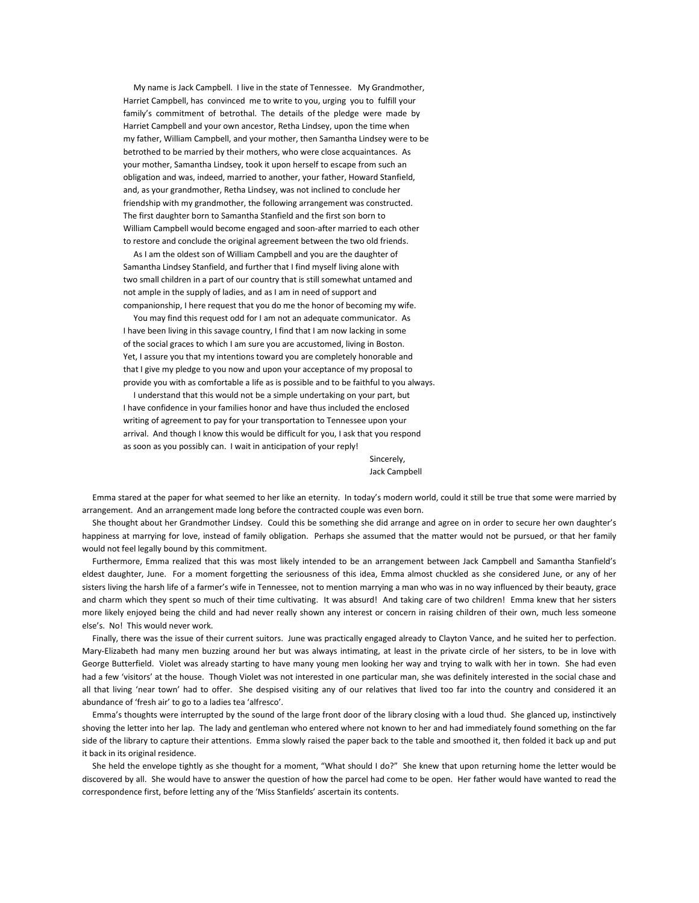My name is Jack Campbell. I live in the state of Tennessee. My Grandmother, Harriet Campbell, has convinced me to write to you, urging you to fulfill your family's commitment of betrothal. The details of the pledge were made by Harriet Campbell and your own ancestor, Retha Lindsey, upon the time when my father, William Campbell, and your mother, then Samantha Lindsey were to be betrothed to be married by their mothers, who were close acquaintances. As your mother, Samantha Lindsey, took it upon herself to escape from such an obligation and was, indeed, married to another, your father, Howard Stanfield, and, as your grandmother, Retha Lindsey, was not inclined to conclude her friendship with my grandmother, the following arrangement was constructed. The first daughter born to Samantha Stanfield and the first son born to William Campbell would become engaged and soon-after married to each other to restore and conclude the original agreement between the two old friends.

 As I am the oldest son of William Campbell and you are the daughter of Samantha Lindsey Stanfield, and further that I find myself living alone with two small children in a part of our country that is still somewhat untamed and not ample in the supply of ladies, and as I am in need of support and companionship, I here request that you do me the honor of becoming my wife.

 You may find this request odd for I am not an adequate communicator. As I have been living in this savage country, I find that I am now lacking in some of the social graces to which I am sure you are accustomed, living in Boston. Yet, I assure you that my intentions toward you are completely honorable and that I give my pledge to you now and upon your acceptance of my proposal to provide you with as comfortable a life as is possible and to be faithful to you always.

 I understand that this would not be a simple undertaking on your part, but I have confidence in your families honor and have thus included the enclosed writing of agreement to pay for your transportation to Tennessee upon your arrival. And though I know this would be difficult for you, I ask that you respond as soon as you possibly can. I wait in anticipation of your reply!

**Sincerely, the Sincerely, the Sincerely, and Sincerely, and Sincerely, and Sincerely, and Sincerely, and Sincerely, and Sincerely, and Sincerely, and Sincerely, and Sincerely, and Sincerely, and Sincerely, and Sincerely,** Jack Campbell

 Emma stared at the paper for what seemed to her like an eternity. In today's modern world, could it still be true that some were married by arrangement. And an arrangement made long before the contracted couple was even born.

 She thought about her Grandmother Lindsey. Could this be something she did arrange and agree on in order to secure her own daughter's happiness at marrying for love, instead of family obligation. Perhaps she assumed that the matter would not be pursued, or that her family would not feel legally bound by this commitment.

 Furthermore, Emma realized that this was most likely intended to be an arrangement between Jack Campbell and Samantha Stanfield's eldest daughter, June. For a moment forgetting the seriousness of this idea, Emma almost chuckled as she considered June, or any of her sisters living the harsh life of a farmer's wife in Tennessee, not to mention marrying a man who was in no way influenced by their beauty, grace and charm which they spent so much of their time cultivating. It was absurd! And taking care of two children! Emma knew that her sisters more likely enjoyed being the child and had never really shown any interest or concern in raising children of their own, much less someone else's. No! This would never work.

 Finally, there was the issue of their current suitors. June was practically engaged already to Clayton Vance, and he suited her to perfection. Mary-Elizabeth had many men buzzing around her but was always intimating, at least in the private circle of her sisters, to be in love with George Butterfield. Violet was already starting to have many young men looking her way and trying to walk with her in town. She had even had a few 'visitors' at the house. Though Violet was not interested in one particular man, she was definitely interested in the social chase and all that living 'near town' had to offer. She despised visiting any of our relatives that lived too far into the country and considered it an abundance of 'fresh air' to go to a ladies tea 'alfresco'.

 Emma's thoughts were interrupted by the sound of the large front door of the library closing with a loud thud. She glanced up, instinctively shoving the letter into her lap. The lady and gentleman who entered where not known to her and had immediately found something on the far side of the library to capture their attentions. Emma slowly raised the paper back to the table and smoothed it, then folded it back up and put it back in its original residence.

 She held the envelope tightly as she thought for a moment, "What should I do?" She knew that upon returning home the letter would be discovered by all. She would have to answer the question of how the parcel had come to be open. Her father would have wanted to read the correspondence first, before letting any of the 'Miss Stanfields' ascertain its contents.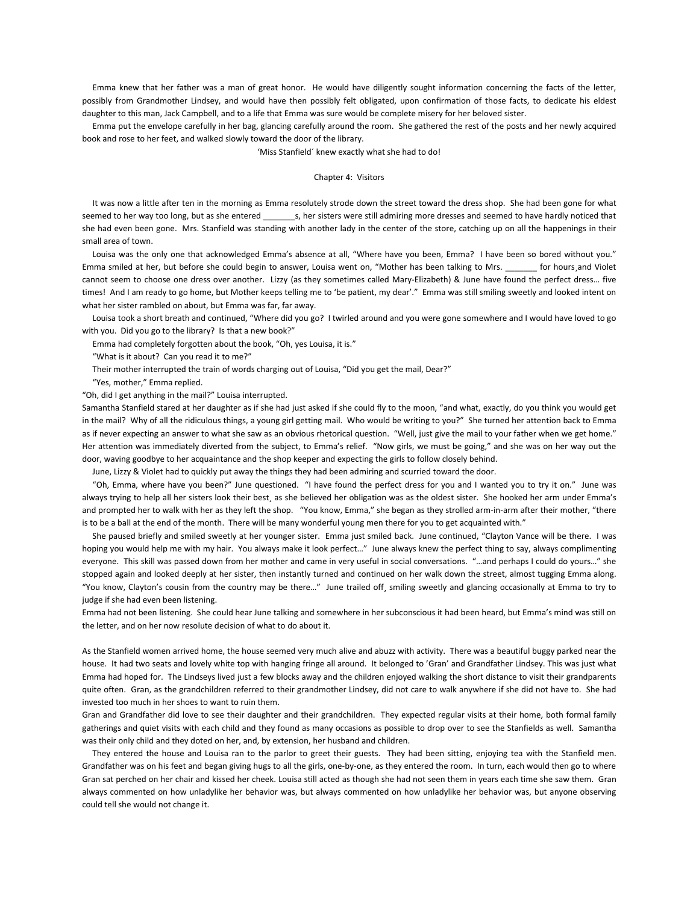Emma knew that her father was a man of great honor. He would have diligently sought information concerning the facts of the letter, possibly from Grandmother Lindsey, and would have then possibly felt obligated, upon confirmation of those facts, to dedicate his eldest daughter to this man, Jack Campbell, and to a life that Emma was sure would be complete misery for her beloved sister.

 Emma put the envelope carefully in her bag, glancing carefully around the room. She gathered the rest of the posts and her newly acquired book and rose to her feet, and walked slowly toward the door of the library.

'Miss Stanfield´ knew exactly what she had to do!

## Chapter 4: Visitors

 It was now a little after ten in the morning as Emma resolutely strode down the street toward the dress shop. She had been gone for what seemed to her way too long, but as she entered s, her sisters were still admiring more dresses and seemed to have hardly noticed that she had even been gone. Mrs. Stanfield was standing with another lady in the center of the store, catching up on all the happenings in their small area of town.

 Louisa was the only one that acknowledged Emma's absence at all, "Where have you been, Emma? I have been so bored without you." Emma smiled at her, but before she could begin to answer, Louisa went on, "Mother has been talking to Mrs. \_\_\_\_\_\_\_ for hours¸and Violet cannot seem to choose one dress over another. Lizzy (as they sometimes called Mary-Elizabeth) & June have found the perfect dress… five times! And I am ready to go home, but Mother keeps telling me to 'be patient, my dear'." Emma was still smiling sweetly and looked intent on what her sister rambled on about, but Emma was far, far away.

 Louisa took a short breath and continued, "Where did you go? I twirled around and you were gone somewhere and I would have loved to go with you. Did you go to the library? Is that a new book?"

Emma had completely forgotten about the book, "Oh, yes Louisa, it is."

"What is it about? Can you read it to me?"

Their mother interrupted the train of words charging out of Louisa, "Did you get the mail, Dear?"

"Yes, mother," Emma replied.

"Oh, did I get anything in the mail?" Louisa interrupted.

Samantha Stanfield stared at her daughter as if she had just asked if she could fly to the moon, "and what, exactly, do you think you would get in the mail? Why of all the ridiculous things, a young girl getting mail. Who would be writing to you?" She turned her attention back to Emma as if never expecting an answer to what she saw as an obvious rhetorical question. "Well, just give the mail to your father when we get home." Her attention was immediately diverted from the subject, to Emma's relief. "Now girls, we must be going," and she was on her way out the door, waving goodbye to her acquaintance and the shop keeper and expecting the girls to follow closely behind.

June, Lizzy & Violet had to quickly put away the things they had been admiring and scurried toward the door.

 "Oh, Emma, where have you been?" June questioned. "I have found the perfect dress for you and I wanted you to try it on." June was always trying to help all her sisters look their best, as she believed her obligation was as the oldest sister. She hooked her arm under Emma's and prompted her to walk with her as they left the shop. "You know, Emma," she began as they strolled arm-in-arm after their mother, "there is to be a ball at the end of the month. There will be many wonderful young men there for you to get acquainted with."

 She paused briefly and smiled sweetly at her younger sister. Emma just smiled back. June continued, "Clayton Vance will be there. I was hoping you would help me with my hair. You always make it look perfect…" June always knew the perfect thing to say, always complimenting everyone. This skill was passed down from her mother and came in very useful in social conversations. "…and perhaps I could do yours…" she stopped again and looked deeply at her sister, then instantly turned and continued on her walk down the street, almost tugging Emma along. "You know, Clayton's cousin from the country may be there…" June trailed off¸ smiling sweetly and glancing occasionally at Emma to try to judge if she had even been listening.

Emma had not been listening. She could hear June talking and somewhere in her subconscious it had been heard, but Emma's mind was still on the letter, and on her now resolute decision of what to do about it.

As the Stanfield women arrived home, the house seemed very much alive and abuzz with activity. There was a beautiful buggy parked near the house. It had two seats and lovely white top with hanging fringe all around. It belonged to 'Gran' and Grandfather Lindsey. This was just what Emma had hoped for. The Lindseys lived just a few blocks away and the children enjoyed walking the short distance to visit their grandparents quite often. Gran, as the grandchildren referred to their grandmother Lindsey, did not care to walk anywhere if she did not have to. She had invested too much in her shoes to want to ruin them.

Gran and Grandfather did love to see their daughter and their grandchildren. They expected regular visits at their home, both formal family gatherings and quiet visits with each child and they found as many occasions as possible to drop over to see the Stanfields as well. Samantha was their only child and they doted on her, and, by extension, her husband and children.

 They entered the house and Louisa ran to the parlor to greet their guests. They had been sitting, enjoying tea with the Stanfield men. Grandfather was on his feet and began giving hugs to all the girls, one-by-one, as they entered the room. In turn, each would then go to where Gran sat perched on her chair and kissed her cheek. Louisa still acted as though she had not seen them in years each time she saw them. Gran always commented on how unladylike her behavior was, but always commented on how unladylike her behavior was, but anyone observing could tell she would not change it.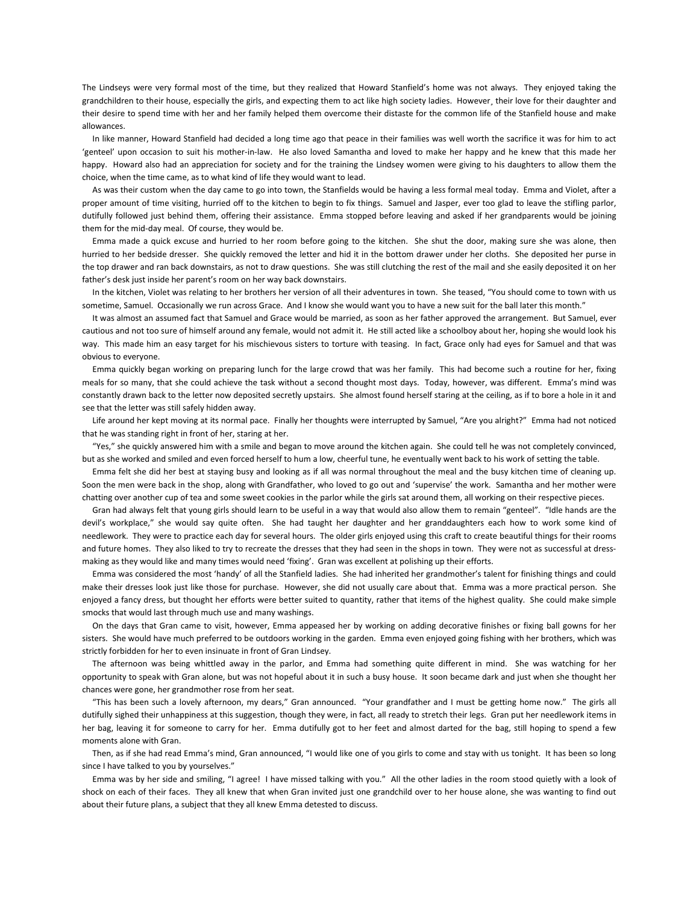The Lindseys were very formal most of the time, but they realized that Howard Stanfield's home was not always. They enjoyed taking the grandchildren to their house, especially the girls, and expecting them to act like high society ladies. However, their love for their daughter and their desire to spend time with her and her family helped them overcome their distaste for the common life of the Stanfield house and make allowances.

 In like manner, Howard Stanfield had decided a long time ago that peace in their families was well worth the sacrifice it was for him to act 'genteel' upon occasion to suit his mother-in-law. He also loved Samantha and loved to make her happy and he knew that this made her happy. Howard also had an appreciation for society and for the training the Lindsey women were giving to his daughters to allow them the choice, when the time came, as to what kind of life they would want to lead.

 As was their custom when the day came to go into town, the Stanfields would be having a less formal meal today. Emma and Violet, after a proper amount of time visiting, hurried off to the kitchen to begin to fix things. Samuel and Jasper, ever too glad to leave the stifling parlor, dutifully followed just behind them, offering their assistance. Emma stopped before leaving and asked if her grandparents would be joining them for the mid-day meal. Of course, they would be.

 Emma made a quick excuse and hurried to her room before going to the kitchen. She shut the door, making sure she was alone, then hurried to her bedside dresser. She quickly removed the letter and hid it in the bottom drawer under her cloths. She deposited her purse in the top drawer and ran back downstairs, as not to draw questions. She was still clutching the rest of the mail and she easily deposited it on her father's desk just inside her parent's room on her way back downstairs.

 In the kitchen, Violet was relating to her brothers her version of all their adventures in town. She teased, "You should come to town with us sometime, Samuel. Occasionally we run across Grace. And I know she would want you to have a new suit for the ball later this month."

 It was almost an assumed fact that Samuel and Grace would be married, as soon as her father approved the arrangement. But Samuel, ever cautious and not too sure of himself around any female, would not admit it. He still acted like a schoolboy about her, hoping she would look his way. This made him an easy target for his mischievous sisters to torture with teasing. In fact, Grace only had eyes for Samuel and that was obvious to everyone.

 Emma quickly began working on preparing lunch for the large crowd that was her family. This had become such a routine for her, fixing meals for so many, that she could achieve the task without a second thought most days. Today, however, was different. Emma's mind was constantly drawn back to the letter now deposited secretly upstairs. She almost found herself staring at the ceiling, as if to bore a hole in it and see that the letter was still safely hidden away.

 Life around her kept moving at its normal pace. Finally her thoughts were interrupted by Samuel, "Are you alright?" Emma had not noticed that he was standing right in front of her, staring at her.

 "Yes," she quickly answered him with a smile and began to move around the kitchen again. She could tell he was not completely convinced, but as she worked and smiled and even forced herself to hum a low, cheerful tune, he eventually went back to his work of setting the table.

 Emma felt she did her best at staying busy and looking as if all was normal throughout the meal and the busy kitchen time of cleaning up. Soon the men were back in the shop, along with Grandfather, who loved to go out and 'supervise' the work. Samantha and her mother were chatting over another cup of tea and some sweet cookies in the parlor while the girls sat around them, all working on their respective pieces.

 Gran had always felt that young girls should learn to be useful in a way that would also allow them to remain "genteel". "Idle hands are the devil's workplace," she would say quite often. She had taught her daughter and her granddaughters each how to work some kind of needlework. They were to practice each day for several hours. The older girls enjoyed using this craft to create beautiful things for their rooms and future homes. They also liked to try to recreate the dresses that they had seen in the shops in town. They were not as successful at dressmaking as they would like and many times would need 'fixing'. Gran was excellent at polishing up their efforts.

 Emma was considered the most 'handy' of all the Stanfield ladies. She had inherited her grandmother's talent for finishing things and could make their dresses look just like those for purchase. However, she did not usually care about that. Emma was a more practical person. She enjoyed a fancy dress, but thought her efforts were better suited to quantity, rather that items of the highest quality. She could make simple smocks that would last through much use and many washings.

 On the days that Gran came to visit, however, Emma appeased her by working on adding decorative finishes or fixing ball gowns for her sisters. She would have much preferred to be outdoors working in the garden. Emma even enjoyed going fishing with her brothers, which was strictly forbidden for her to even insinuate in front of Gran Lindsey.

 The afternoon was being whittled away in the parlor, and Emma had something quite different in mind. She was watching for her opportunity to speak with Gran alone, but was not hopeful about it in such a busy house. It soon became dark and just when she thought her chances were gone, her grandmother rose from her seat.

 "This has been such a lovely afternoon, my dears," Gran announced. "Your grandfather and I must be getting home now." The girls all dutifully sighed their unhappiness at this suggestion, though they were, in fact, all ready to stretch their legs. Gran put her needlework items in her bag, leaving it for someone to carry for her. Emma dutifully got to her feet and almost darted for the bag, still hoping to spend a few moments alone with Gran.

 Then, as if she had read Emma's mind, Gran announced, "I would like one of you girls to come and stay with us tonight. It has been so long since I have talked to you by yourselves."

 Emma was by her side and smiling, "I agree! I have missed talking with you." All the other ladies in the room stood quietly with a look of shock on each of their faces. They all knew that when Gran invited just one grandchild over to her house alone, she was wanting to find out about their future plans, a subject that they all knew Emma detested to discuss.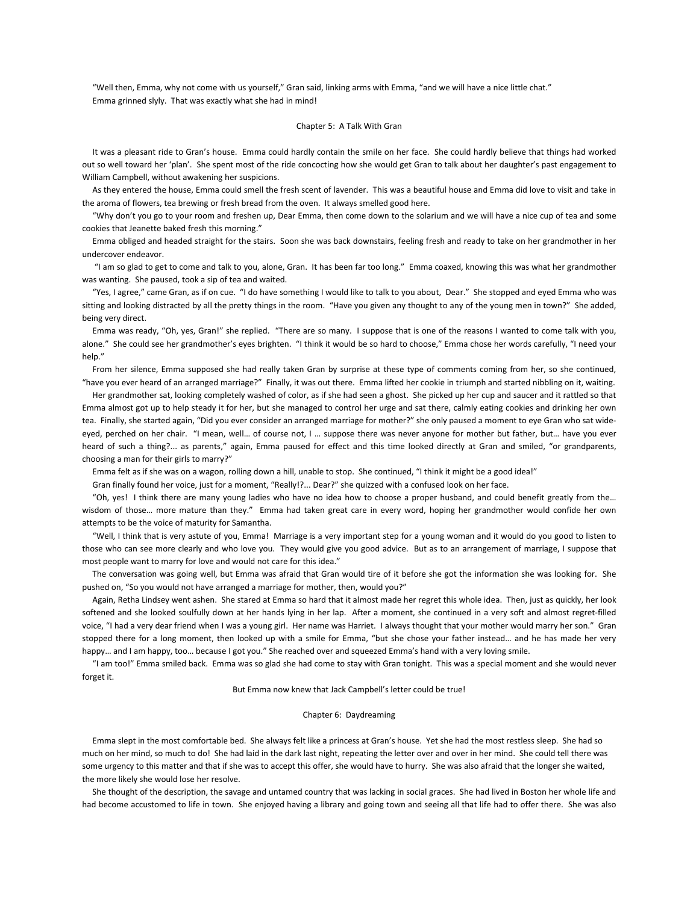"Well then, Emma, why not come with us yourself," Gran said, linking arms with Emma, "and we will have a nice little chat." Emma grinned slyly. That was exactly what she had in mind!

### Chapter 5: A Talk With Gran

 It was a pleasant ride to Gran's house. Emma could hardly contain the smile on her face. She could hardly believe that things had worked out so well toward her 'plan'. She spent most of the ride concocting how she would get Gran to talk about her daughter's past engagement to William Campbell, without awakening her suspicions.

 As they entered the house, Emma could smell the fresh scent of lavender. This was a beautiful house and Emma did love to visit and take in the aroma of flowers, tea brewing or fresh bread from the oven. It always smelled good here.

 "Why don't you go to your room and freshen up, Dear Emma, then come down to the solarium and we will have a nice cup of tea and some cookies that Jeanette baked fresh this morning."

 Emma obliged and headed straight for the stairs. Soon she was back downstairs, feeling fresh and ready to take on her grandmother in her undercover endeavor.

 "I am so glad to get to come and talk to you, alone, Gran. It has been far too long." Emma coaxed, knowing this was what her grandmother was wanting. She paused, took a sip of tea and waited.

"Yes, I agree," came Gran, as if on cue. "I do have something I would like to talk to you about, Dear." She stopped and eyed Emma who was sitting and looking distracted by all the pretty things in the room. "Have you given any thought to any of the young men in town?" She added, being very direct.

 Emma was ready, "Oh, yes, Gran!" she replied. "There are so many. I suppose that is one of the reasons I wanted to come talk with you, alone." She could see her grandmother's eyes brighten. "I think it would be so hard to choose," Emma chose her words carefully, "I need your help."

 From her silence, Emma supposed she had really taken Gran by surprise at these type of comments coming from her, so she continued, "have you ever heard of an arranged marriage?" Finally, it was out there. Emma lifted her cookie in triumph and started nibbling on it, waiting.

 Her grandmother sat, looking completely washed of color, as if she had seen a ghost. She picked up her cup and saucer and it rattled so that Emma almost got up to help steady it for her, but she managed to control her urge and sat there, calmly eating cookies and drinking her own tea. Finally, she started again, "Did you ever consider an arranged marriage for mother?" she only paused a moment to eye Gran who sat wideeyed, perched on her chair. "I mean, well... of course not, I ... suppose there was never anyone for mother but father, but... have you ever heard of such a thing?... as parents," again, Emma paused for effect and this time looked directly at Gran and smiled, "or grandparents, choosing a man for their girls to marry?"

Emma felt as if she was on a wagon, rolling down a hill, unable to stop. She continued, "I think it might be a good idea!"

Gran finally found her voice, just for a moment, "Really!?... Dear?" she quizzed with a confused look on her face.

 "Oh, yes! I think there are many young ladies who have no idea how to choose a proper husband, and could benefit greatly from the… wisdom of those… more mature than they." Emma had taken great care in every word, hoping her grandmother would confide her own attempts to be the voice of maturity for Samantha.

 "Well, I think that is very astute of you, Emma! Marriage is a very important step for a young woman and it would do you good to listen to those who can see more clearly and who love you. They would give you good advice. But as to an arrangement of marriage, I suppose that most people want to marry for love and would not care for this idea."

 The conversation was going well, but Emma was afraid that Gran would tire of it before she got the information she was looking for. She pushed on, "So you would not have arranged a marriage for mother, then, would you?"

 Again, Retha Lindsey went ashen. She stared at Emma so hard that it almost made her regret this whole idea. Then, just as quickly, her look softened and she looked soulfully down at her hands lying in her lap. After a moment, she continued in a very soft and almost regret-filled voice, "I had a very dear friend when I was a young girl. Her name was Harriet. I always thought that your mother would marry her son." Gran stopped there for a long moment, then looked up with a smile for Emma, "but she chose your father instead… and he has made her very happy… and I am happy, too… because I got you." She reached over and squeezed Emma's hand with a very loving smile.

 "I am too!" Emma smiled back. Emma was so glad she had come to stay with Gran tonight. This was a special moment and she would never forget it.

But Emma now knew that Jack Campbell's letter could be true!

## Chapter 6: Daydreaming

 Emma slept in the most comfortable bed. She always felt like a princess at Gran's house. Yet she had the most restless sleep. She had so much on her mind, so much to do! She had laid in the dark last night, repeating the letter over and over in her mind. She could tell there was some urgency to this matter and that if she was to accept this offer, she would have to hurry. She was also afraid that the longer she waited, the more likely she would lose her resolve.

 She thought of the description, the savage and untamed country that was lacking in social graces. She had lived in Boston her whole life and had become accustomed to life in town. She enjoyed having a library and going town and seeing all that life had to offer there. She was also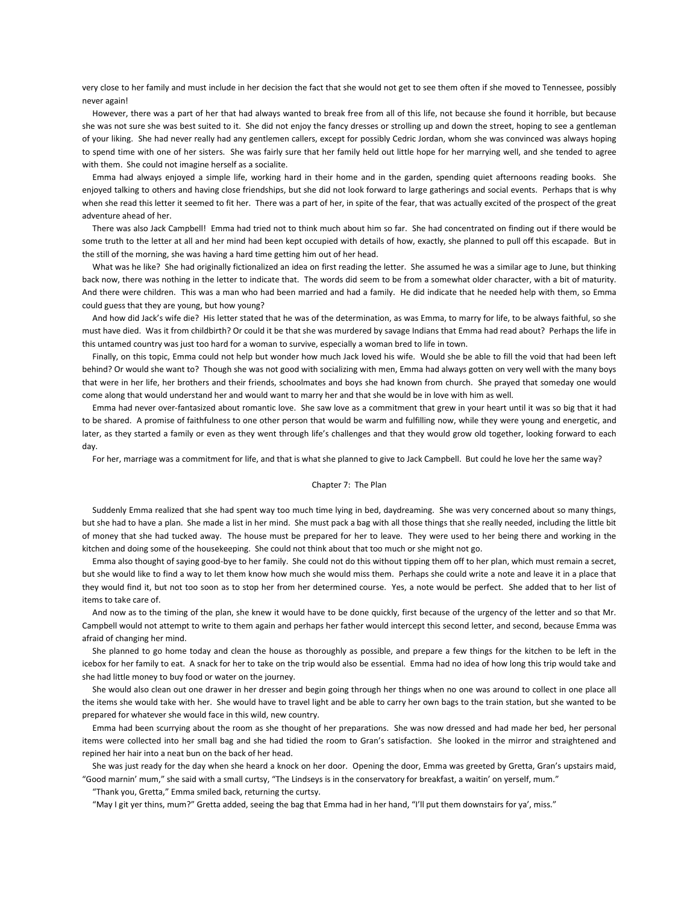very close to her family and must include in her decision the fact that she would not get to see them often if she moved to Tennessee, possibly never again!

 However, there was a part of her that had always wanted to break free from all of this life, not because she found it horrible, but because she was not sure she was best suited to it. She did not enjoy the fancy dresses or strolling up and down the street, hoping to see a gentleman of your liking. She had never really had any gentlemen callers, except for possibly Cedric Jordan, whom she was convinced was always hoping to spend time with one of her sisters. She was fairly sure that her family held out little hope for her marrying well, and she tended to agree with them. She could not imagine herself as a socialite.

 Emma had always enjoyed a simple life, working hard in their home and in the garden, spending quiet afternoons reading books. She enjoyed talking to others and having close friendships, but she did not look forward to large gatherings and social events. Perhaps that is why when she read this letter it seemed to fit her. There was a part of her, in spite of the fear, that was actually excited of the prospect of the great adventure ahead of her.

 There was also Jack Campbell! Emma had tried not to think much about him so far. She had concentrated on finding out if there would be some truth to the letter at all and her mind had been kept occupied with details of how, exactly, she planned to pull off this escapade. But in the still of the morning, she was having a hard time getting him out of her head.

 What was he like? She had originally fictionalized an idea on first reading the letter. She assumed he was a similar age to June, but thinking back now, there was nothing in the letter to indicate that. The words did seem to be from a somewhat older character, with a bit of maturity. And there were children. This was a man who had been married and had a family. He did indicate that he needed help with them, so Emma could guess that they are young, but how young?

 And how did Jack's wife die? His letter stated that he was of the determination, as was Emma, to marry for life, to be always faithful, so she must have died. Was it from childbirth? Or could it be that she was murdered by savage Indians that Emma had read about? Perhaps the life in this untamed country was just too hard for a woman to survive, especially a woman bred to life in town.

 Finally, on this topic, Emma could not help but wonder how much Jack loved his wife. Would she be able to fill the void that had been left behind? Or would she want to? Though she was not good with socializing with men, Emma had always gotten on very well with the many boys that were in her life, her brothers and their friends, schoolmates and boys she had known from church. She prayed that someday one would come along that would understand her and would want to marry her and that she would be in love with him as well.

 Emma had never over-fantasized about romantic love. She saw love as a commitment that grew in your heart until it was so big that it had to be shared. A promise of faithfulness to one other person that would be warm and fulfilling now, while they were young and energetic, and later, as they started a family or even as they went through life's challenges and that they would grow old together, looking forward to each day.

For her, marriage was a commitment for life, and that is what she planned to give to Jack Campbell. But could he love her the same way?

## Chapter 7: The Plan

 Suddenly Emma realized that she had spent way too much time lying in bed, daydreaming. She was very concerned about so many things, but she had to have a plan. She made a list in her mind. She must pack a bag with all those things that she really needed, including the little bit of money that she had tucked away. The house must be prepared for her to leave. They were used to her being there and working in the kitchen and doing some of the housekeeping. She could not think about that too much or she might not go.

 Emma also thought of saying good-bye to her family. She could not do this without tipping them off to her plan, which must remain a secret, but she would like to find a way to let them know how much she would miss them. Perhaps she could write a note and leave it in a place that they would find it, but not too soon as to stop her from her determined course. Yes, a note would be perfect. She added that to her list of items to take care of.

 And now as to the timing of the plan, she knew it would have to be done quickly, first because of the urgency of the letter and so that Mr. Campbell would not attempt to write to them again and perhaps her father would intercept this second letter, and second, because Emma was afraid of changing her mind.

 She planned to go home today and clean the house as thoroughly as possible, and prepare a few things for the kitchen to be left in the icebox for her family to eat. A snack for her to take on the trip would also be essential. Emma had no idea of how long this trip would take and she had little money to buy food or water on the journey.

 She would also clean out one drawer in her dresser and begin going through her things when no one was around to collect in one place all the items she would take with her. She would have to travel light and be able to carry her own bags to the train station, but she wanted to be prepared for whatever she would face in this wild, new country.

 Emma had been scurrying about the room as she thought of her preparations. She was now dressed and had made her bed, her personal items were collected into her small bag and she had tidied the room to Gran's satisfaction. She looked in the mirror and straightened and repined her hair into a neat bun on the back of her head.

 She was just ready for the day when she heard a knock on her door. Opening the door, Emma was greeted by Gretta, Gran's upstairs maid, "Good marnin' mum," she said with a small curtsy, "The Lindseys is in the conservatory for breakfast, a waitin' on yerself, mum."

"Thank you, Gretta," Emma smiled back, returning the curtsy.

"May I git yer thins, mum?" Gretta added, seeing the bag that Emma had in her hand, "I'll put them downstairs for ya', miss."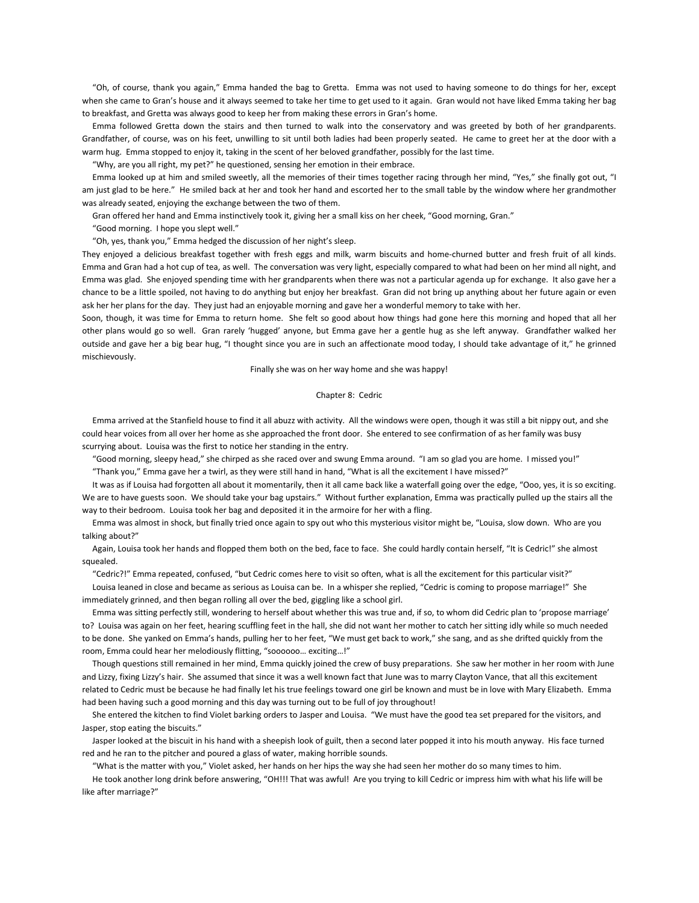"Oh, of course, thank you again," Emma handed the bag to Gretta. Emma was not used to having someone to do things for her, except when she came to Gran's house and it always seemed to take her time to get used to it again. Gran would not have liked Emma taking her bag to breakfast, and Gretta was always good to keep her from making these errors in Gran's home.

 Emma followed Gretta down the stairs and then turned to walk into the conservatory and was greeted by both of her grandparents. Grandfather, of course, was on his feet, unwilling to sit until both ladies had been properly seated. He came to greet her at the door with a warm hug. Emma stopped to enjoy it, taking in the scent of her beloved grandfather, possibly for the last time.

"Why, are you all right, my pet?" he questioned, sensing her emotion in their embrace.

 Emma looked up at him and smiled sweetly, all the memories of their times together racing through her mind, "Yes," she finally got out, "I am just glad to be here." He smiled back at her and took her hand and escorted her to the small table by the window where her grandmother was already seated, enjoying the exchange between the two of them.

Gran offered her hand and Emma instinctively took it, giving her a small kiss on her cheek, "Good morning, Gran."

"Good morning. I hope you slept well."

"Oh, yes, thank you," Emma hedged the discussion of her night's sleep.

They enjoyed a delicious breakfast together with fresh eggs and milk, warm biscuits and home-churned butter and fresh fruit of all kinds. Emma and Gran had a hot cup of tea, as well. The conversation was very light, especially compared to what had been on her mind all night, and Emma was glad. She enjoyed spending time with her grandparents when there was not a particular agenda up for exchange. It also gave her a chance to be a little spoiled, not having to do anything but enjoy her breakfast. Gran did not bring up anything about her future again or even ask her her plans for the day. They just had an enjoyable morning and gave her a wonderful memory to take with her.

Soon, though, it was time for Emma to return home. She felt so good about how things had gone here this morning and hoped that all her other plans would go so well. Gran rarely 'hugged' anyone, but Emma gave her a gentle hug as she left anyway. Grandfather walked her outside and gave her a big bear hug, "I thought since you are in such an affectionate mood today, I should take advantage of it," he grinned mischievously.

Finally she was on her way home and she was happy!

## Chapter 8: Cedric

 Emma arrived at the Stanfield house to find it all abuzz with activity. All the windows were open, though it was still a bit nippy out, and she could hear voices from all over her home as she approached the front door. She entered to see confirmation of as her family was busy scurrying about. Louisa was the first to notice her standing in the entry.

"Good morning, sleepy head," she chirped as she raced over and swung Emma around. "I am so glad you are home. I missed you!"

"Thank you," Emma gave her a twirl, as they were still hand in hand, "What is all the excitement I have missed?"

 It was as if Louisa had forgotten all about it momentarily, then it all came back like a waterfall going over the edge, "Ooo, yes, it is so exciting. We are to have guests soon. We should take your bag upstairs." Without further explanation, Emma was practically pulled up the stairs all the way to their bedroom. Louisa took her bag and deposited it in the armoire for her with a fling.

 Emma was almost in shock, but finally tried once again to spy out who this mysterious visitor might be, "Louisa, slow down. Who are you talking about?"

 Again, Louisa took her hands and flopped them both on the bed, face to face. She could hardly contain herself, "It is Cedric!" she almost squealed.

"Cedric?!" Emma repeated, confused, "but Cedric comes here to visit so often, what is all the excitement for this particular visit?"

 Louisa leaned in close and became as serious as Louisa can be. In a whisper she replied, "Cedric is coming to propose marriage!" She immediately grinned, and then began rolling all over the bed, giggling like a school girl.

 Emma was sitting perfectly still, wondering to herself about whether this was true and, if so, to whom did Cedric plan to 'propose marriage' to? Louisa was again on her feet, hearing scuffling feet in the hall, she did not want her mother to catch her sitting idly while so much needed to be done. She yanked on Emma's hands, pulling her to her feet, "We must get back to work," she sang, and as she drifted quickly from the room, Emma could hear her melodiously flitting, "soooooo… exciting…!"

 Though questions still remained in her mind, Emma quickly joined the crew of busy preparations. She saw her mother in her room with June and Lizzy, fixing Lizzy's hair. She assumed that since it was a well known fact that June was to marry Clayton Vance, that all this excitement related to Cedric must be because he had finally let his true feelings toward one girl be known and must be in love with Mary Elizabeth. Emma had been having such a good morning and this day was turning out to be full of joy throughout!

 She entered the kitchen to find Violet barking orders to Jasper and Louisa. "We must have the good tea set prepared for the visitors, and Jasper, stop eating the biscuits."

 Jasper looked at the biscuit in his hand with a sheepish look of guilt, then a second later popped it into his mouth anyway. His face turned red and he ran to the pitcher and poured a glass of water, making horrible sounds.

"What is the matter with you," Violet asked, her hands on her hips the way she had seen her mother do so many times to him.

 He took another long drink before answering, "OH!!! That was awful! Are you trying to kill Cedric or impress him with what his life will be like after marriage?"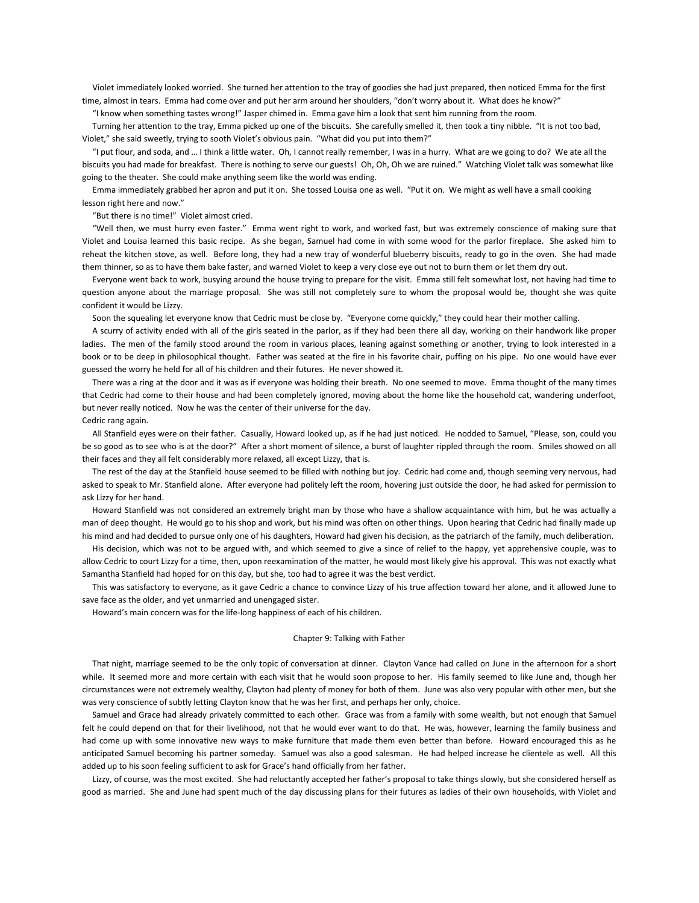Violet immediately looked worried. She turned her attention to the tray of goodies she had just prepared, then noticed Emma for the first time, almost in tears. Emma had come over and put her arm around her shoulders, "don't worry about it. What does he know?"

"I know when something tastes wrong!" Jasper chimed in. Emma gave him a look that sent him running from the room.

 Turning her attention to the tray, Emma picked up one of the biscuits. She carefully smelled it, then took a tiny nibble. "It is not too bad, Violet," she said sweetly, trying to sooth Violet's obvious pain. "What did you put into them?"

 "I put flour, and soda, and … I think a little water. Oh, I cannot really remember, I was in a hurry. What are we going to do? We ate all the biscuits you had made for breakfast. There is nothing to serve our guests! Oh, Oh, Oh we are ruined." Watching Violet talk was somewhat like going to the theater. She could make anything seem like the world was ending.

 Emma immediately grabbed her apron and put it on. She tossed Louisa one as well. "Put it on. We might as well have a small cooking lesson right here and now."

#### "But there is no time!" Violet almost cried.

 "Well then, we must hurry even faster." Emma went right to work, and worked fast, but was extremely conscience of making sure that Violet and Louisa learned this basic recipe. As she began, Samuel had come in with some wood for the parlor fireplace. She asked him to reheat the kitchen stove, as well. Before long, they had a new tray of wonderful blueberry biscuits, ready to go in the oven. She had made them thinner, so as to have them bake faster, and warned Violet to keep a very close eye out not to burn them or let them dry out.

 Everyone went back to work, busying around the house trying to prepare for the visit. Emma still felt somewhat lost, not having had time to question anyone about the marriage proposal. She was still not completely sure to whom the proposal would be, thought she was quite confident it would be Lizzy.

Soon the squealing let everyone know that Cedric must be close by. "Everyone come quickly," they could hear their mother calling.

 A scurry of activity ended with all of the girls seated in the parlor, as if they had been there all day, working on their handwork like proper ladies. The men of the family stood around the room in various places, leaning against something or another, trying to look interested in a book or to be deep in philosophical thought. Father was seated at the fire in his favorite chair, puffing on his pipe. No one would have ever guessed the worry he held for all of his children and their futures. He never showed it.

 There was a ring at the door and it was as if everyone was holding their breath. No one seemed to move. Emma thought of the many times that Cedric had come to their house and had been completely ignored, moving about the home like the household cat, wandering underfoot, but never really noticed. Now he was the center of their universe for the day.

Cedric rang again.

 All Stanfield eyes were on their father. Casually, Howard looked up, as if he had just noticed. He nodded to Samuel, "Please, son, could you be so good as to see who is at the door?" After a short moment of silence, a burst of laughter rippled through the room. Smiles showed on all their faces and they all felt considerably more relaxed, all except Lizzy, that is.

 The rest of the day at the Stanfield house seemed to be filled with nothing but joy. Cedric had come and, though seeming very nervous, had asked to speak to Mr. Stanfield alone. After everyone had politely left the room, hovering just outside the door, he had asked for permission to ask Lizzy for her hand.

 Howard Stanfield was not considered an extremely bright man by those who have a shallow acquaintance with him, but he was actually a man of deep thought. He would go to his shop and work, but his mind was often on other things. Upon hearing that Cedric had finally made up his mind and had decided to pursue only one of his daughters, Howard had given his decision, as the patriarch of the family, much deliberation.

 His decision, which was not to be argued with, and which seemed to give a since of relief to the happy, yet apprehensive couple, was to allow Cedric to court Lizzy for a time, then, upon reexamination of the matter, he would most likely give his approval. This was not exactly what Samantha Stanfield had hoped for on this day, but she, too had to agree it was the best verdict.

 This was satisfactory to everyone, as it gave Cedric a chance to convince Lizzy of his true affection toward her alone, and it allowed June to save face as the older, and yet unmarried and unengaged sister.

Howard's main concern was for the life-long happiness of each of his children.

## Chapter 9: Talking with Father

 That night, marriage seemed to be the only topic of conversation at dinner. Clayton Vance had called on June in the afternoon for a short while. It seemed more and more certain with each visit that he would soon propose to her. His family seemed to like June and, though her circumstances were not extremely wealthy, Clayton had plenty of money for both of them. June was also very popular with other men, but she was very conscience of subtly letting Clayton know that he was her first, and perhaps her only, choice.

 Samuel and Grace had already privately committed to each other. Grace was from a family with some wealth, but not enough that Samuel felt he could depend on that for their livelihood, not that he would ever want to do that. He was, however, learning the family business and had come up with some innovative new ways to make furniture that made them even better than before. Howard encouraged this as he anticipated Samuel becoming his partner someday. Samuel was also a good salesman. He had helped increase he clientele as well. All this added up to his soon feeling sufficient to ask for Grace's hand officially from her father.

 Lizzy, of course, was the most excited. She had reluctantly accepted her father's proposal to take things slowly, but she considered herself as good as married. She and June had spent much of the day discussing plans for their futures as ladies of their own households, with Violet and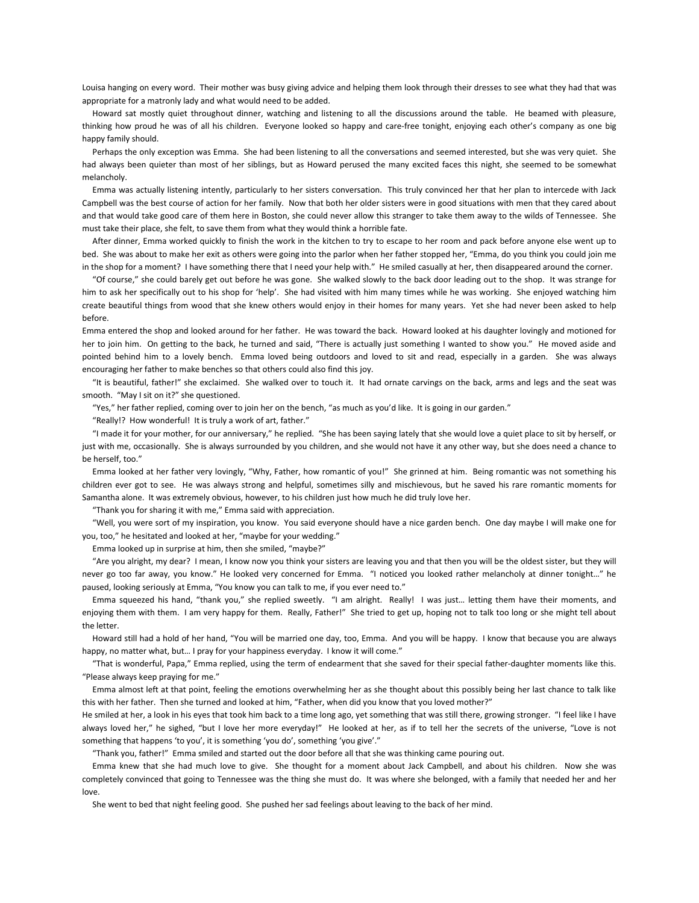Louisa hanging on every word. Their mother was busy giving advice and helping them look through their dresses to see what they had that was appropriate for a matronly lady and what would need to be added.

 Howard sat mostly quiet throughout dinner, watching and listening to all the discussions around the table. He beamed with pleasure, thinking how proud he was of all his children. Everyone looked so happy and care-free tonight, enjoying each other's company as one big happy family should.

 Perhaps the only exception was Emma. She had been listening to all the conversations and seemed interested, but she was very quiet. She had always been quieter than most of her siblings, but as Howard perused the many excited faces this night, she seemed to be somewhat melancholy.

 Emma was actually listening intently, particularly to her sisters conversation. This truly convinced her that her plan to intercede with Jack Campbell was the best course of action for her family. Now that both her older sisters were in good situations with men that they cared about and that would take good care of them here in Boston, she could never allow this stranger to take them away to the wilds of Tennessee. She must take their place, she felt, to save them from what they would think a horrible fate.

 After dinner, Emma worked quickly to finish the work in the kitchen to try to escape to her room and pack before anyone else went up to bed. She was about to make her exit as others were going into the parlor when her father stopped her, "Emma, do you think you could join me in the shop for a moment? I have something there that I need your help with." He smiled casually at her, then disappeared around the corner.

 "Of course," she could barely get out before he was gone. She walked slowly to the back door leading out to the shop. It was strange for him to ask her specifically out to his shop for 'help'. She had visited with him many times while he was working. She enjoyed watching him create beautiful things from wood that she knew others would enjoy in their homes for many years. Yet she had never been asked to help before.

Emma entered the shop and looked around for her father. He was toward the back. Howard looked at his daughter lovingly and motioned for her to join him. On getting to the back, he turned and said, "There is actually just something I wanted to show you." He moved aside and pointed behind him to a lovely bench. Emma loved being outdoors and loved to sit and read, especially in a garden. She was always encouraging her father to make benches so that others could also find this joy.

 "It is beautiful, father!" she exclaimed. She walked over to touch it. It had ornate carvings on the back, arms and legs and the seat was smooth. "May I sit on it?" she questioned.

"Yes," her father replied, coming over to join her on the bench, "as much as you'd like. It is going in our garden."

"Really!? How wonderful! It is truly a work of art, father."

 "I made it for your mother, for our anniversary," he replied. "She has been saying lately that she would love a quiet place to sit by herself, or just with me, occasionally. She is always surrounded by you children, and she would not have it any other way, but she does need a chance to be herself, too."

 Emma looked at her father very lovingly, "Why, Father, how romantic of you!" She grinned at him. Being romantic was not something his children ever got to see. He was always strong and helpful, sometimes silly and mischievous, but he saved his rare romantic moments for Samantha alone. It was extremely obvious, however, to his children just how much he did truly love her.

"Thank you for sharing it with me," Emma said with appreciation.

 "Well, you were sort of my inspiration, you know. You said everyone should have a nice garden bench. One day maybe I will make one for you, too," he hesitated and looked at her, "maybe for your wedding."

Emma looked up in surprise at him, then she smiled, "maybe?"

 "Are you alright, my dear? I mean, I know now you think your sisters are leaving you and that then you will be the oldest sister, but they will never go too far away, you know." He looked very concerned for Emma. "I noticed you looked rather melancholy at dinner tonight…" he paused, looking seriously at Emma, "You know you can talk to me, if you ever need to."

 Emma squeezed his hand, "thank you," she replied sweetly. "I am alright. Really! I was just… letting them have their moments, and enjoying them with them. I am very happy for them. Really, Father!" She tried to get up, hoping not to talk too long or she might tell about the letter.

 Howard still had a hold of her hand, "You will be married one day, too, Emma. And you will be happy. I know that because you are always happy, no matter what, but... I pray for your happiness everyday. I know it will come."

 "That is wonderful, Papa," Emma replied, using the term of endearment that she saved for their special father-daughter moments like this. "Please always keep praying for me."

 Emma almost left at that point, feeling the emotions overwhelming her as she thought about this possibly being her last chance to talk like this with her father. Then she turned and looked at him, "Father, when did you know that you loved mother?"

He smiled at her, a look in his eyes that took him back to a time long ago, yet something that was still there, growing stronger. "I feel like I have always loved her," he sighed, "but I love her more everyday!" He looked at her, as if to tell her the secrets of the universe, "Love is not something that happens 'to you', it is something 'you do', something 'you give'."

"Thank you, father!" Emma smiled and started out the door before all that she was thinking came pouring out.

 Emma knew that she had much love to give. She thought for a moment about Jack Campbell, and about his children. Now she was completely convinced that going to Tennessee was the thing she must do. It was where she belonged, with a family that needed her and her love.

She went to bed that night feeling good. She pushed her sad feelings about leaving to the back of her mind.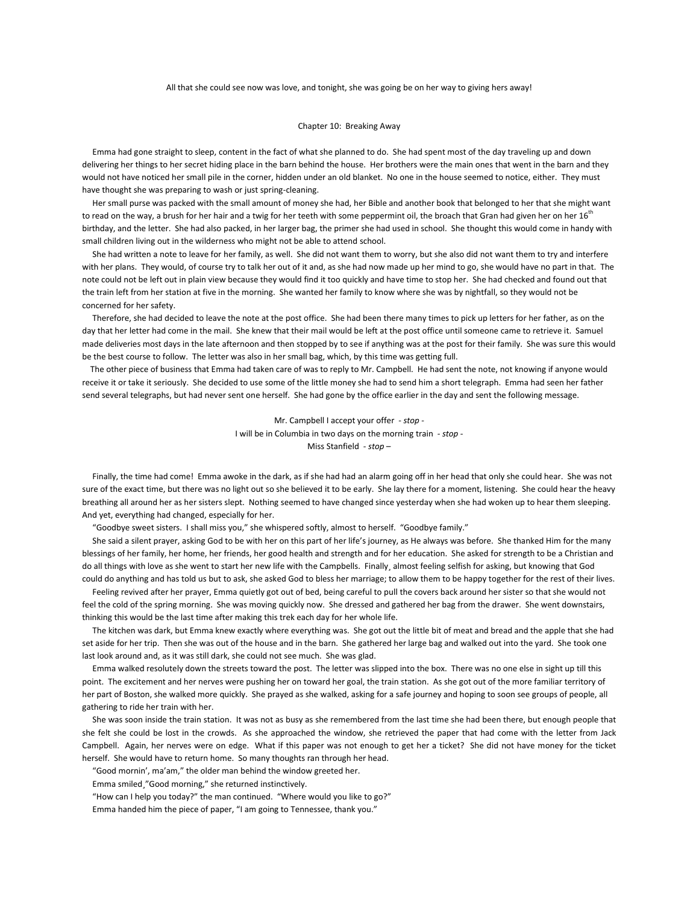## All that she could see now was love, and tonight, she was going be on her way to giving hers away!

## Chapter 10: Breaking Away

 Emma had gone straight to sleep, content in the fact of what she planned to do. She had spent most of the day traveling up and down delivering her things to her secret hiding place in the barn behind the house. Her brothers were the main ones that went in the barn and they would not have noticed her small pile in the corner, hidden under an old blanket. No one in the house seemed to notice, either. They must have thought she was preparing to wash or just spring-cleaning.

 Her small purse was packed with the small amount of money she had, her Bible and another book that belonged to her that she might want to read on the way, a brush for her hair and a twig for her teeth with some peppermint oil, the broach that Gran had given her on her  $16<sup>th</sup>$ birthday, and the letter. She had also packed, in her larger bag, the primer she had used in school. She thought this would come in handy with small children living out in the wilderness who might not be able to attend school.

 She had written a note to leave for her family, as well. She did not want them to worry, but she also did not want them to try and interfere with her plans. They would, of course try to talk her out of it and, as she had now made up her mind to go, she would have no part in that. The note could not be left out in plain view because they would find it too quickly and have time to stop her. She had checked and found out that the train left from her station at five in the morning. She wanted her family to know where she was by nightfall, so they would not be concerned for her safety.

 Therefore, she had decided to leave the note at the post office. She had been there many times to pick up letters for her father, as on the day that her letter had come in the mail. She knew that their mail would be left at the post office until someone came to retrieve it. Samuel made deliveries most days in the late afternoon and then stopped by to see if anything was at the post for their family. She was sure this would be the best course to follow. The letter was also in her small bag, which, by this time was getting full.

 The other piece of business that Emma had taken care of was to reply to Mr. Campbell. He had sent the note, not knowing if anyone would receive it or take it seriously. She decided to use some of the little money she had to send him a short telegraph. Emma had seen her father send several telegraphs, but had never sent one herself. She had gone by the office earlier in the day and sent the following message.

> Mr. Campbell I accept your offer *- stop -* I will be in Columbia in two days on the morning train *- stop -* Miss Stanfield *- stop –*

 Finally, the time had come! Emma awoke in the dark, as if she had had an alarm going off in her head that only she could hear. She was not sure of the exact time, but there was no light out so she believed it to be early. She lay there for a moment, listening. She could hear the heavy breathing all around her as her sisters slept. Nothing seemed to have changed since yesterday when she had woken up to hear them sleeping. And yet, everything had changed, especially for her.

"Goodbye sweet sisters. I shall miss you," she whispered softly, almost to herself. "Goodbye family."

 She said a silent prayer, asking God to be with her on this part of her life's journey, as He always was before. She thanked Him for the many blessings of her family, her home, her friends, her good health and strength and for her education. She asked for strength to be a Christian and do all things with love as she went to start her new life with the Campbells. Finally almost feeling selfish for asking, but knowing that God could do anything and has told us but to ask, she asked God to bless her marriage; to allow them to be happy together for the rest of their lives.

 Feeling revived after her prayer, Emma quietly got out of bed, being careful to pull the covers back around her sister so that she would not feel the cold of the spring morning. She was moving quickly now. She dressed and gathered her bag from the drawer. She went downstairs, thinking this would be the last time after making this trek each day for her whole life.

 The kitchen was dark, but Emma knew exactly where everything was. She got out the little bit of meat and bread and the apple that she had set aside for her trip. Then she was out of the house and in the barn. She gathered her large bag and walked out into the yard. She took one last look around and, as it was still dark, she could not see much. She was glad.

 Emma walked resolutely down the streets toward the post. The letter was slipped into the box. There was no one else in sight up till this point. The excitement and her nerves were pushing her on toward her goal, the train station. As she got out of the more familiar territory of her part of Boston, she walked more quickly. She prayed as she walked, asking for a safe journey and hoping to soon see groups of people, all gathering to ride her train with her.

 She was soon inside the train station. It was not as busy as she remembered from the last time she had been there, but enough people that she felt she could be lost in the crowds. As she approached the window, she retrieved the paper that had come with the letter from Jack Campbell. Again, her nerves were on edge. What if this paper was not enough to get her a ticket? She did not have money for the ticket herself. She would have to return home. So many thoughts ran through her head.

"Good mornin', ma'am," the older man behind the window greeted her.

Emma smiled¸"Good morning," she returned instinctively.

"How can I help you today?" the man continued. "Where would you like to go?"

Emma handed him the piece of paper, "I am going to Tennessee, thank you."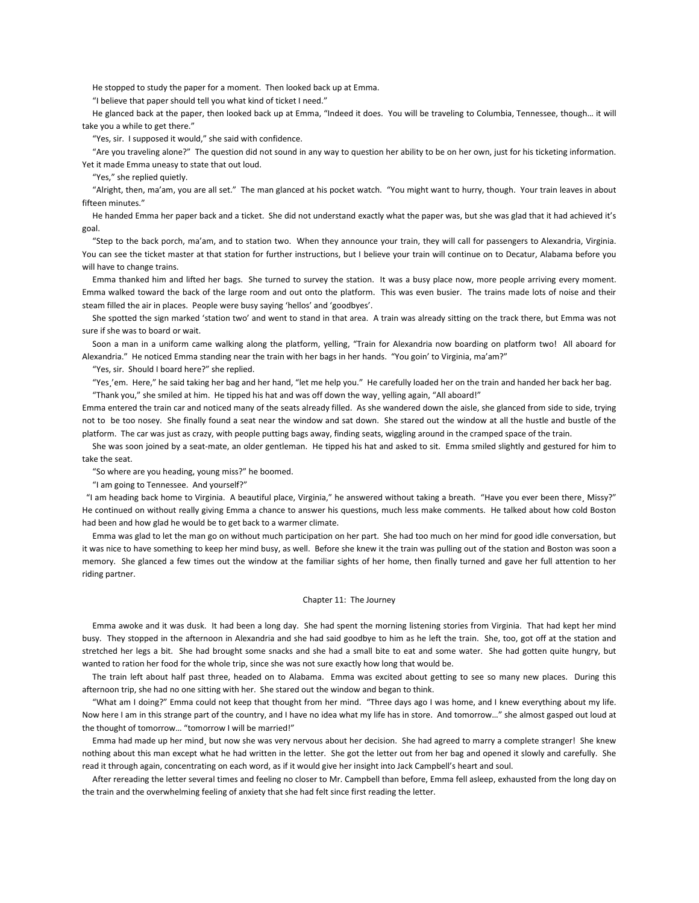He stopped to study the paper for a moment. Then looked back up at Emma.

"I believe that paper should tell you what kind of ticket I need."

 He glanced back at the paper, then looked back up at Emma, "Indeed it does. You will be traveling to Columbia, Tennessee, though… it will take you a while to get there."

"Yes, sir. I supposed it would," she said with confidence.

 "Are you traveling alone?" The question did not sound in any way to question her ability to be on her own, just for his ticketing information. Yet it made Emma uneasy to state that out loud.

"Yes," she replied quietly.

 "Alright, then, ma'am, you are all set." The man glanced at his pocket watch. "You might want to hurry, though. Your train leaves in about fifteen minutes."

 He handed Emma her paper back and a ticket. She did not understand exactly what the paper was, but she was glad that it had achieved it's goal.

 "Step to the back porch, ma'am, and to station two. When they announce your train, they will call for passengers to Alexandria, Virginia. You can see the ticket master at that station for further instructions, but I believe your train will continue on to Decatur, Alabama before you will have to change trains.

 Emma thanked him and lifted her bags. She turned to survey the station. It was a busy place now, more people arriving every moment. Emma walked toward the back of the large room and out onto the platform. This was even busier. The trains made lots of noise and their steam filled the air in places. People were busy saying 'hellos' and 'goodbyes'.

 She spotted the sign marked 'station two' and went to stand in that area. A train was already sitting on the track there, but Emma was not sure if she was to board or wait.

 Soon a man in a uniform came walking along the platform, yelling, "Train for Alexandria now boarding on platform two! All aboard for Alexandria." He noticed Emma standing near the train with her bags in her hands. "You goin' to Virginia, ma'am?"

"Yes, sir. Should I board here?" she replied.

 "Yes¸'em. Here," he said taking her bag and her hand, "let me help you." He carefully loaded her on the train and handed her back her bag. "Thank you," she smiled at him. He tipped his hat and was off down the way¸ yelling again, "All aboard!"

Emma entered the train car and noticed many of the seats already filled. As she wandered down the aisle, she glanced from side to side, trying not to be too nosey. She finally found a seat near the window and sat down. She stared out the window at all the hustle and bustle of the platform. The car was just as crazy, with people putting bags away, finding seats, wiggling around in the cramped space of the train.

 She was soon joined by a seat-mate, an older gentleman. He tipped his hat and asked to sit. Emma smiled slightly and gestured for him to take the seat.

"So where are you heading, young miss?" he boomed.

"I am going to Tennessee. And yourself?"

 "I am heading back home to Virginia. A beautiful place, Virginia," he answered without taking a breath. "Have you ever been there¸ Missy?" He continued on without really giving Emma a chance to answer his questions, much less make comments. He talked about how cold Boston had been and how glad he would be to get back to a warmer climate.

 Emma was glad to let the man go on without much participation on her part. She had too much on her mind for good idle conversation, but it was nice to have something to keep her mind busy, as well. Before she knew it the train was pulling out of the station and Boston was soon a memory. She glanced a few times out the window at the familiar sights of her home, then finally turned and gave her full attention to her riding partner.

# Chapter 11: The Journey

 Emma awoke and it was dusk. It had been a long day. She had spent the morning listening stories from Virginia. That had kept her mind busy. They stopped in the afternoon in Alexandria and she had said goodbye to him as he left the train. She, too, got off at the station and stretched her legs a bit. She had brought some snacks and she had a small bite to eat and some water. She had gotten quite hungry, but wanted to ration her food for the whole trip, since she was not sure exactly how long that would be.

 The train left about half past three, headed on to Alabama. Emma was excited about getting to see so many new places. During this afternoon trip, she had no one sitting with her. She stared out the window and began to think.

 "What am I doing?" Emma could not keep that thought from her mind. "Three days ago I was home, and I knew everything about my life. Now here I am in this strange part of the country, and I have no idea what my life has in store. And tomorrow…" she almost gasped out loud at the thought of tomorrow… "tomorrow I will be married!"

 Emma had made up her mind¸ but now she was very nervous about her decision. She had agreed to marry a complete stranger! She knew nothing about this man except what he had written in the letter. She got the letter out from her bag and opened it slowly and carefully. She read it through again, concentrating on each word, as if it would give her insight into Jack Campbell's heart and soul.

 After rereading the letter several times and feeling no closer to Mr. Campbell than before, Emma fell asleep, exhausted from the long day on the train and the overwhelming feeling of anxiety that she had felt since first reading the letter.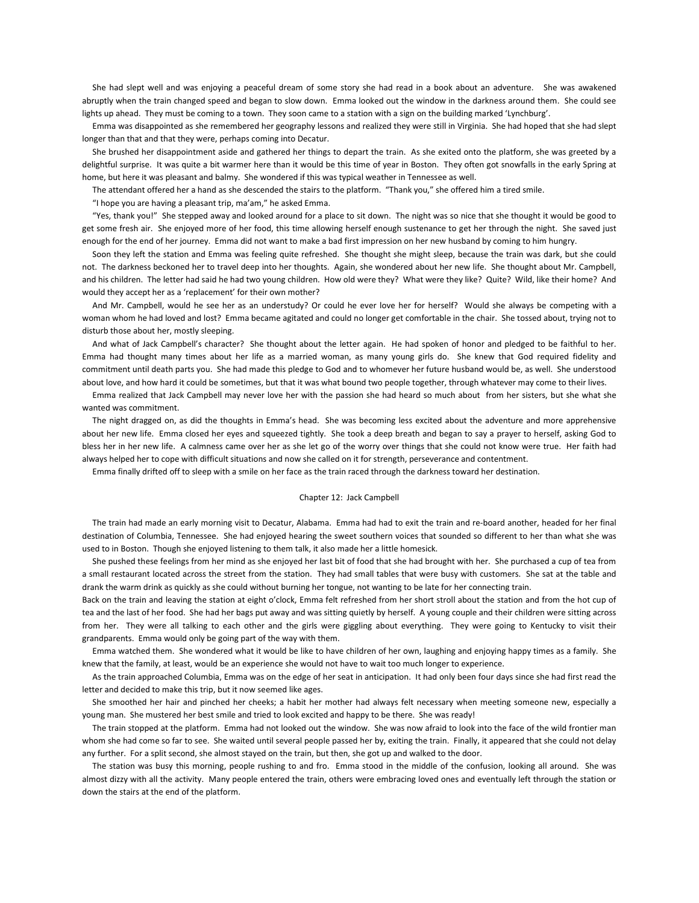She had slept well and was enjoying a peaceful dream of some story she had read in a book about an adventure. She was awakened abruptly when the train changed speed and began to slow down. Emma looked out the window in the darkness around them. She could see lights up ahead. They must be coming to a town. They soon came to a station with a sign on the building marked 'Lynchburg'.

 Emma was disappointed as she remembered her geography lessons and realized they were still in Virginia. She had hoped that she had slept longer than that and that they were, perhaps coming into Decatur.

 She brushed her disappointment aside and gathered her things to depart the train. As she exited onto the platform, she was greeted by a delightful surprise. It was quite a bit warmer here than it would be this time of year in Boston. They often got snowfalls in the early Spring at home, but here it was pleasant and balmy. She wondered if this was typical weather in Tennessee as well.

The attendant offered her a hand as she descended the stairs to the platform. "Thank you," she offered him a tired smile.

"I hope you are having a pleasant trip, ma'am," he asked Emma.

 "Yes, thank you!" She stepped away and looked around for a place to sit down. The night was so nice that she thought it would be good to get some fresh air. She enjoyed more of her food, this time allowing herself enough sustenance to get her through the night. She saved just enough for the end of her journey. Emma did not want to make a bad first impression on her new husband by coming to him hungry.

 Soon they left the station and Emma was feeling quite refreshed. She thought she might sleep, because the train was dark, but she could not. The darkness beckoned her to travel deep into her thoughts. Again, she wondered about her new life. She thought about Mr. Campbell, and his children. The letter had said he had two young children. How old were they? What were they like? Quite? Wild, like their home? And would they accept her as a 'replacement' for their own mother?

 And Mr. Campbell, would he see her as an understudy? Or could he ever love her for herself? Would she always be competing with a woman whom he had loved and lost? Emma became agitated and could no longer get comfortable in the chair. She tossed about, trying not to disturb those about her, mostly sleeping.

 And what of Jack Campbell's character? She thought about the letter again. He had spoken of honor and pledged to be faithful to her. Emma had thought many times about her life as a married woman, as many young girls do. She knew that God required fidelity and commitment until death parts you. She had made this pledge to God and to whomever her future husband would be, as well. She understood about love, and how hard it could be sometimes, but that it was what bound two people together, through whatever may come to their lives.

 Emma realized that Jack Campbell may never love her with the passion she had heard so much about from her sisters, but she what she wanted was commitment.

 The night dragged on, as did the thoughts in Emma's head. She was becoming less excited about the adventure and more apprehensive about her new life. Emma closed her eyes and squeezed tightly. She took a deep breath and began to say a prayer to herself, asking God to bless her in her new life. A calmness came over her as she let go of the worry over things that she could not know were true. Her faith had always helped her to cope with difficult situations and now she called on it for strength, perseverance and contentment.

Emma finally drifted off to sleep with a smile on her face as the train raced through the darkness toward her destination.

### Chapter 12: Jack Campbell

 The train had made an early morning visit to Decatur, Alabama. Emma had had to exit the train and re-board another, headed for her final destination of Columbia, Tennessee. She had enjoyed hearing the sweet southern voices that sounded so different to her than what she was used to in Boston. Though she enjoyed listening to them talk, it also made her a little homesick.

 She pushed these feelings from her mind as she enjoyed her last bit of food that she had brought with her. She purchased a cup of tea from a small restaurant located across the street from the station. They had small tables that were busy with customers. She sat at the table and drank the warm drink as quickly as she could without burning her tongue, not wanting to be late for her connecting train.

Back on the train and leaving the station at eight o'clock, Emma felt refreshed from her short stroll about the station and from the hot cup of tea and the last of her food. She had her bags put away and was sitting quietly by herself. A young couple and their children were sitting across from her. They were all talking to each other and the girls were giggling about everything. They were going to Kentucky to visit their grandparents. Emma would only be going part of the way with them.

 Emma watched them. She wondered what it would be like to have children of her own, laughing and enjoying happy times as a family. She knew that the family, at least, would be an experience she would not have to wait too much longer to experience.

 As the train approached Columbia, Emma was on the edge of her seat in anticipation. It had only been four days since she had first read the letter and decided to make this trip, but it now seemed like ages.

 She smoothed her hair and pinched her cheeks; a habit her mother had always felt necessary when meeting someone new, especially a young man. She mustered her best smile and tried to look excited and happy to be there. She was ready!

 The train stopped at the platform. Emma had not looked out the window. She was now afraid to look into the face of the wild frontier man whom she had come so far to see. She waited until several people passed her by, exiting the train. Finally, it appeared that she could not delay any further. For a split second, she almost stayed on the train, but then, she got up and walked to the door.

 The station was busy this morning, people rushing to and fro. Emma stood in the middle of the confusion, looking all around. She was almost dizzy with all the activity. Many people entered the train, others were embracing loved ones and eventually left through the station or down the stairs at the end of the platform.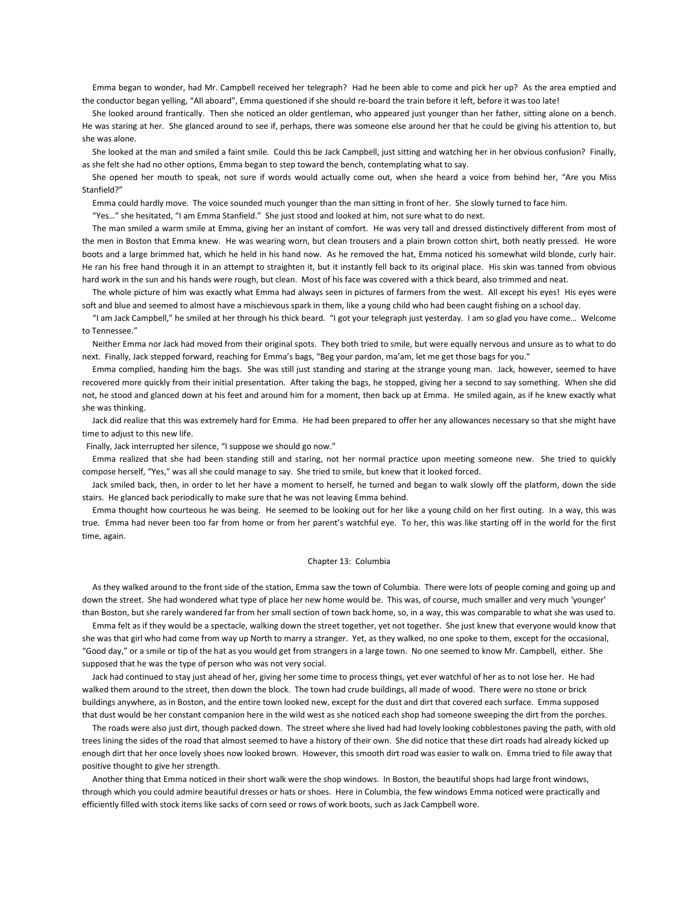Emma began to wonder, had Mr. Campbell received her telegraph? Had he been able to come and pick her up? As the area emptied and the conductor began yelling, "All aboard", Emma questioned if she should re-board the train before it left, before it was too late!

 She looked around frantically. Then she noticed an older gentleman, who appeared just younger than her father, sitting alone on a bench. He was staring at her. She glanced around to see if, perhaps, there was someone else around her that he could be giving his attention to, but she was alone.

 She looked at the man and smiled a faint smile. Could this be Jack Campbell, just sitting and watching her in her obvious confusion? Finally, as she felt she had no other options, Emma began to step toward the bench, contemplating what to say.

 She opened her mouth to speak, not sure if words would actually come out, when she heard a voice from behind her, "Are you Miss Stanfield?"

Emma could hardly move. The voice sounded much younger than the man sitting in front of her. She slowly turned to face him.

"Yes…" she hesitated, "I am Emma Stanfield." She just stood and looked at him, not sure what to do next.

 The man smiled a warm smile at Emma, giving her an instant of comfort. He was very tall and dressed distinctively different from most of the men in Boston that Emma knew. He was wearing worn, but clean trousers and a plain brown cotton shirt, both neatly pressed. He wore boots and a large brimmed hat, which he held in his hand now. As he removed the hat, Emma noticed his somewhat wild blonde, curly hair. He ran his free hand through it in an attempt to straighten it, but it instantly fell back to its original place. His skin was tanned from obvious hard work in the sun and his hands were rough, but clean. Most of his face was covered with a thick beard, also trimmed and neat.

 The whole picture of him was exactly what Emma had always seen in pictures of farmers from the west. All except his eyes! His eyes were soft and blue and seemed to almost have a mischievous spark in them, like a young child who had been caught fishing on a school day.

 "I am Jack Campbell," he smiled at her through his thick beard. "I got your telegraph just yesterday. I am so glad you have come… Welcome to Tennessee."

 Neither Emma nor Jack had moved from their original spots. They both tried to smile, but were equally nervous and unsure as to what to do next. Finally, Jack stepped forward, reaching for Emma's bags, "Beg your pardon, ma'am, let me get those bags for you."

 Emma complied, handing him the bags. She was still just standing and staring at the strange young man. Jack, however, seemed to have recovered more quickly from their initial presentation. After taking the bags, he stopped, giving her a second to say something. When she did not, he stood and glanced down at his feet and around him for a moment, then back up at Emma. He smiled again, as if he knew exactly what she was thinking.

 Jack did realize that this was extremely hard for Emma. He had been prepared to offer her any allowances necessary so that she might have time to adjust to this new life.

Finally, Jack interrupted her silence, "I suppose we should go now."

 Emma realized that she had been standing still and staring, not her normal practice upon meeting someone new. She tried to quickly compose herself, "Yes," was all she could manage to say. She tried to smile, but knew that it looked forced.

 Jack smiled back, then, in order to let her have a moment to herself, he turned and began to walk slowly off the platform, down the side stairs. He glanced back periodically to make sure that he was not leaving Emma behind.

 Emma thought how courteous he was being. He seemed to be looking out for her like a young child on her first outing. In a way, this was true. Emma had never been too far from home or from her parent's watchful eye. To her, this was like starting off in the world for the first time, again.

#### Chapter 13: Columbia

 As they walked around to the front side of the station, Emma saw the town of Columbia. There were lots of people coming and going up and down the street. She had wondered what type of place her new home would be. This was, of course, much smaller and very much 'younger' than Boston, but she rarely wandered far from her small section of town back home, so, in a way, this was comparable to what she was used to.

 Emma felt as if they would be a spectacle, walking down the street together, yet not together. She just knew that everyone would know that she was that girl who had come from way up North to marry a stranger. Yet, as they walked, no one spoke to them, except for the occasional, "Good day," or a smile or tip of the hat as you would get from strangers in a large town. No one seemed to know Mr. Campbell, either. She supposed that he was the type of person who was not very social.

 Jack had continued to stay just ahead of her, giving her some time to process things, yet ever watchful of her as to not lose her. He had walked them around to the street, then down the block. The town had crude buildings, all made of wood. There were no stone or brick buildings anywhere, as in Boston, and the entire town looked new, except for the dust and dirt that covered each surface. Emma supposed that dust would be her constant companion here in the wild west as she noticed each shop had someone sweeping the dirt from the porches.

 The roads were also just dirt, though packed down. The street where she lived had had lovely looking cobblestones paving the path, with old trees lining the sides of the road that almost seemed to have a history of their own. She did notice that these dirt roads had already kicked up enough dirt that her once lovely shoes now looked brown. However, this smooth dirt road was easier to walk on. Emma tried to file away that positive thought to give her strength.

 Another thing that Emma noticed in their short walk were the shop windows. In Boston, the beautiful shops had large front windows, through which you could admire beautiful dresses or hats or shoes. Here in Columbia, the few windows Emma noticed were practically and efficiently filled with stock items like sacks of corn seed or rows of work boots, such as Jack Campbell wore.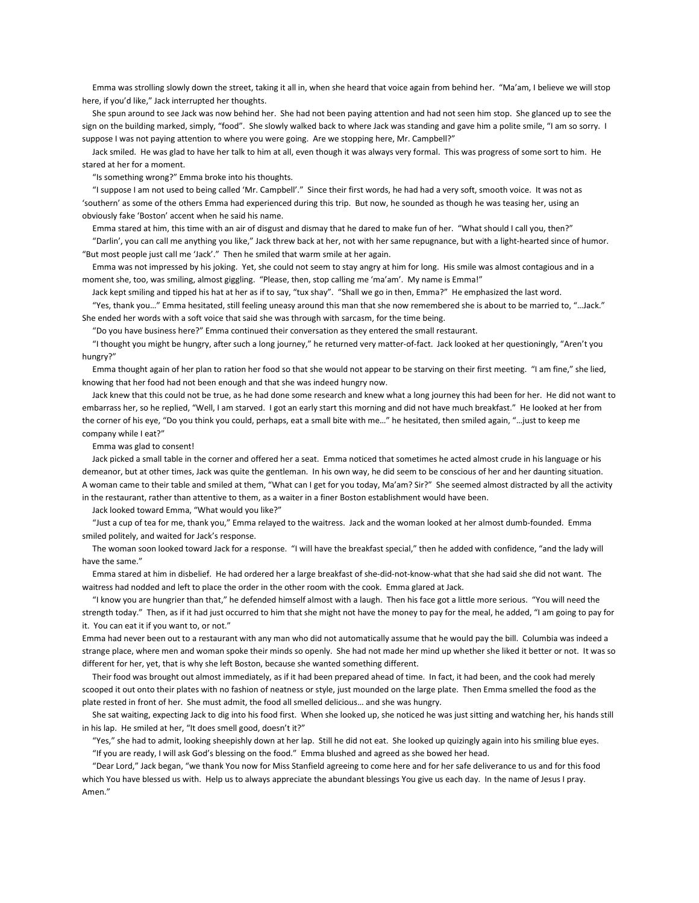Emma was strolling slowly down the street, taking it all in, when she heard that voice again from behind her. "Ma'am, I believe we will stop here, if you'd like," Jack interrupted her thoughts.

 She spun around to see Jack was now behind her. She had not been paying attention and had not seen him stop. She glanced up to see the sign on the building marked, simply, "food". She slowly walked back to where Jack was standing and gave him a polite smile, "I am so sorry. I suppose I was not paying attention to where you were going. Are we stopping here, Mr. Campbell?"

 Jack smiled. He was glad to have her talk to him at all, even though it was always very formal. This was progress of some sort to him. He stared at her for a moment.

"Is something wrong?" Emma broke into his thoughts.

 "I suppose I am not used to being called 'Mr. Campbell'." Since their first words, he had had a very soft, smooth voice. It was not as 'southern' as some of the others Emma had experienced during this trip. But now, he sounded as though he was teasing her, using an obviously fake 'Boston' accent when he said his name.

 Emma stared at him, this time with an air of disgust and dismay that he dared to make fun of her. "What should I call you, then?" "Darlin', you can call me anything you like," Jack threw back at her, not with her same repugnance, but with a light-hearted since of humor. "But most people just call me 'Jack'." Then he smiled that warm smile at her again.

 Emma was not impressed by his joking. Yet, she could not seem to stay angry at him for long. His smile was almost contagious and in a moment she, too, was smiling, almost giggling. "Please, then, stop calling me 'ma'am'. My name is Emma!"

Jack kept smiling and tipped his hat at her as if to say, "tux shay". "Shall we go in then, Emma?" He emphasized the last word.

 "Yes, thank you…" Emma hesitated, still feeling uneasy around this man that she now remembered she is about to be married to, "…Jack." She ended her words with a soft voice that said she was through with sarcasm, for the time being.

"Do you have business here?" Emma continued their conversation as they entered the small restaurant.

 "I thought you might be hungry, after such a long journey," he returned very matter-of-fact. Jack looked at her questioningly, "Aren't you hungry?"

 Emma thought again of her plan to ration her food so that she would not appear to be starving on their first meeting. "I am fine," she lied, knowing that her food had not been enough and that she was indeed hungry now.

 Jack knew that this could not be true, as he had done some research and knew what a long journey this had been for her. He did not want to embarrass her, so he replied, "Well, I am starved. I got an early start this morning and did not have much breakfast." He looked at her from the corner of his eye, "Do you think you could, perhaps, eat a small bite with me…" he hesitated, then smiled again, "…just to keep me company while I eat?"

Emma was glad to consent!

 Jack picked a small table in the corner and offered her a seat. Emma noticed that sometimes he acted almost crude in his language or his demeanor, but at other times, Jack was quite the gentleman. In his own way, he did seem to be conscious of her and her daunting situation. A woman came to their table and smiled at them, "What can I get for you today, Ma'am? Sir?" She seemed almost distracted by all the activity in the restaurant, rather than attentive to them, as a waiter in a finer Boston establishment would have been.

Jack looked toward Emma, "What would you like?"

 "Just a cup of tea for me, thank you," Emma relayed to the waitress. Jack and the woman looked at her almost dumb-founded. Emma smiled politely, and waited for Jack's response.

 The woman soon looked toward Jack for a response. "I will have the breakfast special," then he added with confidence, "and the lady will have the same."

 Emma stared at him in disbelief. He had ordered her a large breakfast of she-did-not-know-what that she had said she did not want. The waitress had nodded and left to place the order in the other room with the cook. Emma glared at Jack.

 "I know you are hungrier than that," he defended himself almost with a laugh. Then his face got a little more serious. "You will need the strength today." Then, as if it had just occurred to him that she might not have the money to pay for the meal, he added, "I am going to pay for it. You can eat it if you want to, or not."

Emma had never been out to a restaurant with any man who did not automatically assume that he would pay the bill. Columbia was indeed a strange place, where men and woman spoke their minds so openly. She had not made her mind up whether she liked it better or not. It was so different for her, yet, that is why she left Boston, because she wanted something different.

 Their food was brought out almost immediately, as if it had been prepared ahead of time. In fact, it had been, and the cook had merely scooped it out onto their plates with no fashion of neatness or style, just mounded on the large plate. Then Emma smelled the food as the plate rested in front of her. She must admit, the food all smelled delicious… and she was hungry.

 She sat waiting, expecting Jack to dig into his food first. When she looked up, she noticed he was just sitting and watching her, his hands still in his lap. He smiled at her, "It does smell good, doesn't it?"

 "Yes," she had to admit, looking sheepishly down at her lap. Still he did not eat. She looked up quizingly again into his smiling blue eyes. "If you are ready, I will ask God's blessing on the food." Emma blushed and agreed as she bowed her head.

 "Dear Lord," Jack began, "we thank You now for Miss Stanfield agreeing to come here and for her safe deliverance to us and for this food which You have blessed us with. Help us to always appreciate the abundant blessings You give us each day. In the name of Jesus I pray. Amen."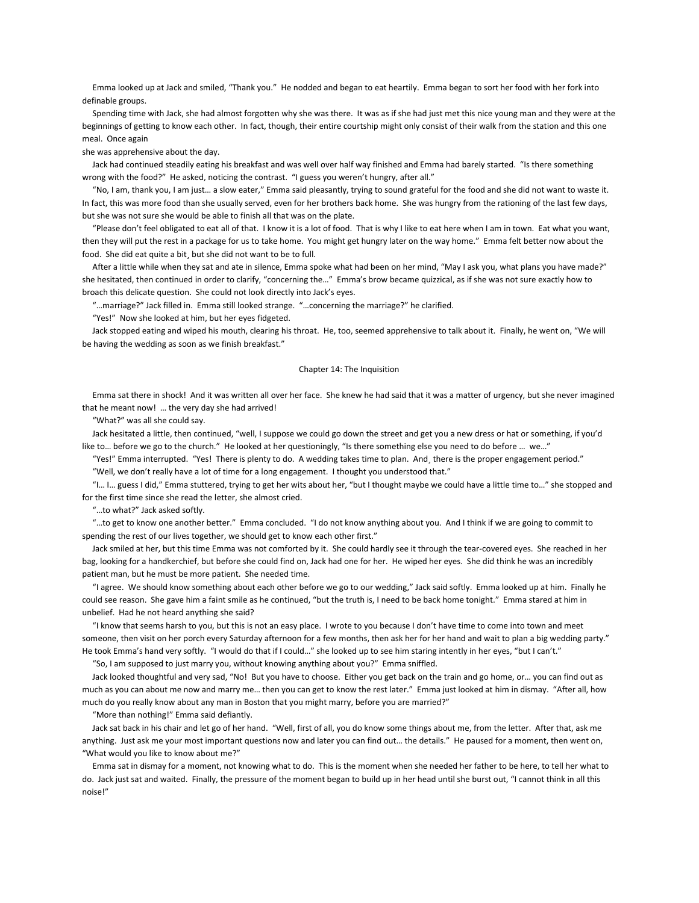Emma looked up at Jack and smiled, "Thank you." He nodded and began to eat heartily. Emma began to sort her food with her fork into definable groups.

 Spending time with Jack, she had almost forgotten why she was there. It was as if she had just met this nice young man and they were at the beginnings of getting to know each other. In fact, though, their entire courtship might only consist of their walk from the station and this one meal. Once again

she was apprehensive about the day.

 Jack had continued steadily eating his breakfast and was well over half way finished and Emma had barely started. "Is there something wrong with the food?" He asked, noticing the contrast. "I guess you weren't hungry, after all."

 "No, I am, thank you, I am just… a slow eater," Emma said pleasantly, trying to sound grateful for the food and she did not want to waste it. In fact, this was more food than she usually served, even for her brothers back home. She was hungry from the rationing of the last few days, but she was not sure she would be able to finish all that was on the plate.

 "Please don't feel obligated to eat all of that. I know it is a lot of food. That is why I like to eat here when I am in town. Eat what you want, then they will put the rest in a package for us to take home. You might get hungry later on the way home." Emma felt better now about the food. She did eat quite a bit¸ but she did not want to be to full.

 After a little while when they sat and ate in silence, Emma spoke what had been on her mind, "May I ask you, what plans you have made?" she hesitated, then continued in order to clarify, "concerning the…" Emma's brow became quizzical, as if she was not sure exactly how to broach this delicate question. She could not look directly into Jack's eyes.

"…marriage?" Jack filled in. Emma still looked strange. "…concerning the marriage?" he clarified.

"Yes!" Now she looked at him, but her eyes fidgeted.

 Jack stopped eating and wiped his mouth, clearing his throat. He, too, seemed apprehensive to talk about it. Finally, he went on, "We will be having the wedding as soon as we finish breakfast."

## Chapter 14: The Inquisition

 Emma sat there in shock! And it was written all over her face. She knew he had said that it was a matter of urgency, but she never imagined that he meant now! … the very day she had arrived!

"What?" was all she could say.

 Jack hesitated a little, then continued, "well, I suppose we could go down the street and get you a new dress or hat or something, if you'd like to... before we go to the church." He looked at her questioningly, "Is there something else you need to do before ... we..."

 "Yes!" Emma interrupted. "Yes! There is plenty to do. A wedding takes time to plan. And¸ there is the proper engagement period." "Well, we don't really have a lot of time for a long engagement. I thought you understood that."

 "I… I… guess I did," Emma stuttered, trying to get her wits about her, "but I thought maybe we could have a little time to…" she stopped and for the first time since she read the letter, she almost cried.

"…to what?" Jack asked softly.

 "…to get to know one another better." Emma concluded. "I do not know anything about you. And I think if we are going to commit to spending the rest of our lives together, we should get to know each other first."

 Jack smiled at her, but this time Emma was not comforted by it. She could hardly see it through the tear-covered eyes. She reached in her bag, looking for a handkerchief, but before she could find on, Jack had one for her. He wiped her eyes. She did think he was an incredibly patient man, but he must be more patient. She needed time.

 "I agree. We should know something about each other before we go to our wedding," Jack said softly. Emma looked up at him. Finally he could see reason. She gave him a faint smile as he continued, "but the truth is, I need to be back home tonight." Emma stared at him in unbelief. Had he not heard anything she said?

 "I know that seems harsh to you, but this is not an easy place. I wrote to you because I don't have time to come into town and meet someone, then visit on her porch every Saturday afternoon for a few months, then ask her for her hand and wait to plan a big wedding party." He took Emma's hand very softly. "I would do that if I could…" she looked up to see him staring intently in her eyes, "but I can't."

"So, I am supposed to just marry you, without knowing anything about you?" Emma sniffled.

 Jack looked thoughtful and very sad, "No! But you have to choose. Either you get back on the train and go home, or… you can find out as much as you can about me now and marry me… then you can get to know the rest later." Emma just looked at him in dismay. "After all, how much do you really know about any man in Boston that you might marry, before you are married?"

"More than nothing!" Emma said defiantly.

 Jack sat back in his chair and let go of her hand. "Well, first of all, you do know some things about me, from the letter. After that, ask me anything. Just ask me your most important questions now and later you can find out… the details." He paused for a moment, then went on, "What would you like to know about me?"

 Emma sat in dismay for a moment, not knowing what to do. This is the moment when she needed her father to be here, to tell her what to do. Jack just sat and waited. Finally, the pressure of the moment began to build up in her head until she burst out, "I cannot think in all this noise!"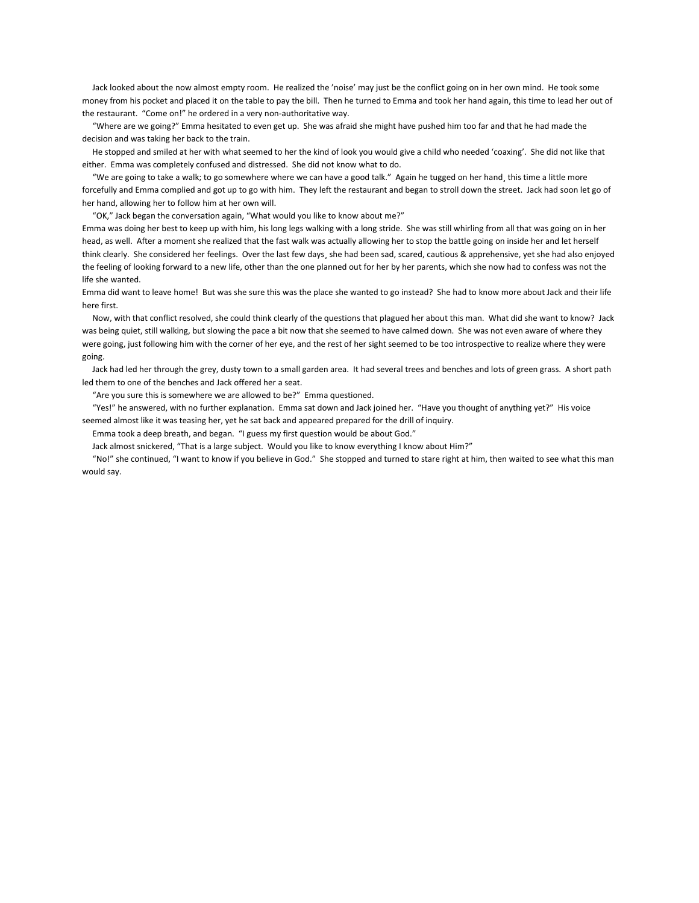Jack looked about the now almost empty room. He realized the 'noise' may just be the conflict going on in her own mind. He took some money from his pocket and placed it on the table to pay the bill. Then he turned to Emma and took her hand again, this time to lead her out of the restaurant. "Come on!" he ordered in a very non-authoritative way.

 "Where are we going?" Emma hesitated to even get up. She was afraid she might have pushed him too far and that he had made the decision and was taking her back to the train.

 He stopped and smiled at her with what seemed to her the kind of look you would give a child who needed 'coaxing'. She did not like that either. Emma was completely confused and distressed. She did not know what to do.

 "We are going to take a walk; to go somewhere where we can have a good talk." Again he tugged on her hand¸ this time a little more forcefully and Emma complied and got up to go with him. They left the restaurant and began to stroll down the street. Jack had soon let go of her hand, allowing her to follow him at her own will.

"OK," Jack began the conversation again, "What would you like to know about me?"

Emma was doing her best to keep up with him, his long legs walking with a long stride. She was still whirling from all that was going on in her head, as well. After a moment she realized that the fast walk was actually allowing her to stop the battle going on inside her and let herself think clearly. She considered her feelings. Over the last few days¸ she had been sad, scared, cautious & apprehensive, yet she had also enjoyed the feeling of looking forward to a new life, other than the one planned out for her by her parents, which she now had to confess was not the life she wanted.

Emma did want to leave home! But was she sure this was the place she wanted to go instead? She had to know more about Jack and their life here first.

 Now, with that conflict resolved, she could think clearly of the questions that plagued her about this man. What did she want to know? Jack was being quiet, still walking, but slowing the pace a bit now that she seemed to have calmed down. She was not even aware of where they were going, just following him with the corner of her eye, and the rest of her sight seemed to be too introspective to realize where they were going.

 Jack had led her through the grey, dusty town to a small garden area. It had several trees and benches and lots of green grass. A short path led them to one of the benches and Jack offered her a seat.

"Are you sure this is somewhere we are allowed to be?" Emma questioned.

 "Yes!" he answered, with no further explanation. Emma sat down and Jack joined her. "Have you thought of anything yet?" His voice seemed almost like it was teasing her, yet he sat back and appeared prepared for the drill of inquiry.

Emma took a deep breath, and began. "I guess my first question would be about God."

Jack almost snickered, "That is a large subject. Would you like to know everything I know about Him?"

 "No!" she continued, "I want to know if you believe in God." She stopped and turned to stare right at him, then waited to see what this man would say.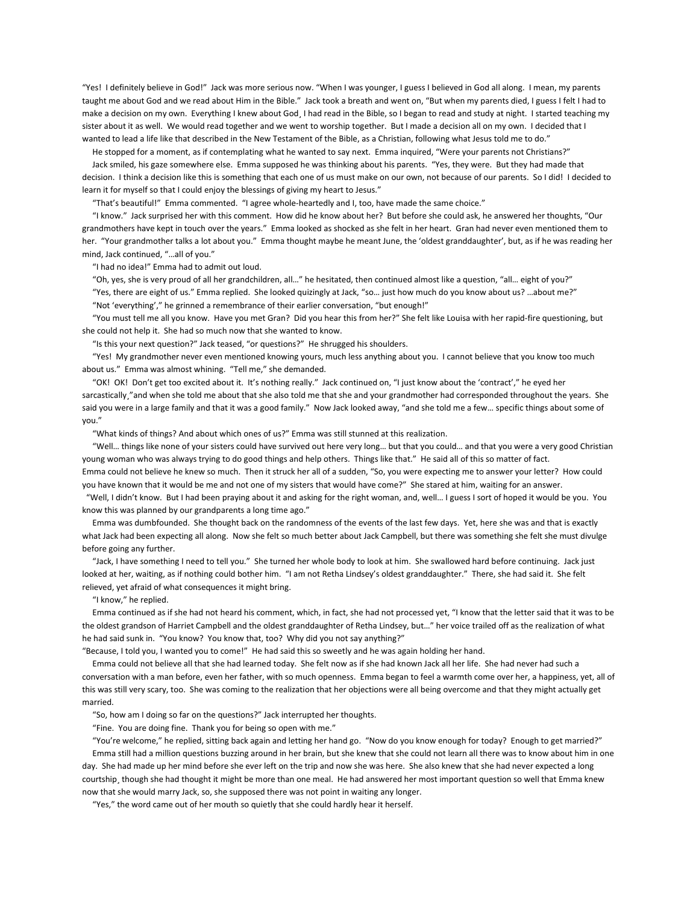"Yes! I definitely believe in God!" Jack was more serious now. "When I was younger, I guess I believed in God all along. I mean, my parents taught me about God and we read about Him in the Bible." Jack took a breath and went on, "But when my parents died, I guess I felt I had to make a decision on my own. Everything I knew about God¸ I had read in the Bible, so I began to read and study at night. I started teaching my sister about it as well. We would read together and we went to worship together. But I made a decision all on my own. I decided that I wanted to lead a life like that described in the New Testament of the Bible, as a Christian, following what Jesus told me to do."

 He stopped for a moment, as if contemplating what he wanted to say next. Emma inquired, "Were your parents not Christians?" Jack smiled, his gaze somewhere else. Emma supposed he was thinking about his parents. "Yes, they were. But they had made that decision. I think a decision like this is something that each one of us must make on our own, not because of our parents. So I did! I decided to learn it for myself so that I could enjoy the blessings of giving my heart to Jesus."

"That's beautiful!" Emma commented. "I agree whole-heartedly and I, too, have made the same choice."

 "I know." Jack surprised her with this comment. How did he know about her? But before she could ask, he answered her thoughts, "Our grandmothers have kept in touch over the years." Emma looked as shocked as she felt in her heart. Gran had never even mentioned them to her. "Your grandmother talks a lot about you." Emma thought maybe he meant June, the 'oldest granddaughter', but, as if he was reading her mind, Jack continued, "…all of you."

"I had no idea!" Emma had to admit out loud.

"Oh, yes, she is very proud of all her grandchildren, all…" he hesitated, then continued almost like a question, "all… eight of you?"

 "Yes, there are eight of us." Emma replied. She looked quizingly at Jack, "so… just how much do you know about us? …about me?" "Not 'everything'," he grinned a remembrance of their earlier conversation, "but enough!"

 "You must tell me all you know. Have you met Gran? Did you hear this from her?" She felt like Louisa with her rapid-fire questioning, but she could not help it. She had so much now that she wanted to know.

"Is this your next question?" Jack teased, "or questions?" He shrugged his shoulders.

 "Yes! My grandmother never even mentioned knowing yours, much less anything about you. I cannot believe that you know too much about us." Emma was almost whining. "Tell me," she demanded.

 "OK! OK! Don't get too excited about it. It's nothing really." Jack continued on, "I just know about the 'contract'," he eyed her sarcastically,"and when she told me about that she also told me that she and your grandmother had corresponded throughout the years. She said you were in a large family and that it was a good family." Now Jack looked away, "and she told me a few... specific things about some of you."

"What kinds of things? And about which ones of us?" Emma was still stunned at this realization.

 "Well… things like none of your sisters could have survived out here very long… but that you could… and that you were a very good Christian young woman who was always trying to do good things and help others. Things like that." He said all of this so matter of fact. Emma could not believe he knew so much. Then it struck her all of a sudden, "So, you were expecting me to answer your letter? How could you have known that it would be me and not one of my sisters that would have come?" She stared at him, waiting for an answer.

 "Well, I didn't know. But I had been praying about it and asking for the right woman, and, well… I guess I sort of hoped it would be you. You know this was planned by our grandparents a long time ago."

 Emma was dumbfounded. She thought back on the randomness of the events of the last few days. Yet, here she was and that is exactly what Jack had been expecting all along. Now she felt so much better about Jack Campbell, but there was something she felt she must divulge before going any further.

 "Jack, I have something I need to tell you." She turned her whole body to look at him. She swallowed hard before continuing. Jack just looked at her, waiting, as if nothing could bother him. "I am not Retha Lindsey's oldest granddaughter." There, she had said it. She felt relieved, yet afraid of what consequences it might bring.

"I know," he replied.

 Emma continued as if she had not heard his comment, which, in fact, she had not processed yet, "I know that the letter said that it was to be the oldest grandson of Harriet Campbell and the oldest granddaughter of Retha Lindsey, but…" her voice trailed off as the realization of what he had said sunk in. "You know? You know that, too? Why did you not say anything?"

"Because, I told you, I wanted you to come!" He had said this so sweetly and he was again holding her hand.

 Emma could not believe all that she had learned today. She felt now as if she had known Jack all her life. She had never had such a conversation with a man before, even her father, with so much openness. Emma began to feel a warmth come over her, a happiness, yet, all of this was still very scary, too. She was coming to the realization that her objections were all being overcome and that they might actually get married.

"So, how am I doing so far on the questions?" Jack interrupted her thoughts.

"Fine. You are doing fine. Thank you for being so open with me."

 "You're welcome," he replied, sitting back again and letting her hand go. "Now do you know enough for today? Enough to get married?" Emma still had a million questions buzzing around in her brain, but she knew that she could not learn all there was to know about him in one day. She had made up her mind before she ever left on the trip and now she was here. She also knew that she had never expected a long courtship¸ though she had thought it might be more than one meal. He had answered her most important question so well that Emma knew now that she would marry Jack, so, she supposed there was not point in waiting any longer.

"Yes," the word came out of her mouth so quietly that she could hardly hear it herself.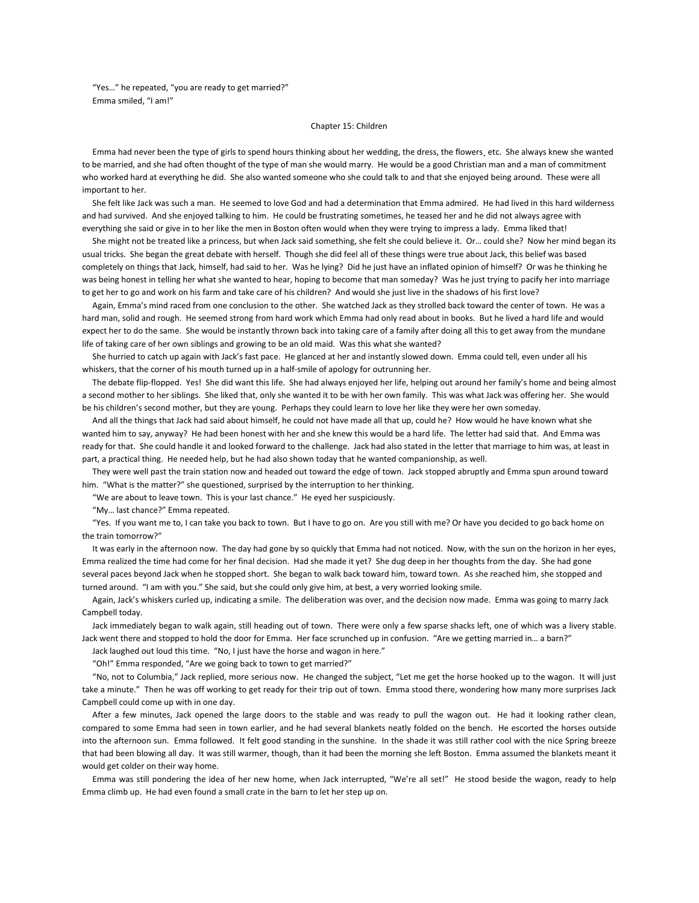"Yes…" he repeated, "you are ready to get married?" Emma smiled, "I am!"

### Chapter 15: Children

 Emma had never been the type of girls to spend hours thinking about her wedding, the dress, the flowers¸ etc. She always knew she wanted to be married, and she had often thought of the type of man she would marry. He would be a good Christian man and a man of commitment who worked hard at everything he did. She also wanted someone who she could talk to and that she enjoyed being around. These were all important to her.

 She felt like Jack was such a man. He seemed to love God and had a determination that Emma admired. He had lived in this hard wilderness and had survived. And she enjoyed talking to him. He could be frustrating sometimes, he teased her and he did not always agree with everything she said or give in to her like the men in Boston often would when they were trying to impress a lady. Emma liked that!

 She might not be treated like a princess, but when Jack said something, she felt she could believe it. Or… could she? Now her mind began its usual tricks. She began the great debate with herself. Though she did feel all of these things were true about Jack, this belief was based completely on things that Jack, himself, had said to her. Was he lying? Did he just have an inflated opinion of himself? Or was he thinking he was being honest in telling her what she wanted to hear, hoping to become that man someday? Was he just trying to pacify her into marriage to get her to go and work on his farm and take care of his children? And would she just live in the shadows of his first love?

 Again, Emma's mind raced from one conclusion to the other. She watched Jack as they strolled back toward the center of town. He was a hard man, solid and rough. He seemed strong from hard work which Emma had only read about in books. But he lived a hard life and would expect her to do the same. She would be instantly thrown back into taking care of a family after doing all this to get away from the mundane life of taking care of her own siblings and growing to be an old maid. Was this what she wanted?

 She hurried to catch up again with Jack's fast pace. He glanced at her and instantly slowed down. Emma could tell, even under all his whiskers, that the corner of his mouth turned up in a half-smile of apology for outrunning her.

 The debate flip-flopped. Yes! She did want this life. She had always enjoyed her life, helping out around her family's home and being almost a second mother to her siblings. She liked that, only she wanted it to be with her own family. This was what Jack was offering her. She would be his children's second mother, but they are young. Perhaps they could learn to love her like they were her own someday.

 And all the things that Jack had said about himself, he could not have made all that up, could he? How would he have known what she wanted him to say, anyway? He had been honest with her and she knew this would be a hard life. The letter had said that. And Emma was ready for that. She could handle it and looked forward to the challenge. Jack had also stated in the letter that marriage to him was, at least in part, a practical thing. He needed help, but he had also shown today that he wanted companionship, as well.

 They were well past the train station now and headed out toward the edge of town. Jack stopped abruptly and Emma spun around toward him. "What is the matter?" she questioned, surprised by the interruption to her thinking.

"We are about to leave town. This is your last chance." He eyed her suspiciously.

"My… last chance?" Emma repeated.

 "Yes. If you want me to, I can take you back to town. But I have to go on. Are you still with me? Or have you decided to go back home on the train tomorrow?"

 It was early in the afternoon now. The day had gone by so quickly that Emma had not noticed. Now, with the sun on the horizon in her eyes, Emma realized the time had come for her final decision. Had she made it yet? She dug deep in her thoughts from the day. She had gone several paces beyond Jack when he stopped short. She began to walk back toward him, toward town. As she reached him, she stopped and turned around. "I am with you." She said, but she could only give him, at best, a very worried looking smile.

 Again, Jack's whiskers curled up, indicating a smile. The deliberation was over, and the decision now made. Emma was going to marry Jack Campbell today.

 Jack immediately began to walk again, still heading out of town. There were only a few sparse shacks left, one of which was a livery stable. Jack went there and stopped to hold the door for Emma. Her face scrunched up in confusion. "Are we getting married in… a barn?"

Jack laughed out loud this time. "No, I just have the horse and wagon in here."

"Oh!" Emma responded, "Are we going back to town to get married?"

 "No, not to Columbia," Jack replied, more serious now. He changed the subject, "Let me get the horse hooked up to the wagon. It will just take a minute." Then he was off working to get ready for their trip out of town. Emma stood there, wondering how many more surprises Jack Campbell could come up with in one day.

 After a few minutes, Jack opened the large doors to the stable and was ready to pull the wagon out. He had it looking rather clean, compared to some Emma had seen in town earlier, and he had several blankets neatly folded on the bench. He escorted the horses outside into the afternoon sun. Emma followed. It felt good standing in the sunshine. In the shade it was still rather cool with the nice Spring breeze that had been blowing all day. It was still warmer, though, than it had been the morning she left Boston. Emma assumed the blankets meant it would get colder on their way home.

 Emma was still pondering the idea of her new home, when Jack interrupted, "We're all set!" He stood beside the wagon, ready to help Emma climb up. He had even found a small crate in the barn to let her step up on.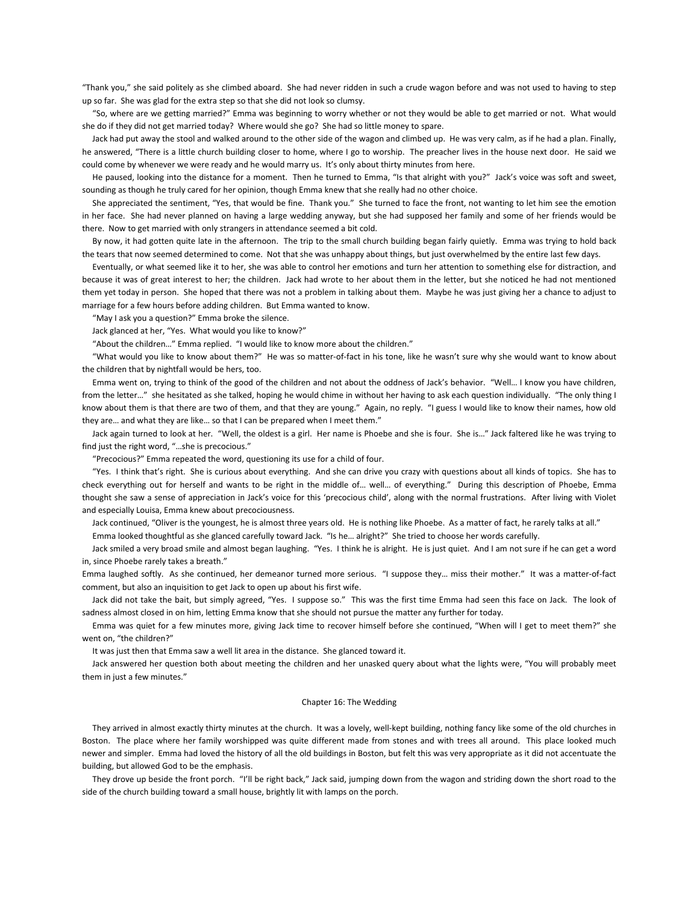"Thank you," she said politely as she climbed aboard. She had never ridden in such a crude wagon before and was not used to having to step up so far. She was glad for the extra step so that she did not look so clumsy.

 "So, where are we getting married?" Emma was beginning to worry whether or not they would be able to get married or not. What would she do if they did not get married today? Where would she go? She had so little money to spare.

 Jack had put away the stool and walked around to the other side of the wagon and climbed up. He was very calm, as if he had a plan. Finally, he answered, "There is a little church building closer to home, where I go to worship. The preacher lives in the house next door. He said we could come by whenever we were ready and he would marry us. It's only about thirty minutes from here.

 He paused, looking into the distance for a moment. Then he turned to Emma, "Is that alright with you?" Jack's voice was soft and sweet, sounding as though he truly cared for her opinion, though Emma knew that she really had no other choice.

 She appreciated the sentiment, "Yes, that would be fine. Thank you." She turned to face the front, not wanting to let him see the emotion in her face. She had never planned on having a large wedding anyway, but she had supposed her family and some of her friends would be there. Now to get married with only strangers in attendance seemed a bit cold.

 By now, it had gotten quite late in the afternoon. The trip to the small church building began fairly quietly. Emma was trying to hold back the tears that now seemed determined to come. Not that she was unhappy about things, but just overwhelmed by the entire last few days.

 Eventually, or what seemed like it to her, she was able to control her emotions and turn her attention to something else for distraction, and because it was of great interest to her; the children. Jack had wrote to her about them in the letter, but she noticed he had not mentioned them yet today in person. She hoped that there was not a problem in talking about them. Maybe he was just giving her a chance to adjust to marriage for a few hours before adding children. But Emma wanted to know.

"May I ask you a question?" Emma broke the silence.

Jack glanced at her, "Yes. What would you like to know?"

"About the children…" Emma replied. "I would like to know more about the children."

 "What would you like to know about them?" He was so matter-of-fact in his tone, like he wasn't sure why she would want to know about the children that by nightfall would be hers, too.

 Emma went on, trying to think of the good of the children and not about the oddness of Jack's behavior. "Well… I know you have children, from the letter..." she hesitated as she talked, hoping he would chime in without her having to ask each question individually. "The only thing I know about them is that there are two of them, and that they are young." Again, no reply. "I guess I would like to know their names, how old they are… and what they are like… so that I can be prepared when I meet them."

 Jack again turned to look at her. "Well, the oldest is a girl. Her name is Phoebe and she is four. She is…" Jack faltered like he was trying to find just the right word, "…she is precocious."

"Precocious?" Emma repeated the word, questioning its use for a child of four.

 "Yes. I think that's right. She is curious about everything. And she can drive you crazy with questions about all kinds of topics. She has to check everything out for herself and wants to be right in the middle of… well… of everything." During this description of Phoebe, Emma thought she saw a sense of appreciation in Jack's voice for this 'precocious child', along with the normal frustrations. After living with Violet and especially Louisa, Emma knew about precociousness.

Jack continued, "Oliver is the youngest, he is almost three years old. He is nothing like Phoebe. As a matter of fact, he rarely talks at all."

Emma looked thoughtful as she glanced carefully toward Jack. "Is he… alright?" She tried to choose her words carefully.

 Jack smiled a very broad smile and almost began laughing. "Yes. I think he is alright. He is just quiet. And I am not sure if he can get a word in, since Phoebe rarely takes a breath."

Emma laughed softly. As she continued, her demeanor turned more serious. "I suppose they… miss their mother." It was a matter-of-fact comment, but also an inquisition to get Jack to open up about his first wife.

 Jack did not take the bait, but simply agreed, "Yes. I suppose so." This was the first time Emma had seen this face on Jack. The look of sadness almost closed in on him, letting Emma know that she should not pursue the matter any further for today.

 Emma was quiet for a few minutes more, giving Jack time to recover himself before she continued, "When will I get to meet them?" she went on, "the children?"

It was just then that Emma saw a well lit area in the distance. She glanced toward it.

 Jack answered her question both about meeting the children and her unasked query about what the lights were, "You will probably meet them in just a few minutes."

## Chapter 16: The Wedding

 They arrived in almost exactly thirty minutes at the church. It was a lovely, well-kept building, nothing fancy like some of the old churches in Boston. The place where her family worshipped was quite different made from stones and with trees all around. This place looked much newer and simpler. Emma had loved the history of all the old buildings in Boston, but felt this was very appropriate as it did not accentuate the building, but allowed God to be the emphasis.

They drove up beside the front porch. "I'll be right back," Jack said, jumping down from the wagon and striding down the short road to the side of the church building toward a small house, brightly lit with lamps on the porch.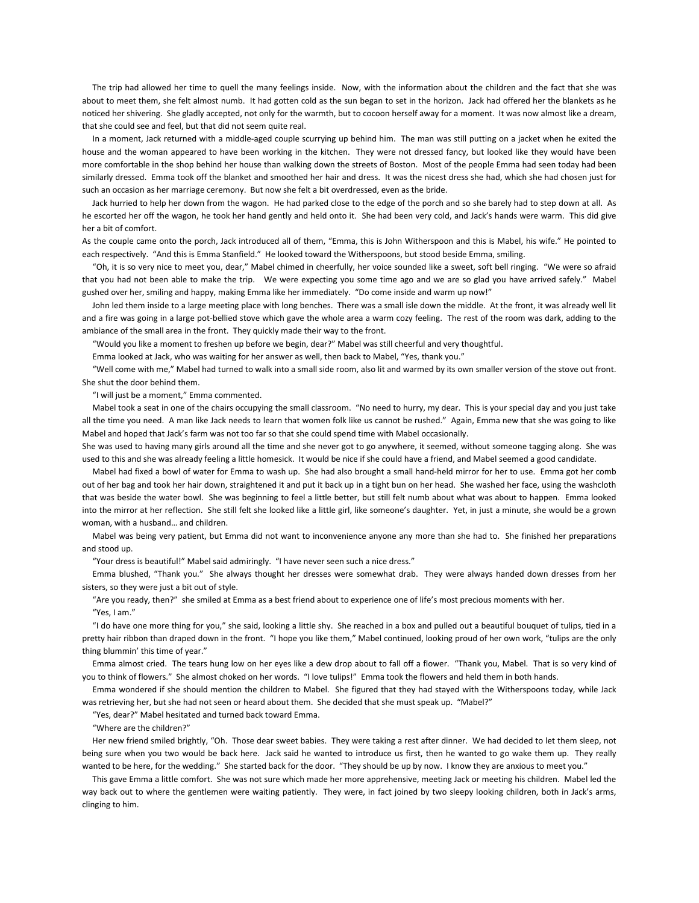The trip had allowed her time to quell the many feelings inside. Now, with the information about the children and the fact that she was about to meet them, she felt almost numb. It had gotten cold as the sun began to set in the horizon. Jack had offered her the blankets as he noticed her shivering. She gladly accepted, not only for the warmth, but to cocoon herself away for a moment. It was now almost like a dream, that she could see and feel, but that did not seem quite real.

 In a moment, Jack returned with a middle-aged couple scurrying up behind him. The man was still putting on a jacket when he exited the house and the woman appeared to have been working in the kitchen. They were not dressed fancy, but looked like they would have been more comfortable in the shop behind her house than walking down the streets of Boston. Most of the people Emma had seen today had been similarly dressed. Emma took off the blanket and smoothed her hair and dress. It was the nicest dress she had, which she had chosen just for such an occasion as her marriage ceremony. But now she felt a bit overdressed, even as the bride.

 Jack hurried to help her down from the wagon. He had parked close to the edge of the porch and so she barely had to step down at all. As he escorted her off the wagon, he took her hand gently and held onto it. She had been very cold, and Jack's hands were warm. This did give her a bit of comfort.

As the couple came onto the porch, Jack introduced all of them, "Emma, this is John Witherspoon and this is Mabel, his wife." He pointed to each respectively. "And this is Emma Stanfield." He looked toward the Witherspoons, but stood beside Emma, smiling.

 "Oh, it is so very nice to meet you, dear," Mabel chimed in cheerfully, her voice sounded like a sweet, soft bell ringing. "We were so afraid that you had not been able to make the trip. We were expecting you some time ago and we are so glad you have arrived safely." Mabel gushed over her, smiling and happy, making Emma like her immediately. "Do come inside and warm up now!"

 John led them inside to a large meeting place with long benches. There was a small isle down the middle. At the front, it was already well lit and a fire was going in a large pot-bellied stove which gave the whole area a warm cozy feeling. The rest of the room was dark, adding to the ambiance of the small area in the front. They quickly made their way to the front.

"Would you like a moment to freshen up before we begin, dear?" Mabel was still cheerful and very thoughtful.

Emma looked at Jack, who was waiting for her answer as well, then back to Mabel, "Yes, thank you."

 "Well come with me," Mabel had turned to walk into a small side room, also lit and warmed by its own smaller version of the stove out front. She shut the door behind them.

"I will just be a moment," Emma commented.

 Mabel took a seat in one of the chairs occupying the small classroom. "No need to hurry, my dear. This is your special day and you just take all the time you need. A man like Jack needs to learn that women folk like us cannot be rushed." Again, Emma new that she was going to like Mabel and hoped that Jack's farm was not too far so that she could spend time with Mabel occasionally.

She was used to having many girls around all the time and she never got to go anywhere, it seemed, without someone tagging along. She was used to this and she was already feeling a little homesick. It would be nice if she could have a friend, and Mabel seemed a good candidate.

 Mabel had fixed a bowl of water for Emma to wash up. She had also brought a small hand-held mirror for her to use. Emma got her comb out of her bag and took her hair down, straightened it and put it back up in a tight bun on her head. She washed her face, using the washcloth that was beside the water bowl. She was beginning to feel a little better, but still felt numb about what was about to happen. Emma looked into the mirror at her reflection. She still felt she looked like a little girl, like someone's daughter. Yet, in just a minute, she would be a grown woman, with a husband… and children.

 Mabel was being very patient, but Emma did not want to inconvenience anyone any more than she had to. She finished her preparations and stood up.

"Your dress is beautiful!" Mabel said admiringly. "I have never seen such a nice dress."

 Emma blushed, "Thank you." She always thought her dresses were somewhat drab. They were always handed down dresses from her sisters, so they were just a bit out of style.

"Are you ready, then?" she smiled at Emma as a best friend about to experience one of life's most precious moments with her.

"Yes, I am."

 "I do have one more thing for you," she said, looking a little shy. She reached in a box and pulled out a beautiful bouquet of tulips, tied in a pretty hair ribbon than draped down in the front. "I hope you like them," Mabel continued, looking proud of her own work, "tulips are the only thing blummin' this time of year."

 Emma almost cried. The tears hung low on her eyes like a dew drop about to fall off a flower. "Thank you, Mabel. That is so very kind of you to think of flowers." She almost choked on her words. "I love tulips!" Emma took the flowers and held them in both hands.

 Emma wondered if she should mention the children to Mabel. She figured that they had stayed with the Witherspoons today, while Jack was retrieving her, but she had not seen or heard about them. She decided that she must speak up. "Mabel?"

"Yes, dear?" Mabel hesitated and turned back toward Emma.

"Where are the children?"

 Her new friend smiled brightly, "Oh. Those dear sweet babies. They were taking a rest after dinner. We had decided to let them sleep, not being sure when you two would be back here. Jack said he wanted to introduce us first, then he wanted to go wake them up. They really wanted to be here, for the wedding." She started back for the door. "They should be up by now. I know they are anxious to meet you."

 This gave Emma a little comfort. She was not sure which made her more apprehensive, meeting Jack or meeting his children. Mabel led the way back out to where the gentlemen were waiting patiently. They were, in fact joined by two sleepy looking children, both in Jack's arms, clinging to him.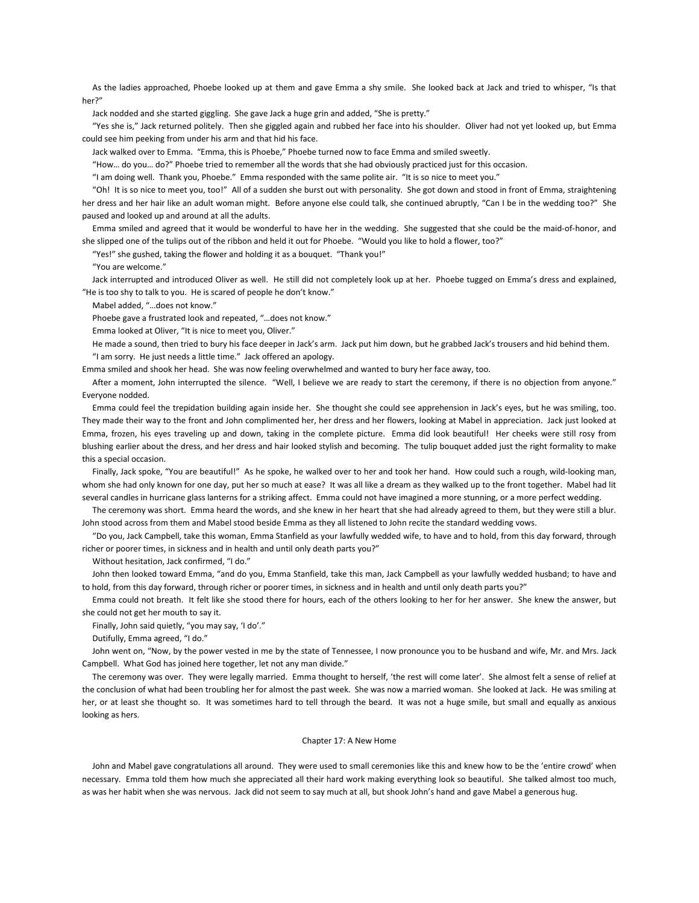As the ladies approached, Phoebe looked up at them and gave Emma a shy smile. She looked back at Jack and tried to whisper, "Is that her?"

Jack nodded and she started giggling. She gave Jack a huge grin and added, "She is pretty."

 "Yes she is," Jack returned politely. Then she giggled again and rubbed her face into his shoulder. Oliver had not yet looked up, but Emma could see him peeking from under his arm and that hid his face.

Jack walked over to Emma. "Emma, this is Phoebe," Phoebe turned now to face Emma and smiled sweetly.

"How… do you… do?" Phoebe tried to remember all the words that she had obviously practiced just for this occasion.

"I am doing well. Thank you, Phoebe." Emma responded with the same polite air. "It is so nice to meet you."

 "Oh! It is so nice to meet you, too!" All of a sudden she burst out with personality. She got down and stood in front of Emma, straightening her dress and her hair like an adult woman might. Before anyone else could talk, she continued abruptly, "Can I be in the wedding too?" She paused and looked up and around at all the adults.

 Emma smiled and agreed that it would be wonderful to have her in the wedding. She suggested that she could be the maid-of-honor, and she slipped one of the tulips out of the ribbon and held it out for Phoebe. "Would you like to hold a flower, too?"

"Yes!" she gushed, taking the flower and holding it as a bouquet. "Thank you!"

"You are welcome."

 Jack interrupted and introduced Oliver as well. He still did not completely look up at her. Phoebe tugged on Emma's dress and explained, "He is too shy to talk to you. He is scared of people he don't know."

Mabel added, "…does not know."

Phoebe gave a frustrated look and repeated, "…does not know."

Emma looked at Oliver, "It is nice to meet you, Oliver."

 He made a sound, then tried to bury his face deeper in Jack's arm. Jack put him down, but he grabbed Jack's trousers and hid behind them. "I am sorry. He just needs a little time." Jack offered an apology.

Emma smiled and shook her head. She was now feeling overwhelmed and wanted to bury her face away, too.

 After a moment, John interrupted the silence. "Well, I believe we are ready to start the ceremony, if there is no objection from anyone." Everyone nodded.

 Emma could feel the trepidation building again inside her. She thought she could see apprehension in Jack's eyes, but he was smiling, too. They made their way to the front and John complimented her, her dress and her flowers, looking at Mabel in appreciation. Jack just looked at Emma, frozen, his eyes traveling up and down, taking in the complete picture. Emma did look beautiful! Her cheeks were still rosy from blushing earlier about the dress, and her dress and hair looked stylish and becoming. The tulip bouquet added just the right formality to make this a special occasion.

Finally, Jack spoke, "You are beautiful!" As he spoke, he walked over to her and took her hand. How could such a rough, wild-looking man, whom she had only known for one day, put her so much at ease? It was all like a dream as they walked up to the front together. Mabel had lit several candles in hurricane glass lanterns for a striking affect. Emma could not have imagined a more stunning, or a more perfect wedding.

 The ceremony was short. Emma heard the words, and she knew in her heart that she had already agreed to them, but they were still a blur. John stood across from them and Mabel stood beside Emma as they all listened to John recite the standard wedding vows.

 "Do you, Jack Campbell, take this woman, Emma Stanfield as your lawfully wedded wife, to have and to hold, from this day forward, through richer or poorer times, in sickness and in health and until only death parts you?"

Without hesitation, Jack confirmed, "I do."

 John then looked toward Emma, "and do you, Emma Stanfield, take this man, Jack Campbell as your lawfully wedded husband; to have and to hold, from this day forward, through richer or poorer times, in sickness and in health and until only death parts you?"

 Emma could not breath. It felt like she stood there for hours, each of the others looking to her for her answer. She knew the answer, but she could not get her mouth to say it.

Finally, John said quietly, "you may say, 'I do'."

Dutifully, Emma agreed, "I do."

 John went on, "Now, by the power vested in me by the state of Tennessee, I now pronounce you to be husband and wife, Mr. and Mrs. Jack Campbell. What God has joined here together, let not any man divide."

 The ceremony was over. They were legally married. Emma thought to herself, 'the rest will come later'. She almost felt a sense of relief at the conclusion of what had been troubling her for almost the past week. She was now a married woman. She looked at Jack. He was smiling at her, or at least she thought so. It was sometimes hard to tell through the beard. It was not a huge smile, but small and equally as anxious looking as hers.

## Chapter 17: A New Home

 John and Mabel gave congratulations all around. They were used to small ceremonies like this and knew how to be the 'entire crowd' when necessary. Emma told them how much she appreciated all their hard work making everything look so beautiful. She talked almost too much, as was her habit when she was nervous. Jack did not seem to say much at all, but shook John's hand and gave Mabel a generous hug.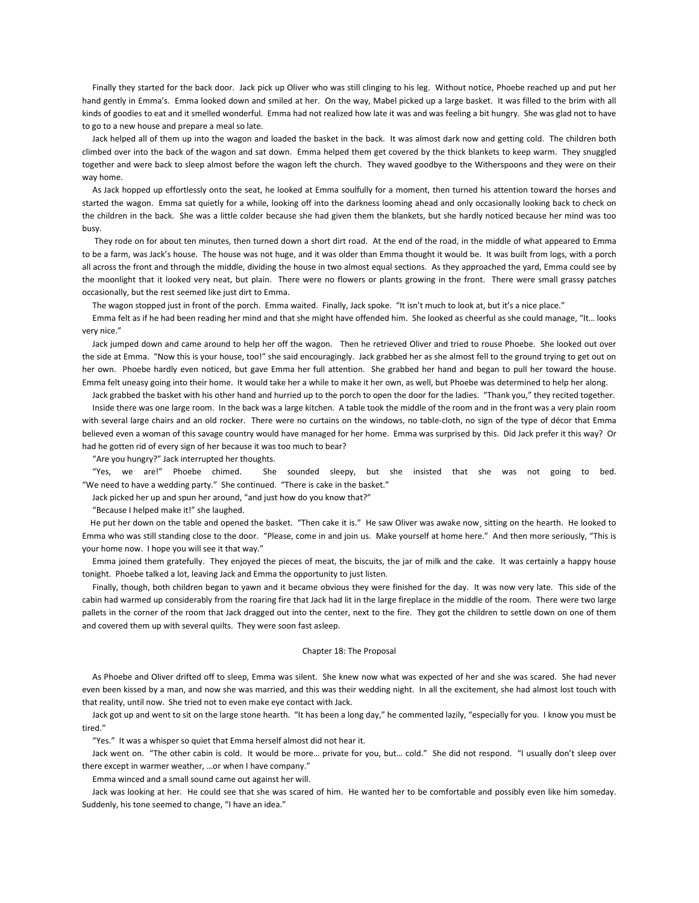Finally they started for the back door. Jack pick up Oliver who was still clinging to his leg. Without notice, Phoebe reached up and put her hand gently in Emma's. Emma looked down and smiled at her. On the way, Mabel picked up a large basket. It was filled to the brim with all kinds of goodies to eat and it smelled wonderful. Emma had not realized how late it was and was feeling a bit hungry. She was glad not to have to go to a new house and prepare a meal so late.

 Jack helped all of them up into the wagon and loaded the basket in the back. It was almost dark now and getting cold. The children both climbed over into the back of the wagon and sat down. Emma helped them get covered by the thick blankets to keep warm. They snuggled together and were back to sleep almost before the wagon left the church. They waved goodbye to the Witherspoons and they were on their way home.

 As Jack hopped up effortlessly onto the seat, he looked at Emma soulfully for a moment, then turned his attention toward the horses and started the wagon. Emma sat quietly for a while, looking off into the darkness looming ahead and only occasionally looking back to check on the children in the back. She was a little colder because she had given them the blankets, but she hardly noticed because her mind was too busy.

 They rode on for about ten minutes, then turned down a short dirt road. At the end of the road, in the middle of what appeared to Emma to be a farm, was Jack's house. The house was not huge, and it was older than Emma thought it would be. It was built from logs, with a porch all across the front and through the middle, dividing the house in two almost equal sections. As they approached the yard, Emma could see by the moonlight that it looked very neat, but plain. There were no flowers or plants growing in the front. There were small grassy patches occasionally, but the rest seemed like just dirt to Emma.

The wagon stopped just in front of the porch. Emma waited. Finally, Jack spoke. "It isn't much to look at, but it's a nice place."

 Emma felt as if he had been reading her mind and that she might have offended him. She looked as cheerful as she could manage, "It… looks very nice."

 Jack jumped down and came around to help her off the wagon. Then he retrieved Oliver and tried to rouse Phoebe. She looked out over the side at Emma. "Now this is your house, too!" she said encouragingly. Jack grabbed her as she almost fell to the ground trying to get out on her own. Phoebe hardly even noticed, but gave Emma her full attention. She grabbed her hand and began to pull her toward the house. Emma felt uneasy going into their home. It would take her a while to make it her own, as well, but Phoebe was determined to help her along.

 Jack grabbed the basket with his other hand and hurried up to the porch to open the door for the ladies. "Thank you," they recited together. Inside there was one large room. In the back was a large kitchen. A table took the middle of the room and in the front was a very plain room with several large chairs and an old rocker. There were no curtains on the windows, no table-cloth, no sign of the type of décor that Emma believed even a woman of this savage country would have managed for her home. Emma was surprised by this. Did Jack prefer it this way? Or had he gotten rid of every sign of her because it was too much to bear?

"Are you hungry?" Jack interrupted her thoughts.

 "Yes, we are!" Phoebe chimed. She sounded sleepy, but she insisted that she was not going to bed. "We need to have a wedding party." She continued. "There is cake in the basket."

Jack picked her up and spun her around, "and just how do you know that?"

"Because I helped make it!" she laughed.

 He put her down on the table and opened the basket. "Then cake it is." He saw Oliver was awake now¸ sitting on the hearth. He looked to Emma who was still standing close to the door. "Please, come in and join us. Make yourself at home here." And then more seriously, "This is your home now. I hope you will see it that way."

 Emma joined them gratefully. They enjoyed the pieces of meat, the biscuits, the jar of milk and the cake. It was certainly a happy house tonight. Phoebe talked a lot, leaving Jack and Emma the opportunity to just listen.

 Finally, though, both children began to yawn and it became obvious they were finished for the day. It was now very late. This side of the cabin had warmed up considerably from the roaring fire that Jack had lit in the large fireplace in the middle of the room. There were two large pallets in the corner of the room that Jack dragged out into the center, next to the fire. They got the children to settle down on one of them and covered them up with several quilts. They were soon fast asleep.

### Chapter 18: The Proposal

 As Phoebe and Oliver drifted off to sleep, Emma was silent. She knew now what was expected of her and she was scared. She had never even been kissed by a man, and now she was married, and this was their wedding night. In all the excitement, she had almost lost touch with that reality, until now. She tried not to even make eye contact with Jack.

Jack got up and went to sit on the large stone hearth. "It has been a long day," he commented lazily, "especially for you. I know you must be tired."

"Yes." It was a whisper so quiet that Emma herself almost did not hear it.

 Jack went on. "The other cabin is cold. It would be more… private for you, but… cold." She did not respond. "I usually don't sleep over there except in warmer weather, …or when I have company."

Emma winced and a small sound came out against her will.

 Jack was looking at her. He could see that she was scared of him. He wanted her to be comfortable and possibly even like him someday. Suddenly, his tone seemed to change, "I have an idea."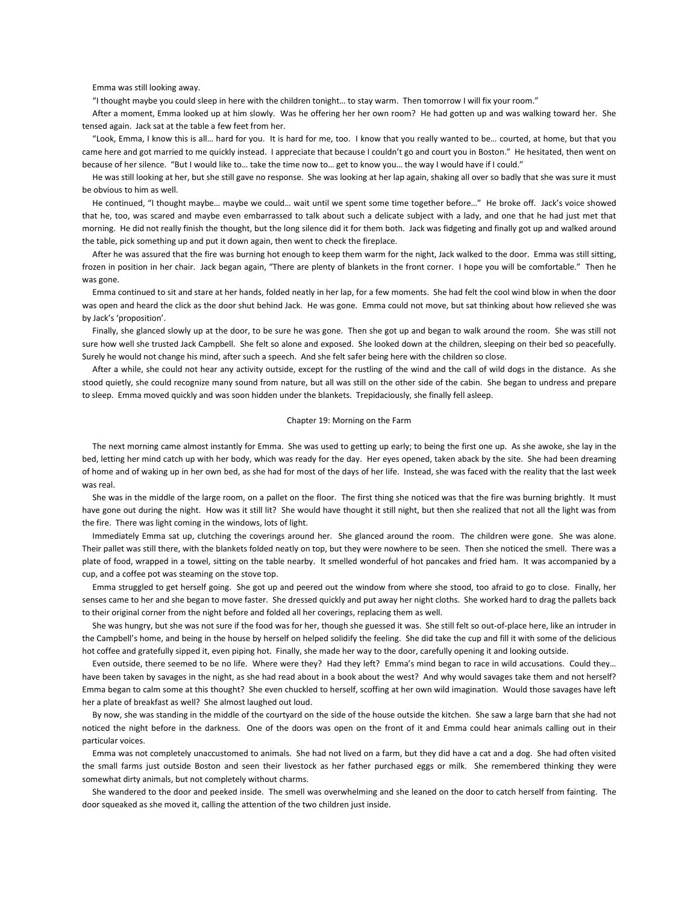Emma was still looking away.

"I thought maybe you could sleep in here with the children tonight… to stay warm. Then tomorrow I will fix your room."

 After a moment, Emma looked up at him slowly. Was he offering her her own room? He had gotten up and was walking toward her. She tensed again. Jack sat at the table a few feet from her.

 "Look, Emma, I know this is all… hard for you. It is hard for me, too. I know that you really wanted to be… courted, at home, but that you came here and got married to me quickly instead. I appreciate that because I couldn't go and court you in Boston." He hesitated, then went on because of her silence. "But I would like to… take the time now to… get to know you… the way I would have if I could."

 He was still looking at her, but she still gave no response. She was looking at her lap again, shaking all over so badly that she was sure it must be obvious to him as well.

 He continued, "I thought maybe… maybe we could… wait until we spent some time together before…" He broke off. Jack's voice showed that he, too, was scared and maybe even embarrassed to talk about such a delicate subject with a lady, and one that he had just met that morning. He did not really finish the thought, but the long silence did it for them both. Jack was fidgeting and finally got up and walked around the table, pick something up and put it down again, then went to check the fireplace.

 After he was assured that the fire was burning hot enough to keep them warm for the night, Jack walked to the door. Emma was still sitting, frozen in position in her chair. Jack began again, "There are plenty of blankets in the front corner. I hope you will be comfortable." Then he was gone.

 Emma continued to sit and stare at her hands, folded neatly in her lap, for a few moments. She had felt the cool wind blow in when the door was open and heard the click as the door shut behind Jack. He was gone. Emma could not move, but sat thinking about how relieved she was by Jack's 'proposition'.

 Finally, she glanced slowly up at the door, to be sure he was gone. Then she got up and began to walk around the room. She was still not sure how well she trusted Jack Campbell. She felt so alone and exposed. She looked down at the children, sleeping on their bed so peacefully. Surely he would not change his mind, after such a speech. And she felt safer being here with the children so close.

 After a while, she could not hear any activity outside, except for the rustling of the wind and the call of wild dogs in the distance. As she stood quietly, she could recognize many sound from nature, but all was still on the other side of the cabin. She began to undress and prepare to sleep. Emma moved quickly and was soon hidden under the blankets. Trepidaciously, she finally fell asleep.

### Chapter 19: Morning on the Farm

 The next morning came almost instantly for Emma. She was used to getting up early; to being the first one up. As she awoke, she lay in the bed, letting her mind catch up with her body, which was ready for the day. Her eyes opened, taken aback by the site. She had been dreaming of home and of waking up in her own bed, as she had for most of the days of her life. Instead, she was faced with the reality that the last week was real.

 She was in the middle of the large room, on a pallet on the floor. The first thing she noticed was that the fire was burning brightly. It must have gone out during the night. How was it still lit? She would have thought it still night, but then she realized that not all the light was from the fire. There was light coming in the windows, lots of light.

 Immediately Emma sat up, clutching the coverings around her. She glanced around the room. The children were gone. She was alone. Their pallet was still there, with the blankets folded neatly on top, but they were nowhere to be seen. Then she noticed the smell. There was a plate of food, wrapped in a towel, sitting on the table nearby. It smelled wonderful of hot pancakes and fried ham. It was accompanied by a cup, and a coffee pot was steaming on the stove top.

 Emma struggled to get herself going. She got up and peered out the window from where she stood, too afraid to go to close. Finally, her senses came to her and she began to move faster. She dressed quickly and put away her night cloths. She worked hard to drag the pallets back to their original corner from the night before and folded all her coverings, replacing them as well.

 She was hungry, but she was not sure if the food was for her, though she guessed it was. She still felt so out-of-place here, like an intruder in the Campbell's home, and being in the house by herself on helped solidify the feeling. She did take the cup and fill it with some of the delicious hot coffee and gratefully sipped it, even piping hot. Finally, she made her way to the door, carefully opening it and looking outside.

 Even outside, there seemed to be no life. Where were they? Had they left? Emma's mind began to race in wild accusations. Could they… have been taken by savages in the night, as she had read about in a book about the west? And why would savages take them and not herself? Emma began to calm some at this thought? She even chuckled to herself, scoffing at her own wild imagination. Would those savages have left her a plate of breakfast as well? She almost laughed out loud.

 By now, she was standing in the middle of the courtyard on the side of the house outside the kitchen. She saw a large barn that she had not noticed the night before in the darkness. One of the doors was open on the front of it and Emma could hear animals calling out in their particular voices.

 Emma was not completely unaccustomed to animals. She had not lived on a farm, but they did have a cat and a dog. She had often visited the small farms just outside Boston and seen their livestock as her father purchased eggs or milk. She remembered thinking they were somewhat dirty animals, but not completely without charms.

 She wandered to the door and peeked inside. The smell was overwhelming and she leaned on the door to catch herself from fainting. The door squeaked as she moved it, calling the attention of the two children just inside.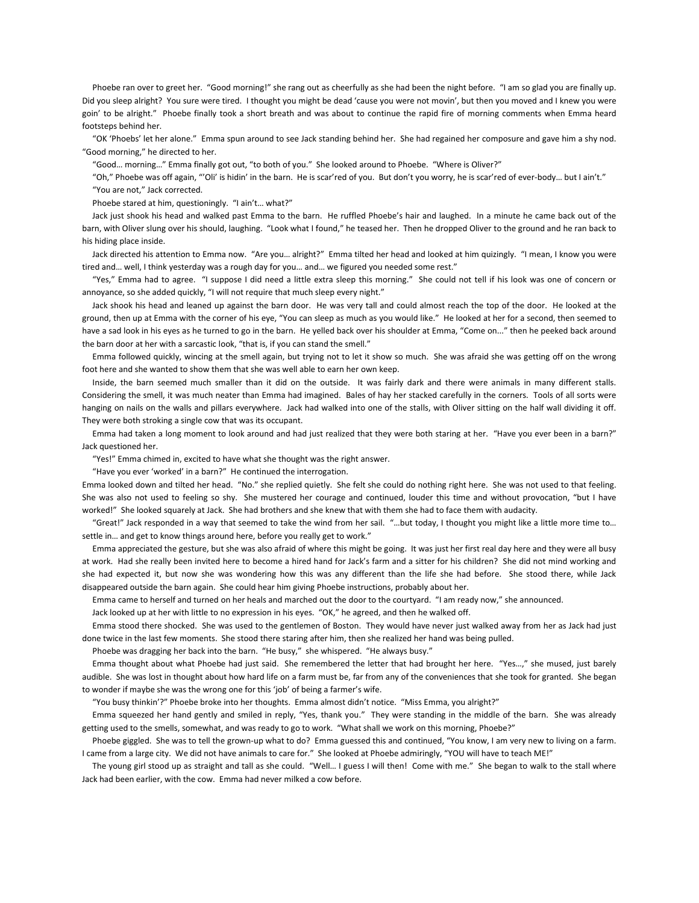Phoebe ran over to greet her. "Good morning!" she rang out as cheerfully as she had been the night before. "I am so glad you are finally up. Did you sleep alright? You sure were tired. I thought you might be dead 'cause you were not movin', but then you moved and I knew you were goin' to be alright." Phoebe finally took a short breath and was about to continue the rapid fire of morning comments when Emma heard footsteps behind her.

 "OK 'Phoebs' let her alone." Emma spun around to see Jack standing behind her. She had regained her composure and gave him a shy nod. "Good morning," he directed to her.

"Good… morning…" Emma finally got out, "to both of you." She looked around to Phoebe. "Where is Oliver?"

 "Oh," Phoebe was off again, "'Oli' is hidin' in the barn. He is scar'red of you. But don't you worry, he is scar'red of ever-body… but I ain't." "You are not," Jack corrected.

Phoebe stared at him, questioningly. "I ain't… what?"

 Jack just shook his head and walked past Emma to the barn. He ruffled Phoebe's hair and laughed. In a minute he came back out of the barn, with Oliver slung over his should, laughing. "Look what I found," he teased her. Then he dropped Oliver to the ground and he ran back to his hiding place inside.

 Jack directed his attention to Emma now. "Are you… alright?" Emma tilted her head and looked at him quizingly. "I mean, I know you were tired and… well, I think yesterday was a rough day for you… and… we figured you needed some rest."

 "Yes," Emma had to agree. "I suppose I did need a little extra sleep this morning." She could not tell if his look was one of concern or annoyance, so she added quickly, "I will not require that much sleep every night."

 Jack shook his head and leaned up against the barn door. He was very tall and could almost reach the top of the door. He looked at the ground, then up at Emma with the corner of his eye, "You can sleep as much as you would like." He looked at her for a second, then seemed to have a sad look in his eyes as he turned to go in the barn. He yelled back over his shoulder at Emma, "Come on..." then he peeked back around the barn door at her with a sarcastic look, "that is, if you can stand the smell."

 Emma followed quickly, wincing at the smell again, but trying not to let it show so much. She was afraid she was getting off on the wrong foot here and she wanted to show them that she was well able to earn her own keep.

 Inside, the barn seemed much smaller than it did on the outside. It was fairly dark and there were animals in many different stalls. Considering the smell, it was much neater than Emma had imagined. Bales of hay her stacked carefully in the corners. Tools of all sorts were hanging on nails on the walls and pillars everywhere. Jack had walked into one of the stalls, with Oliver sitting on the half wall dividing it off. They were both stroking a single cow that was its occupant.

 Emma had taken a long moment to look around and had just realized that they were both staring at her. "Have you ever been in a barn?" Jack questioned her.

"Yes!" Emma chimed in, excited to have what she thought was the right answer.

"Have you ever 'worked' in a barn?" He continued the interrogation.

Emma looked down and tilted her head. "No." she replied quietly. She felt she could do nothing right here. She was not used to that feeling. She was also not used to feeling so shy. She mustered her courage and continued, louder this time and without provocation, "but I have worked!" She looked squarely at Jack. She had brothers and she knew that with them she had to face them with audacity.

 "Great!" Jack responded in a way that seemed to take the wind from her sail. "…but today, I thought you might like a little more time to… settle in… and get to know things around here, before you really get to work."

 Emma appreciated the gesture, but she was also afraid of where this might be going. It was just her first real day here and they were all busy at work. Had she really been invited here to become a hired hand for Jack's farm and a sitter for his children? She did not mind working and she had expected it, but now she was wondering how this was any different than the life she had before. She stood there, while Jack disappeared outside the barn again. She could hear him giving Phoebe instructions, probably about her.

Emma came to herself and turned on her heals and marched out the door to the courtyard. "I am ready now," she announced.

Jack looked up at her with little to no expression in his eyes. "OK," he agreed, and then he walked off.

 Emma stood there shocked. She was used to the gentlemen of Boston. They would have never just walked away from her as Jack had just done twice in the last few moments. She stood there staring after him, then she realized her hand was being pulled.

Phoebe was dragging her back into the barn. "He busy," she whispered. "He always busy."

 Emma thought about what Phoebe had just said. She remembered the letter that had brought her here. "Yes…," she mused, just barely audible. She was lost in thought about how hard life on a farm must be, far from any of the conveniences that she took for granted. She began to wonder if maybe she was the wrong one for this 'job' of being a farmer's wife.

"You busy thinkin'?" Phoebe broke into her thoughts. Emma almost didn't notice. "Miss Emma, you alright?"

 Emma squeezed her hand gently and smiled in reply, "Yes, thank you." They were standing in the middle of the barn. She was already getting used to the smells, somewhat, and was ready to go to work. "What shall we work on this morning, Phoebe?"

 Phoebe giggled. She was to tell the grown-up what to do? Emma guessed this and continued, "You know, I am very new to living on a farm. I came from a large city. We did not have animals to care for." She looked at Phoebe admiringly, "YOU will have to teach ME!"

 The young girl stood up as straight and tall as she could. "Well… I guess I will then! Come with me." She began to walk to the stall where Jack had been earlier, with the cow. Emma had never milked a cow before.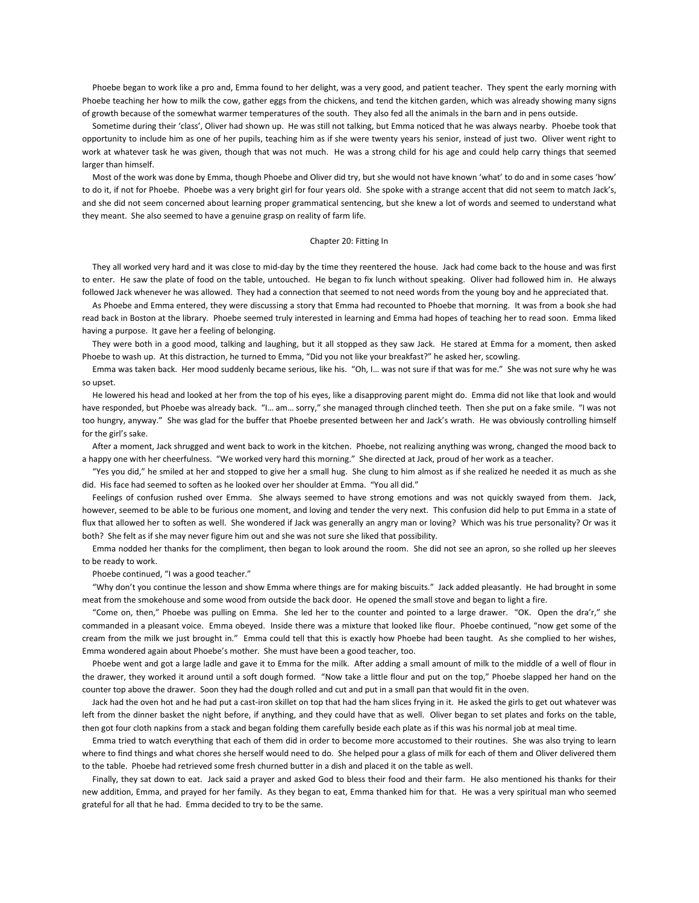Phoebe began to work like a pro and, Emma found to her delight, was a very good, and patient teacher. They spent the early morning with Phoebe teaching her how to milk the cow, gather eggs from the chickens, and tend the kitchen garden, which was already showing many signs of growth because of the somewhat warmer temperatures of the south. They also fed all the animals in the barn and in pens outside.

 Sometime during their 'class', Oliver had shown up. He was still not talking, but Emma noticed that he was always nearby. Phoebe took that opportunity to include him as one of her pupils, teaching him as if she were twenty years his senior, instead of just two. Oliver went right to work at whatever task he was given, though that was not much. He was a strong child for his age and could help carry things that seemed larger than himself.

 Most of the work was done by Emma, though Phoebe and Oliver did try, but she would not have known 'what' to do and in some cases 'how' to do it, if not for Phoebe. Phoebe was a very bright girl for four years old. She spoke with a strange accent that did not seem to match Jack's, and she did not seem concerned about learning proper grammatical sentencing, but she knew a lot of words and seemed to understand what they meant. She also seemed to have a genuine grasp on reality of farm life.

#### Chapter 20: Fitting In

 They all worked very hard and it was close to mid-day by the time they reentered the house. Jack had come back to the house and was first to enter. He saw the plate of food on the table, untouched. He began to fix lunch without speaking. Oliver had followed him in. He always followed Jack whenever he was allowed. They had a connection that seemed to not need words from the young boy and he appreciated that.

 As Phoebe and Emma entered, they were discussing a story that Emma had recounted to Phoebe that morning. It was from a book she had read back in Boston at the library. Phoebe seemed truly interested in learning and Emma had hopes of teaching her to read soon. Emma liked having a purpose. It gave her a feeling of belonging.

 They were both in a good mood, talking and laughing, but it all stopped as they saw Jack. He stared at Emma for a moment, then asked Phoebe to wash up. At this distraction, he turned to Emma, "Did you not like your breakfast?" he asked her, scowling.

 Emma was taken back. Her mood suddenly became serious, like his. "Oh, I… was not sure if that was for me." She was not sure why he was so upset.

 He lowered his head and looked at her from the top of his eyes, like a disapproving parent might do. Emma did not like that look and would have responded, but Phoebe was already back. "I... am... sorry," she managed through clinched teeth. Then she put on a fake smile. "I was not too hungry, anyway." She was glad for the buffer that Phoebe presented between her and Jack's wrath. He was obviously controlling himself for the girl's sake.

 After a moment, Jack shrugged and went back to work in the kitchen. Phoebe, not realizing anything was wrong, changed the mood back to a happy one with her cheerfulness. "We worked very hard this morning." She directed at Jack, proud of her work as a teacher.

 "Yes you did," he smiled at her and stopped to give her a small hug. She clung to him almost as if she realized he needed it as much as she did. His face had seemed to soften as he looked over her shoulder at Emma. "You all did."

 Feelings of confusion rushed over Emma. She always seemed to have strong emotions and was not quickly swayed from them. Jack, however, seemed to be able to be furious one moment, and loving and tender the very next. This confusion did help to put Emma in a state of flux that allowed her to soften as well. She wondered if Jack was generally an angry man or loving? Which was his true personality? Or was it both? She felt as if she may never figure him out and she was not sure she liked that possibility.

 Emma nodded her thanks for the compliment, then began to look around the room. She did not see an apron, so she rolled up her sleeves to be ready to work.

Phoebe continued, "I was a good teacher."

 "Why don't you continue the lesson and show Emma where things are for making biscuits." Jack added pleasantly. He had brought in some meat from the smokehouse and some wood from outside the back door. He opened the small stove and began to light a fire.

 "Come on, then," Phoebe was pulling on Emma. She led her to the counter and pointed to a large drawer. "OK. Open the dra'r," she commanded in a pleasant voice. Emma obeyed. Inside there was a mixture that looked like flour. Phoebe continued, "now get some of the cream from the milk we just brought in." Emma could tell that this is exactly how Phoebe had been taught. As she complied to her wishes, Emma wondered again about Phoebe's mother. She must have been a good teacher, too.

 Phoebe went and got a large ladle and gave it to Emma for the milk. After adding a small amount of milk to the middle of a well of flour in the drawer, they worked it around until a soft dough formed. "Now take a little flour and put on the top," Phoebe slapped her hand on the counter top above the drawer. Soon they had the dough rolled and cut and put in a small pan that would fit in the oven.

 Jack had the oven hot and he had put a cast-iron skillet on top that had the ham slices frying in it. He asked the girls to get out whatever was left from the dinner basket the night before, if anything, and they could have that as well. Oliver began to set plates and forks on the table, then got four cloth napkins from a stack and began folding them carefully beside each plate as if this was his normal job at meal time.

 Emma tried to watch everything that each of them did in order to become more accustomed to their routines. She was also trying to learn where to find things and what chores she herself would need to do. She helped pour a glass of milk for each of them and Oliver delivered them to the table. Phoebe had retrieved some fresh churned butter in a dish and placed it on the table as well.

 Finally, they sat down to eat. Jack said a prayer and asked God to bless their food and their farm. He also mentioned his thanks for their new addition, Emma, and prayed for her family. As they began to eat, Emma thanked him for that. He was a very spiritual man who seemed grateful for all that he had. Emma decided to try to be the same.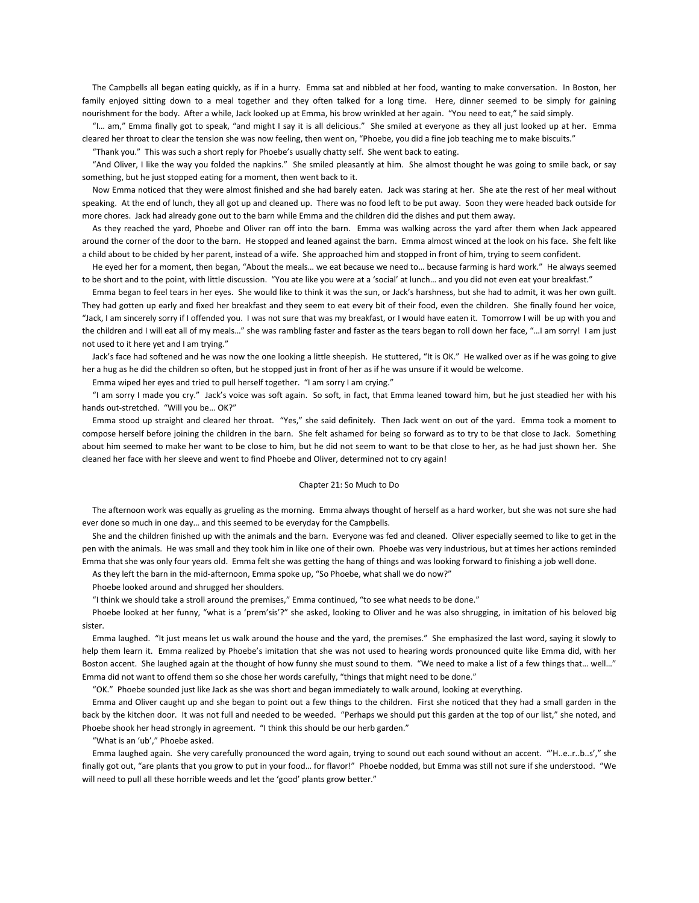The Campbells all began eating quickly, as if in a hurry. Emma sat and nibbled at her food, wanting to make conversation. In Boston, her family enjoyed sitting down to a meal together and they often talked for a long time. Here, dinner seemed to be simply for gaining nourishment for the body. After a while, Jack looked up at Emma, his brow wrinkled at her again. "You need to eat," he said simply.

 "I… am," Emma finally got to speak, "and might I say it is all delicious." She smiled at everyone as they all just looked up at her. Emma cleared her throat to clear the tension she was now feeling, then went on, "Phoebe, you did a fine job teaching me to make biscuits."

"Thank you." This was such a short reply for Phoebe's usually chatty self. She went back to eating.

 "And Oliver, I like the way you folded the napkins." She smiled pleasantly at him. She almost thought he was going to smile back, or say something, but he just stopped eating for a moment, then went back to it.

 Now Emma noticed that they were almost finished and she had barely eaten. Jack was staring at her. She ate the rest of her meal without speaking. At the end of lunch, they all got up and cleaned up. There was no food left to be put away. Soon they were headed back outside for more chores. Jack had already gone out to the barn while Emma and the children did the dishes and put them away.

 As they reached the yard, Phoebe and Oliver ran off into the barn. Emma was walking across the yard after them when Jack appeared around the corner of the door to the barn. He stopped and leaned against the barn. Emma almost winced at the look on his face. She felt like a child about to be chided by her parent, instead of a wife. She approached him and stopped in front of him, trying to seem confident.

 He eyed her for a moment, then began, "About the meals… we eat because we need to… because farming is hard work." He always seemed to be short and to the point, with little discussion. "You ate like you were at a 'social' at lunch… and you did not even eat your breakfast."

 Emma began to feel tears in her eyes. She would like to think it was the sun, or Jack's harshness, but she had to admit, it was her own guilt. They had gotten up early and fixed her breakfast and they seem to eat every bit of their food, even the children. She finally found her voice, "Jack, I am sincerely sorry if I offended you. I was not sure that was my breakfast, or I would have eaten it. Tomorrow I will be up with you and the children and I will eat all of my meals…" she was rambling faster and faster as the tears began to roll down her face, "…I am sorry! I am just not used to it here yet and I am trying."

Jack's face had softened and he was now the one looking a little sheepish. He stuttered, "It is OK." He walked over as if he was going to give her a hug as he did the children so often, but he stopped just in front of her as if he was unsure if it would be welcome.

Emma wiped her eyes and tried to pull herself together. "I am sorry I am crying."

 "I am sorry I made you cry." Jack's voice was soft again. So soft, in fact, that Emma leaned toward him, but he just steadied her with his hands out-stretched. "Will you be… OK?"

 Emma stood up straight and cleared her throat. "Yes," she said definitely. Then Jack went on out of the yard. Emma took a moment to compose herself before joining the children in the barn. She felt ashamed for being so forward as to try to be that close to Jack. Something about him seemed to make her want to be close to him, but he did not seem to want to be that close to her, as he had just shown her. She cleaned her face with her sleeve and went to find Phoebe and Oliver, determined not to cry again!

### Chapter 21: So Much to Do

 The afternoon work was equally as grueling as the morning. Emma always thought of herself as a hard worker, but she was not sure she had ever done so much in one day… and this seemed to be everyday for the Campbells.

 She and the children finished up with the animals and the barn. Everyone was fed and cleaned. Oliver especially seemed to like to get in the pen with the animals. He was small and they took him in like one of their own. Phoebe was very industrious, but at times her actions reminded Emma that she was only four years old. Emma felt she was getting the hang of things and was looking forward to finishing a job well done.

As they left the barn in the mid-afternoon, Emma spoke up, "So Phoebe, what shall we do now?"

Phoebe looked around and shrugged her shoulders.

"I think we should take a stroll around the premises," Emma continued, "to see what needs to be done."

Phoebe looked at her funny, "what is a 'prem'sis'?" she asked, looking to Oliver and he was also shrugging, in imitation of his beloved big sister.

 Emma laughed. "It just means let us walk around the house and the yard, the premises." She emphasized the last word, saying it slowly to help them learn it. Emma realized by Phoebe's imitation that she was not used to hearing words pronounced quite like Emma did, with her Boston accent. She laughed again at the thought of how funny she must sound to them. "We need to make a list of a few things that… well…" Emma did not want to offend them so she chose her words carefully, "things that might need to be done."

"OK." Phoebe sounded just like Jack as she was short and began immediately to walk around, looking at everything.

 Emma and Oliver caught up and she began to point out a few things to the children. First she noticed that they had a small garden in the back by the kitchen door. It was not full and needed to be weeded. "Perhaps we should put this garden at the top of our list," she noted, and Phoebe shook her head strongly in agreement. "I think this should be our herb garden."

"What is an 'ub'," Phoebe asked.

 Emma laughed again. She very carefully pronounced the word again, trying to sound out each sound without an accent. "'H..e..r..b..s'," she finally got out, "are plants that you grow to put in your food… for flavor!" Phoebe nodded, but Emma was still not sure if she understood. "We will need to pull all these horrible weeds and let the 'good' plants grow better."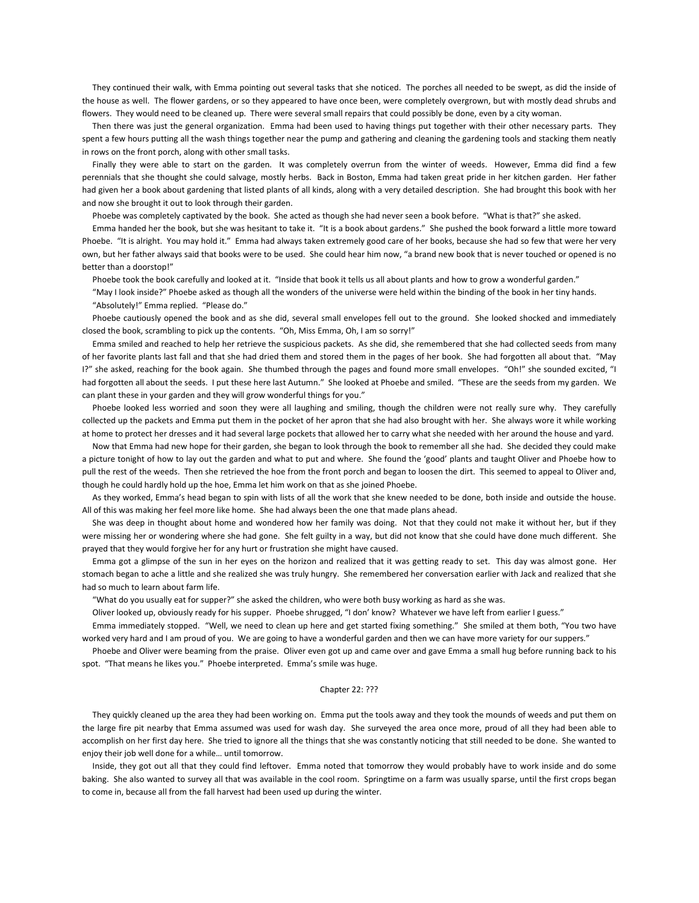They continued their walk, with Emma pointing out several tasks that she noticed. The porches all needed to be swept, as did the inside of the house as well. The flower gardens, or so they appeared to have once been, were completely overgrown, but with mostly dead shrubs and flowers. They would need to be cleaned up. There were several small repairs that could possibly be done, even by a city woman.

 Then there was just the general organization. Emma had been used to having things put together with their other necessary parts. They spent a few hours putting all the wash things together near the pump and gathering and cleaning the gardening tools and stacking them neatly in rows on the front porch, along with other small tasks.

 Finally they were able to start on the garden. It was completely overrun from the winter of weeds. However, Emma did find a few perennials that she thought she could salvage, mostly herbs. Back in Boston, Emma had taken great pride in her kitchen garden. Her father had given her a book about gardening that listed plants of all kinds, along with a very detailed description. She had brought this book with her and now she brought it out to look through their garden.

Phoebe was completely captivated by the book. She acted as though she had never seen a book before. "What is that?" she asked.

 Emma handed her the book, but she was hesitant to take it. "It is a book about gardens." She pushed the book forward a little more toward Phoebe. "It is alright. You may hold it." Emma had always taken extremely good care of her books, because she had so few that were her very own, but her father always said that books were to be used. She could hear him now, "a brand new book that is never touched or opened is no better than a doorstop!"

Phoebe took the book carefully and looked at it. "Inside that book it tells us all about plants and how to grow a wonderful garden."

 "May I look inside?" Phoebe asked as though all the wonders of the universe were held within the binding of the book in her tiny hands. "Absolutely!" Emma replied. "Please do."

 Phoebe cautiously opened the book and as she did, several small envelopes fell out to the ground. She looked shocked and immediately closed the book, scrambling to pick up the contents. "Oh, Miss Emma, Oh, I am so sorry!"

 Emma smiled and reached to help her retrieve the suspicious packets. As she did, she remembered that she had collected seeds from many of her favorite plants last fall and that she had dried them and stored them in the pages of her book. She had forgotten all about that. "May I?" she asked, reaching for the book again. She thumbed through the pages and found more small envelopes. "Oh!" she sounded excited, "I had forgotten all about the seeds. I put these here last Autumn." She looked at Phoebe and smiled. "These are the seeds from my garden. We can plant these in your garden and they will grow wonderful things for you."

 Phoebe looked less worried and soon they were all laughing and smiling, though the children were not really sure why. They carefully collected up the packets and Emma put them in the pocket of her apron that she had also brought with her. She always wore it while working at home to protect her dresses and it had several large pockets that allowed her to carry what she needed with her around the house and yard.

 Now that Emma had new hope for their garden, she began to look through the book to remember all she had. She decided they could make a picture tonight of how to lay out the garden and what to put and where. She found the 'good' plants and taught Oliver and Phoebe how to pull the rest of the weeds. Then she retrieved the hoe from the front porch and began to loosen the dirt. This seemed to appeal to Oliver and, though he could hardly hold up the hoe, Emma let him work on that as she joined Phoebe.

 As they worked, Emma's head began to spin with lists of all the work that she knew needed to be done, both inside and outside the house. All of this was making her feel more like home. She had always been the one that made plans ahead.

 She was deep in thought about home and wondered how her family was doing. Not that they could not make it without her, but if they were missing her or wondering where she had gone. She felt guilty in a way, but did not know that she could have done much different. She prayed that they would forgive her for any hurt or frustration she might have caused.

 Emma got a glimpse of the sun in her eyes on the horizon and realized that it was getting ready to set. This day was almost gone. Her stomach began to ache a little and she realized she was truly hungry. She remembered her conversation earlier with Jack and realized that she had so much to learn about farm life.

"What do you usually eat for supper?" she asked the children, who were both busy working as hard as she was.

Oliver looked up, obviously ready for his supper. Phoebe shrugged, "I don' know? Whatever we have left from earlier I guess."

 Emma immediately stopped. "Well, we need to clean up here and get started fixing something." She smiled at them both, "You two have worked very hard and I am proud of you. We are going to have a wonderful garden and then we can have more variety for our suppers."

 Phoebe and Oliver were beaming from the praise. Oliver even got up and came over and gave Emma a small hug before running back to his spot. "That means he likes you." Phoebe interpreted. Emma's smile was huge.

### Chapter 22: ???

 They quickly cleaned up the area they had been working on. Emma put the tools away and they took the mounds of weeds and put them on the large fire pit nearby that Emma assumed was used for wash day. She surveyed the area once more, proud of all they had been able to accomplish on her first day here. She tried to ignore all the things that she was constantly noticing that still needed to be done. She wanted to enjoy their job well done for a while… until tomorrow.

 Inside, they got out all that they could find leftover. Emma noted that tomorrow they would probably have to work inside and do some baking. She also wanted to survey all that was available in the cool room. Springtime on a farm was usually sparse, until the first crops began to come in, because all from the fall harvest had been used up during the winter.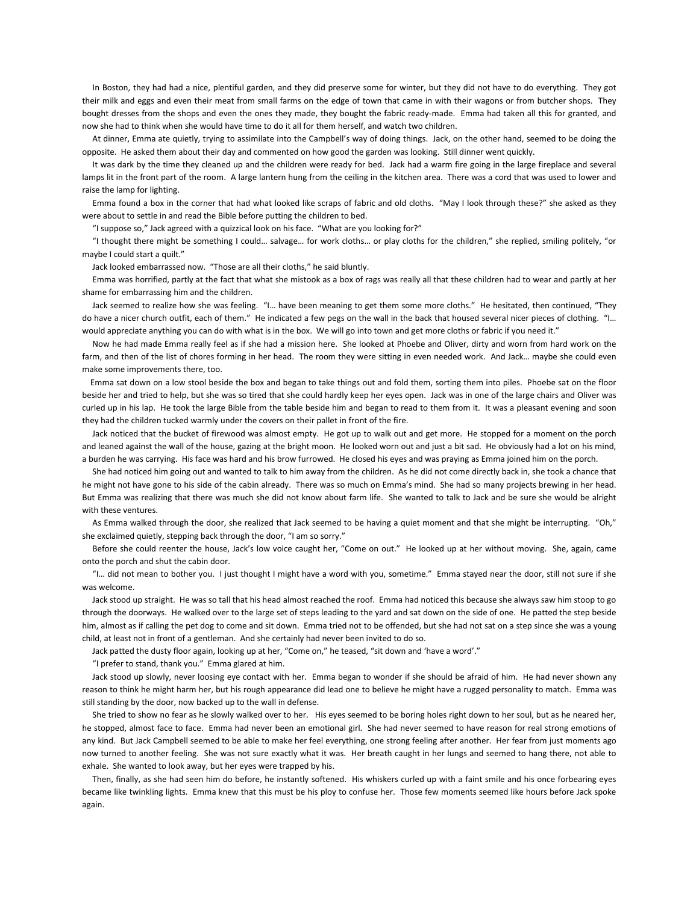In Boston, they had had a nice, plentiful garden, and they did preserve some for winter, but they did not have to do everything. They got their milk and eggs and even their meat from small farms on the edge of town that came in with their wagons or from butcher shops. They bought dresses from the shops and even the ones they made, they bought the fabric ready-made. Emma had taken all this for granted, and now she had to think when she would have time to do it all for them herself, and watch two children.

 At dinner, Emma ate quietly, trying to assimilate into the Campbell's way of doing things. Jack, on the other hand, seemed to be doing the opposite. He asked them about their day and commented on how good the garden was looking. Still dinner went quickly.

 It was dark by the time they cleaned up and the children were ready for bed. Jack had a warm fire going in the large fireplace and several lamps lit in the front part of the room. A large lantern hung from the ceiling in the kitchen area. There was a cord that was used to lower and raise the lamp for lighting.

 Emma found a box in the corner that had what looked like scraps of fabric and old cloths. "May I look through these?" she asked as they were about to settle in and read the Bible before putting the children to bed.

"I suppose so," Jack agreed with a quizzical look on his face. "What are you looking for?"

 "I thought there might be something I could… salvage… for work cloths… or play cloths for the children," she replied, smiling politely, "or maybe I could start a quilt."

Jack looked embarrassed now. "Those are all their cloths," he said bluntly.

 Emma was horrified, partly at the fact that what she mistook as a box of rags was really all that these children had to wear and partly at her shame for embarrassing him and the children.

 Jack seemed to realize how she was feeling. "I… have been meaning to get them some more cloths." He hesitated, then continued, "They do have a nicer church outfit, each of them." He indicated a few pegs on the wall in the back that housed several nicer pieces of clothing. "I… would appreciate anything you can do with what is in the box. We will go into town and get more cloths or fabric if you need it."

 Now he had made Emma really feel as if she had a mission here. She looked at Phoebe and Oliver, dirty and worn from hard work on the farm, and then of the list of chores forming in her head. The room they were sitting in even needed work. And Jack… maybe she could even make some improvements there, too.

 Emma sat down on a low stool beside the box and began to take things out and fold them, sorting them into piles. Phoebe sat on the floor beside her and tried to help, but she was so tired that she could hardly keep her eyes open. Jack was in one of the large chairs and Oliver was curled up in his lap. He took the large Bible from the table beside him and began to read to them from it. It was a pleasant evening and soon they had the children tucked warmly under the covers on their pallet in front of the fire.

 Jack noticed that the bucket of firewood was almost empty. He got up to walk out and get more. He stopped for a moment on the porch and leaned against the wall of the house, gazing at the bright moon. He looked worn out and just a bit sad. He obviously had a lot on his mind, a burden he was carrying. His face was hard and his brow furrowed. He closed his eyes and was praying as Emma joined him on the porch.

 She had noticed him going out and wanted to talk to him away from the children. As he did not come directly back in, she took a chance that he might not have gone to his side of the cabin already. There was so much on Emma's mind. She had so many projects brewing in her head. But Emma was realizing that there was much she did not know about farm life. She wanted to talk to Jack and be sure she would be alright with these ventures.

 As Emma walked through the door, she realized that Jack seemed to be having a quiet moment and that she might be interrupting. "Oh," she exclaimed quietly, stepping back through the door, "I am so sorry."

 Before she could reenter the house, Jack's low voice caught her, "Come on out." He looked up at her without moving. She, again, came onto the porch and shut the cabin door.

 "I… did not mean to bother you. I just thought I might have a word with you, sometime." Emma stayed near the door, still not sure if she was welcome.

 Jack stood up straight. He was so tall that his head almost reached the roof. Emma had noticed this because she always saw him stoop to go through the doorways. He walked over to the large set of steps leading to the yard and sat down on the side of one. He patted the step beside him, almost as if calling the pet dog to come and sit down. Emma tried not to be offended, but she had not sat on a step since she was a young child, at least not in front of a gentleman. And she certainly had never been invited to do so.

Jack patted the dusty floor again, looking up at her, "Come on," he teased, "sit down and 'have a word'."

"I prefer to stand, thank you." Emma glared at him.

 Jack stood up slowly, never loosing eye contact with her. Emma began to wonder if she should be afraid of him. He had never shown any reason to think he might harm her, but his rough appearance did lead one to believe he might have a rugged personality to match. Emma was still standing by the door, now backed up to the wall in defense.

 She tried to show no fear as he slowly walked over to her. His eyes seemed to be boring holes right down to her soul, but as he neared her, he stopped, almost face to face. Emma had never been an emotional girl. She had never seemed to have reason for real strong emotions of any kind. But Jack Campbell seemed to be able to make her feel everything, one strong feeling after another. Her fear from just moments ago now turned to another feeling. She was not sure exactly what it was. Her breath caught in her lungs and seemed to hang there, not able to exhale. She wanted to look away, but her eyes were trapped by his.

 Then, finally, as she had seen him do before, he instantly softened. His whiskers curled up with a faint smile and his once forbearing eyes became like twinkling lights. Emma knew that this must be his ploy to confuse her. Those few moments seemed like hours before Jack spoke again.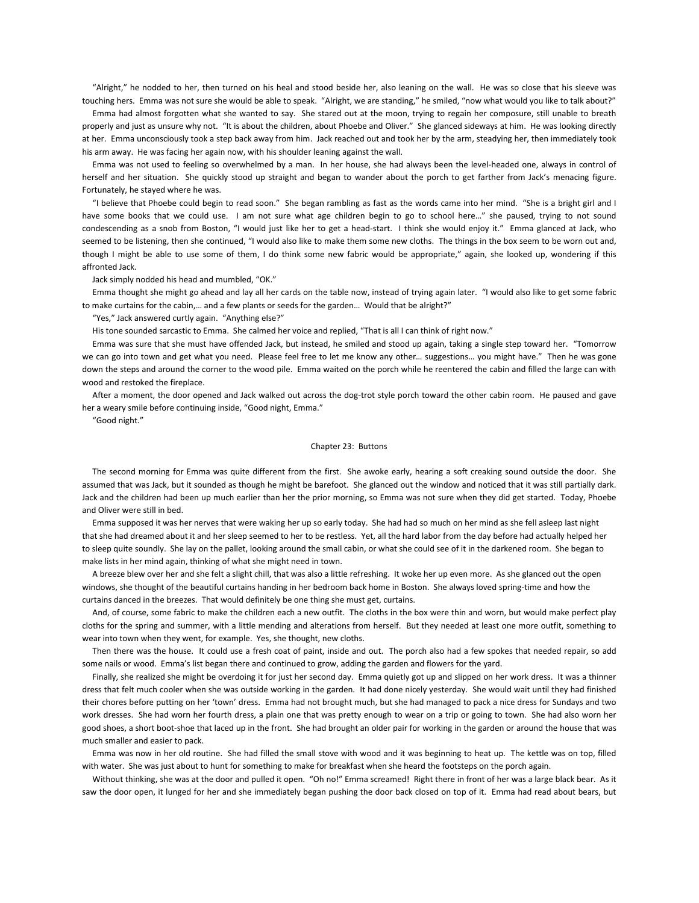"Alright," he nodded to her, then turned on his heal and stood beside her, also leaning on the wall. He was so close that his sleeve was touching hers. Emma was not sure she would be able to speak. "Alright, we are standing," he smiled, "now what would you like to talk about?"

 Emma had almost forgotten what she wanted to say. She stared out at the moon, trying to regain her composure, still unable to breath properly and just as unsure why not. "It is about the children, about Phoebe and Oliver." She glanced sideways at him. He was looking directly at her. Emma unconsciously took a step back away from him. Jack reached out and took her by the arm, steadying her, then immediately took his arm away. He was facing her again now, with his shoulder leaning against the wall.

 Emma was not used to feeling so overwhelmed by a man. In her house, she had always been the level-headed one, always in control of herself and her situation. She quickly stood up straight and began to wander about the porch to get farther from Jack's menacing figure. Fortunately, he stayed where he was.

 "I believe that Phoebe could begin to read soon." She began rambling as fast as the words came into her mind. "She is a bright girl and I have some books that we could use. I am not sure what age children begin to go to school here..." she paused, trying to not sound condescending as a snob from Boston, "I would just like her to get a head-start. I think she would enjoy it." Emma glanced at Jack, who seemed to be listening, then she continued, "I would also like to make them some new cloths. The things in the box seem to be worn out and, though I might be able to use some of them, I do think some new fabric would be appropriate," again, she looked up, wondering if this affronted Jack.

Jack simply nodded his head and mumbled, "OK."

 Emma thought she might go ahead and lay all her cards on the table now, instead of trying again later. "I would also like to get some fabric to make curtains for the cabin,… and a few plants or seeds for the garden… Would that be alright?"

"Yes," Jack answered curtly again. "Anything else?"

His tone sounded sarcastic to Emma. She calmed her voice and replied, "That is all I can think of right now."

 Emma was sure that she must have offended Jack, but instead, he smiled and stood up again, taking a single step toward her. "Tomorrow we can go into town and get what you need. Please feel free to let me know any other… suggestions… you might have." Then he was gone down the steps and around the corner to the wood pile. Emma waited on the porch while he reentered the cabin and filled the large can with wood and restoked the fireplace.

 After a moment, the door opened and Jack walked out across the dog-trot style porch toward the other cabin room. He paused and gave her a weary smile before continuing inside, "Good night, Emma."

"Good night."

## Chapter 23: Buttons

 The second morning for Emma was quite different from the first. She awoke early, hearing a soft creaking sound outside the door. She assumed that was Jack, but it sounded as though he might be barefoot. She glanced out the window and noticed that it was still partially dark. Jack and the children had been up much earlier than her the prior morning, so Emma was not sure when they did get started. Today, Phoebe and Oliver were still in bed.

 Emma supposed it was her nerves that were waking her up so early today. She had had so much on her mind as she fell asleep last night that she had dreamed about it and her sleep seemed to her to be restless. Yet, all the hard labor from the day before had actually helped her to sleep quite soundly. She lay on the pallet, looking around the small cabin, or what she could see of it in the darkened room. She began to make lists in her mind again, thinking of what she might need in town.

 A breeze blew over her and she felt a slight chill, that was also a little refreshing. It woke her up even more. As she glanced out the open windows, she thought of the beautiful curtains handing in her bedroom back home in Boston. She always loved spring-time and how the curtains danced in the breezes. That would definitely be one thing she must get, curtains.

 And, of course, some fabric to make the children each a new outfit. The cloths in the box were thin and worn, but would make perfect play cloths for the spring and summer, with a little mending and alterations from herself. But they needed at least one more outfit, something to wear into town when they went, for example. Yes, she thought, new cloths.

 Then there was the house. It could use a fresh coat of paint, inside and out. The porch also had a few spokes that needed repair, so add some nails or wood. Emma's list began there and continued to grow, adding the garden and flowers for the yard.

 Finally, she realized she might be overdoing it for just her second day. Emma quietly got up and slipped on her work dress. It was a thinner dress that felt much cooler when she was outside working in the garden. It had done nicely yesterday. She would wait until they had finished their chores before putting on her 'town' dress. Emma had not brought much, but she had managed to pack a nice dress for Sundays and two work dresses. She had worn her fourth dress, a plain one that was pretty enough to wear on a trip or going to town. She had also worn her good shoes, a short boot-shoe that laced up in the front. She had brought an older pair for working in the garden or around the house that was much smaller and easier to pack.

 Emma was now in her old routine. She had filled the small stove with wood and it was beginning to heat up. The kettle was on top, filled with water. She was just about to hunt for something to make for breakfast when she heard the footsteps on the porch again.

 Without thinking, she was at the door and pulled it open. "Oh no!" Emma screamed! Right there in front of her was a large black bear. As it saw the door open, it lunged for her and she immediately began pushing the door back closed on top of it. Emma had read about bears, but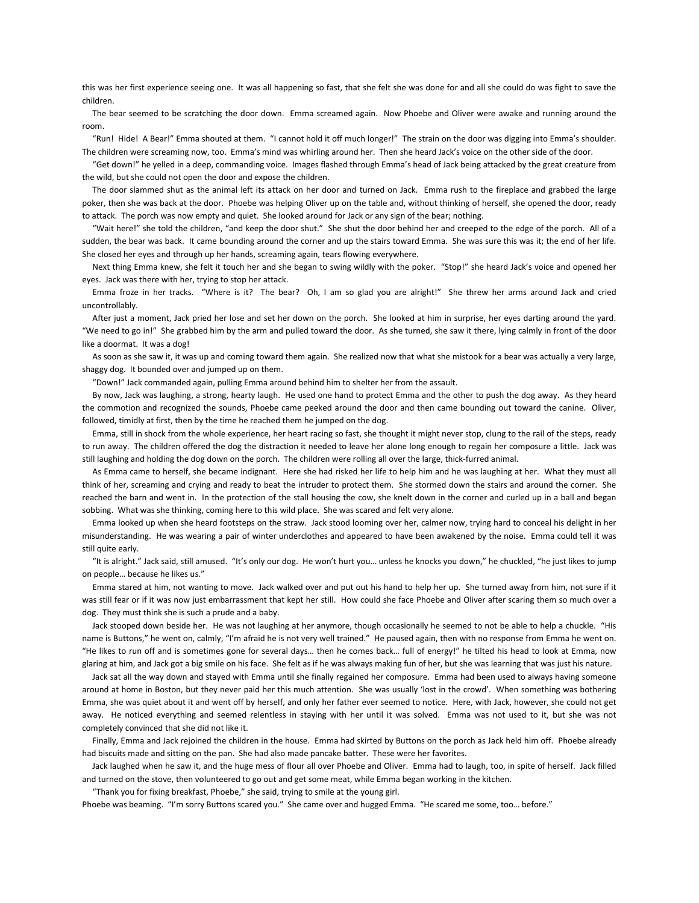this was her first experience seeing one. It was all happening so fast, that she felt she was done for and all she could do was fight to save the children.

 The bear seemed to be scratching the door down. Emma screamed again. Now Phoebe and Oliver were awake and running around the room.

 "Run! Hide! A Bear!" Emma shouted at them. "I cannot hold it off much longer!" The strain on the door was digging into Emma's shoulder. The children were screaming now, too. Emma's mind was whirling around her. Then she heard Jack's voice on the other side of the door.

 "Get down!" he yelled in a deep, commanding voice. Images flashed through Emma's head of Jack being attacked by the great creature from the wild, but she could not open the door and expose the children.

 The door slammed shut as the animal left its attack on her door and turned on Jack. Emma rush to the fireplace and grabbed the large poker, then she was back at the door. Phoebe was helping Oliver up on the table and, without thinking of herself, she opened the door, ready to attack. The porch was now empty and quiet. She looked around for Jack or any sign of the bear; nothing.

 "Wait here!" she told the children, "and keep the door shut." She shut the door behind her and creeped to the edge of the porch. All of a sudden, the bear was back. It came bounding around the corner and up the stairs toward Emma. She was sure this was it; the end of her life. She closed her eyes and through up her hands, screaming again, tears flowing everywhere.

 Next thing Emma knew, she felt it touch her and she began to swing wildly with the poker. "Stop!" she heard Jack's voice and opened her eyes. Jack was there with her, trying to stop her attack.

 Emma froze in her tracks. "Where is it? The bear? Oh, I am so glad you are alright!" She threw her arms around Jack and cried uncontrollably.

 After just a moment, Jack pried her lose and set her down on the porch. She looked at him in surprise, her eyes darting around the yard. "We need to go in!" She grabbed him by the arm and pulled toward the door. As she turned, she saw it there, lying calmly in front of the door like a doormat. It was a dog!

 As soon as she saw it, it was up and coming toward them again. She realized now that what she mistook for a bear was actually a very large, shaggy dog. It bounded over and jumped up on them.

"Down!" Jack commanded again, pulling Emma around behind him to shelter her from the assault.

 By now, Jack was laughing, a strong, hearty laugh. He used one hand to protect Emma and the other to push the dog away. As they heard the commotion and recognized the sounds, Phoebe came peeked around the door and then came bounding out toward the canine. Oliver, followed, timidly at first, then by the time he reached them he jumped on the dog.

 Emma, still in shock from the whole experience, her heart racing so fast, she thought it might never stop, clung to the rail of the steps, ready to run away. The children offered the dog the distraction it needed to leave her alone long enough to regain her composure a little. Jack was still laughing and holding the dog down on the porch. The children were rolling all over the large, thick-furred animal.

 As Emma came to herself, she became indignant. Here she had risked her life to help him and he was laughing at her. What they must all think of her, screaming and crying and ready to beat the intruder to protect them. She stormed down the stairs and around the corner. She reached the barn and went in. In the protection of the stall housing the cow, she knelt down in the corner and curled up in a ball and began sobbing. What was she thinking, coming here to this wild place. She was scared and felt very alone.

 Emma looked up when she heard footsteps on the straw. Jack stood looming over her, calmer now, trying hard to conceal his delight in her misunderstanding. He was wearing a pair of winter underclothes and appeared to have been awakened by the noise. Emma could tell it was still quite early.

 "It is alright." Jack said, still amused. "It's only our dog. He won't hurt you… unless he knocks you down," he chuckled, "he just likes to jump on people… because he likes us."

 Emma stared at him, not wanting to move. Jack walked over and put out his hand to help her up. She turned away from him, not sure if it was still fear or if it was now just embarrassment that kept her still. How could she face Phoebe and Oliver after scaring them so much over a dog. They must think she is such a prude and a baby.

 Jack stooped down beside her. He was not laughing at her anymore, though occasionally he seemed to not be able to help a chuckle. "His name is Buttons," he went on, calmly, "I'm afraid he is not very well trained." He paused again, then with no response from Emma he went on. "He likes to run off and is sometimes gone for several days… then he comes back… full of energy!" he tilted his head to look at Emma, now glaring at him, and Jack got a big smile on his face. She felt as if he was always making fun of her, but she was learning that was just his nature.

 Jack sat all the way down and stayed with Emma until she finally regained her composure. Emma had been used to always having someone around at home in Boston, but they never paid her this much attention. She was usually 'lost in the crowd'. When something was bothering Emma, she was quiet about it and went off by herself, and only her father ever seemed to notice. Here, with Jack, however, she could not get away. He noticed everything and seemed relentless in staying with her until it was solved. Emma was not used to it, but she was not completely convinced that she did not like it.

 Finally, Emma and Jack rejoined the children in the house. Emma had skirted by Buttons on the porch as Jack held him off. Phoebe already had biscuits made and sitting on the pan. She had also made pancake batter. These were her favorites.

 Jack laughed when he saw it, and the huge mess of flour all over Phoebe and Oliver. Emma had to laugh, too, in spite of herself. Jack filled and turned on the stove, then volunteered to go out and get some meat, while Emma began working in the kitchen.

"Thank you for fixing breakfast, Phoebe," she said, trying to smile at the young girl.

Phoebe was beaming. "I'm sorry Buttons scared you." She came over and hugged Emma. "He scared me some, too… before."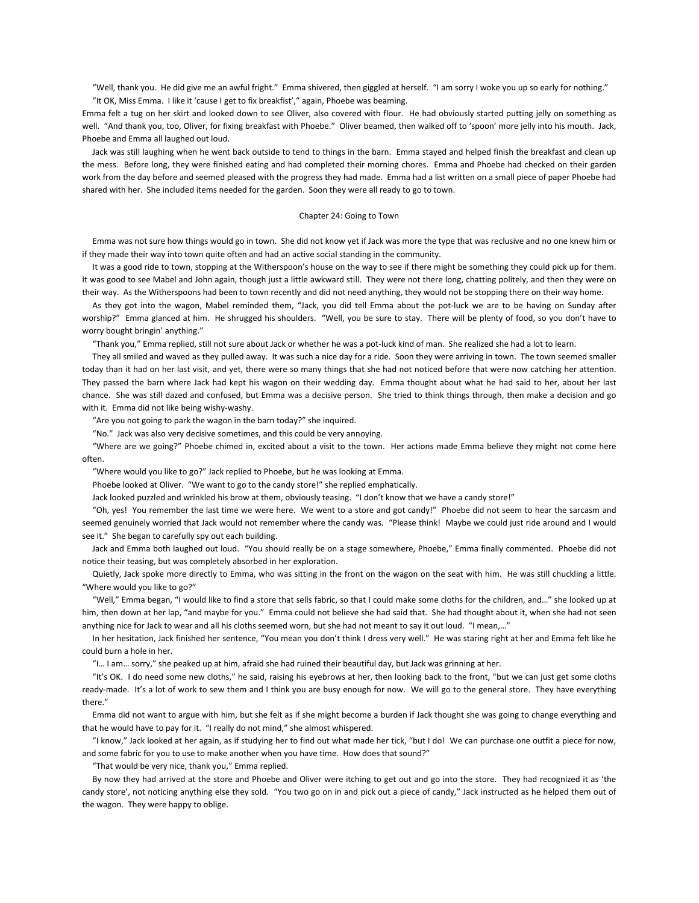"Well, thank you. He did give me an awful fright." Emma shivered, then giggled at herself. "I am sorry I woke you up so early for nothing." "It OK, Miss Emma. I like it 'cause I get to fix breakfist'," again, Phoebe was beaming.

Emma felt a tug on her skirt and looked down to see Oliver, also covered with flour. He had obviously started putting jelly on something as well. "And thank you, too, Oliver, for fixing breakfast with Phoebe." Oliver beamed, then walked off to 'spoon' more jelly into his mouth. Jack, Phoebe and Emma all laughed out loud.

 Jack was still laughing when he went back outside to tend to things in the barn. Emma stayed and helped finish the breakfast and clean up the mess. Before long, they were finished eating and had completed their morning chores. Emma and Phoebe had checked on their garden work from the day before and seemed pleased with the progress they had made. Emma had a list written on a small piece of paper Phoebe had shared with her. She included items needed for the garden. Soon they were all ready to go to town.

### Chapter 24: Going to Town

 Emma was not sure how things would go in town. She did not know yet if Jack was more the type that was reclusive and no one knew him or if they made their way into town quite often and had an active social standing in the community.

 It was a good ride to town, stopping at the Witherspoon's house on the way to see if there might be something they could pick up for them. It was good to see Mabel and John again, though just a little awkward still. They were not there long, chatting politely, and then they were on their way. As the Witherspoons had been to town recently and did not need anything, they would not be stopping there on their way home.

 As they got into the wagon, Mabel reminded them, "Jack, you did tell Emma about the pot-luck we are to be having on Sunday after worship?" Emma glanced at him. He shrugged his shoulders. "Well, you be sure to stay. There will be plenty of food, so you don't have to worry bought bringin' anything.'

"Thank you," Emma replied, still not sure about Jack or whether he was a pot-luck kind of man. She realized she had a lot to learn.

 They all smiled and waved as they pulled away. It was such a nice day for a ride. Soon they were arriving in town. The town seemed smaller today than it had on her last visit, and yet, there were so many things that she had not noticed before that were now catching her attention. They passed the barn where Jack had kept his wagon on their wedding day. Emma thought about what he had said to her, about her last chance. She was still dazed and confused, but Emma was a decisive person. She tried to think things through, then make a decision and go with it. Emma did not like being wishy-washy.

"Are you not going to park the wagon in the barn today?" she inquired.

"No." Jack was also very decisive sometimes, and this could be very annoying.

 "Where are we going?" Phoebe chimed in, excited about a visit to the town. Her actions made Emma believe they might not come here often.

"Where would you like to go?" Jack replied to Phoebe, but he was looking at Emma.

Phoebe looked at Oliver. "We want to go to the candy store!" she replied emphatically.

Jack looked puzzled and wrinkled his brow at them, obviously teasing. "I don't know that we have a candy store!"

 "Oh, yes! You remember the last time we were here. We went to a store and got candy!" Phoebe did not seem to hear the sarcasm and seemed genuinely worried that Jack would not remember where the candy was. "Please think! Maybe we could just ride around and I would see it." She began to carefully spy out each building.

 Jack and Emma both laughed out loud. "You should really be on a stage somewhere, Phoebe," Emma finally commented. Phoebe did not notice their teasing, but was completely absorbed in her exploration.

Quietly, Jack spoke more directly to Emma, who was sitting in the front on the wagon on the seat with him. He was still chuckling a little. "Where would you like to go?"

 "Well," Emma began, "I would like to find a store that sells fabric, so that I could make some cloths for the children, and…" she looked up at him, then down at her lap, "and maybe for you." Emma could not believe she had said that. She had thought about it, when she had not seen anything nice for Jack to wear and all his cloths seemed worn, but she had not meant to say it out loud. "I mean,…"

 In her hesitation, Jack finished her sentence, "You mean you don't think I dress very well." He was staring right at her and Emma felt like he could burn a hole in her.

"I… I am… sorry," she peaked up at him, afraid she had ruined their beautiful day, but Jack was grinning at her.

 "It's OK. I do need some new cloths," he said, raising his eyebrows at her, then looking back to the front, "but we can just get some cloths ready-made. It's a lot of work to sew them and I think you are busy enough for now. We will go to the general store. They have everything there."

 Emma did not want to argue with him, but she felt as if she might become a burden if Jack thought she was going to change everything and that he would have to pay for it. "I really do not mind," she almost whispered.

 "I know," Jack looked at her again, as if studying her to find out what made her tick, "but I do! We can purchase one outfit a piece for now, and some fabric for you to use to make another when you have time. How does that sound?"

"That would be very nice, thank you," Emma replied.

 By now they had arrived at the store and Phoebe and Oliver were itching to get out and go into the store. They had recognized it as 'the candy store', not noticing anything else they sold. "You two go on in and pick out a piece of candy," Jack instructed as he helped them out of the wagon. They were happy to oblige.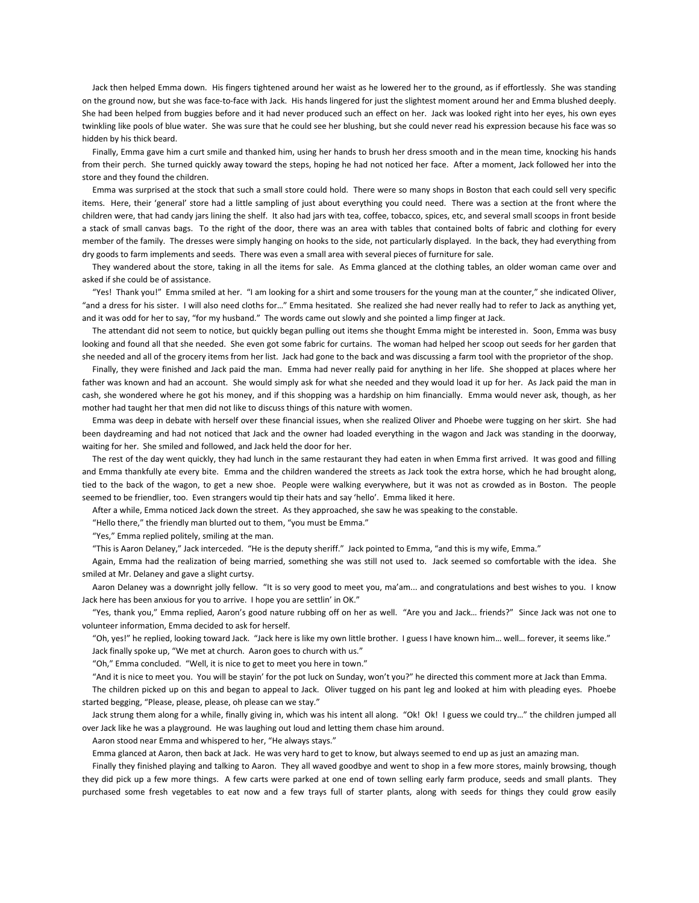Jack then helped Emma down. His fingers tightened around her waist as he lowered her to the ground, as if effortlessly. She was standing on the ground now, but she was face-to-face with Jack. His hands lingered for just the slightest moment around her and Emma blushed deeply. She had been helped from buggies before and it had never produced such an effect on her. Jack was looked right into her eyes, his own eyes twinkling like pools of blue water. She was sure that he could see her blushing, but she could never read his expression because his face was so hidden by his thick beard.

 Finally, Emma gave him a curt smile and thanked him, using her hands to brush her dress smooth and in the mean time, knocking his hands from their perch. She turned quickly away toward the steps, hoping he had not noticed her face. After a moment, Jack followed her into the store and they found the children.

 Emma was surprised at the stock that such a small store could hold. There were so many shops in Boston that each could sell very specific items. Here, their 'general' store had a little sampling of just about everything you could need. There was a section at the front where the children were, that had candy jars lining the shelf. It also had jars with tea, coffee, tobacco, spices, etc, and several small scoops in front beside a stack of small canvas bags. To the right of the door, there was an area with tables that contained bolts of fabric and clothing for every member of the family. The dresses were simply hanging on hooks to the side, not particularly displayed. In the back, they had everything from dry goods to farm implements and seeds. There was even a small area with several pieces of furniture for sale.

 They wandered about the store, taking in all the items for sale. As Emma glanced at the clothing tables, an older woman came over and asked if she could be of assistance.

 "Yes! Thank you!" Emma smiled at her. "I am looking for a shirt and some trousers for the young man at the counter," she indicated Oliver, "and a dress for his sister. I will also need cloths for…" Emma hesitated. She realized she had never really had to refer to Jack as anything yet, and it was odd for her to say, "for my husband." The words came out slowly and she pointed a limp finger at Jack.

 The attendant did not seem to notice, but quickly began pulling out items she thought Emma might be interested in. Soon, Emma was busy looking and found all that she needed. She even got some fabric for curtains. The woman had helped her scoop out seeds for her garden that she needed and all of the grocery items from her list. Jack had gone to the back and was discussing a farm tool with the proprietor of the shop.

 Finally, they were finished and Jack paid the man. Emma had never really paid for anything in her life. She shopped at places where her father was known and had an account. She would simply ask for what she needed and they would load it up for her. As Jack paid the man in cash, she wondered where he got his money, and if this shopping was a hardship on him financially. Emma would never ask, though, as her mother had taught her that men did not like to discuss things of this nature with women.

 Emma was deep in debate with herself over these financial issues, when she realized Oliver and Phoebe were tugging on her skirt. She had been daydreaming and had not noticed that Jack and the owner had loaded everything in the wagon and Jack was standing in the doorway, waiting for her. She smiled and followed, and Jack held the door for her.

 The rest of the day went quickly, they had lunch in the same restaurant they had eaten in when Emma first arrived. It was good and filling and Emma thankfully ate every bite. Emma and the children wandered the streets as Jack took the extra horse, which he had brought along, tied to the back of the wagon, to get a new shoe. People were walking everywhere, but it was not as crowded as in Boston. The people seemed to be friendlier, too. Even strangers would tip their hats and say 'hello'. Emma liked it here.

After a while, Emma noticed Jack down the street. As they approached, she saw he was speaking to the constable.

"Hello there," the friendly man blurted out to them, "you must be Emma."

"Yes," Emma replied politely, smiling at the man.

"This is Aaron Delaney," Jack interceded. "He is the deputy sheriff." Jack pointed to Emma, "and this is my wife, Emma."

 Again, Emma had the realization of being married, something she was still not used to. Jack seemed so comfortable with the idea. She smiled at Mr. Delaney and gave a slight curtsy.

 Aaron Delaney was a downright jolly fellow. "It is so very good to meet you, ma'am... and congratulations and best wishes to you. I know Jack here has been anxious for you to arrive. I hope you are settlin' in OK."

 "Yes, thank you," Emma replied, Aaron's good nature rubbing off on her as well. "Are you and Jack… friends?" Since Jack was not one to volunteer information, Emma decided to ask for herself.

 "Oh, yes!" he replied, looking toward Jack. "Jack here is like my own little brother. I guess I have known him… well… forever, it seems like." Jack finally spoke up, "We met at church. Aaron goes to church with us."

"Oh," Emma concluded. "Well, it is nice to get to meet you here in town."

"And it is nice to meet you. You will be stayin' for the pot luck on Sunday, won't you?" he directed this comment more at Jack than Emma.

 The children picked up on this and began to appeal to Jack. Oliver tugged on his pant leg and looked at him with pleading eyes. Phoebe started begging, "Please, please, please, oh please can we stay."

 Jack strung them along for a while, finally giving in, which was his intent all along. "Ok! Ok! I guess we could try…" the children jumped all over Jack like he was a playground. He was laughing out loud and letting them chase him around.

Aaron stood near Emma and whispered to her, "He always stays."

Emma glanced at Aaron, then back at Jack. He was very hard to get to know, but always seemed to end up as just an amazing man.

 Finally they finished playing and talking to Aaron. They all waved goodbye and went to shop in a few more stores, mainly browsing, though they did pick up a few more things. A few carts were parked at one end of town selling early farm produce, seeds and small plants. They purchased some fresh vegetables to eat now and a few trays full of starter plants, along with seeds for things they could grow easily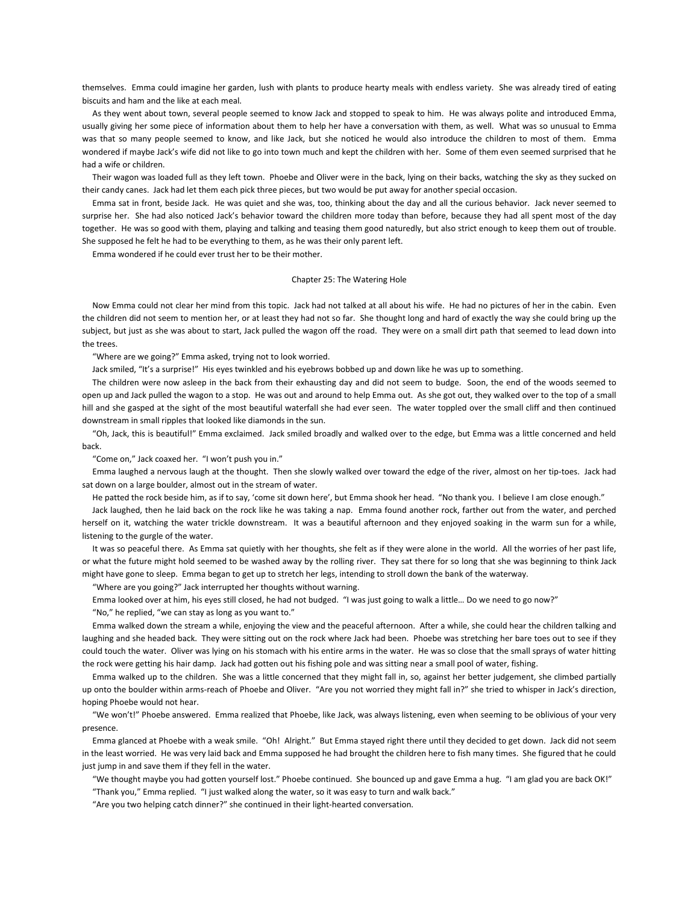themselves. Emma could imagine her garden, lush with plants to produce hearty meals with endless variety. She was already tired of eating biscuits and ham and the like at each meal.

 As they went about town, several people seemed to know Jack and stopped to speak to him. He was always polite and introduced Emma, usually giving her some piece of information about them to help her have a conversation with them, as well. What was so unusual to Emma was that so many people seemed to know, and like Jack, but she noticed he would also introduce the children to most of them. Emma wondered if maybe Jack's wife did not like to go into town much and kept the children with her. Some of them even seemed surprised that he had a wife or children.

 Their wagon was loaded full as they left town. Phoebe and Oliver were in the back, lying on their backs, watching the sky as they sucked on their candy canes. Jack had let them each pick three pieces, but two would be put away for another special occasion.

 Emma sat in front, beside Jack. He was quiet and she was, too, thinking about the day and all the curious behavior. Jack never seemed to surprise her. She had also noticed Jack's behavior toward the children more today than before, because they had all spent most of the day together. He was so good with them, playing and talking and teasing them good naturedly, but also strict enough to keep them out of trouble. She supposed he felt he had to be everything to them, as he was their only parent left.

Emma wondered if he could ever trust her to be their mother.

# Chapter 25: The Watering Hole

 Now Emma could not clear her mind from this topic. Jack had not talked at all about his wife. He had no pictures of her in the cabin. Even the children did not seem to mention her, or at least they had not so far. She thought long and hard of exactly the way she could bring up the subject, but just as she was about to start, Jack pulled the wagon off the road. They were on a small dirt path that seemed to lead down into the trees.

"Where are we going?" Emma asked, trying not to look worried.

Jack smiled, "It's a surprise!" His eyes twinkled and his eyebrows bobbed up and down like he was up to something.

 The children were now asleep in the back from their exhausting day and did not seem to budge. Soon, the end of the woods seemed to open up and Jack pulled the wagon to a stop. He was out and around to help Emma out. As she got out, they walked over to the top of a small hill and she gasped at the sight of the most beautiful waterfall she had ever seen. The water toppled over the small cliff and then continued downstream in small ripples that looked like diamonds in the sun.

 "Oh, Jack, this is beautiful!" Emma exclaimed. Jack smiled broadly and walked over to the edge, but Emma was a little concerned and held back.

"Come on," Jack coaxed her. "I won't push you in."

 Emma laughed a nervous laugh at the thought. Then she slowly walked over toward the edge of the river, almost on her tip-toes. Jack had sat down on a large boulder, almost out in the stream of water.

He patted the rock beside him, as if to say, 'come sit down here', but Emma shook her head. "No thank you. I believe I am close enough."

 Jack laughed, then he laid back on the rock like he was taking a nap. Emma found another rock, farther out from the water, and perched herself on it, watching the water trickle downstream. It was a beautiful afternoon and they enjoyed soaking in the warm sun for a while, listening to the gurgle of the water.

 It was so peaceful there. As Emma sat quietly with her thoughts, she felt as if they were alone in the world. All the worries of her past life, or what the future might hold seemed to be washed away by the rolling river. They sat there for so long that she was beginning to think Jack might have gone to sleep. Emma began to get up to stretch her legs, intending to stroll down the bank of the waterway.

"Where are you going?" Jack interrupted her thoughts without warning.

Emma looked over at him, his eyes still closed, he had not budged. "I was just going to walk a little… Do we need to go now?"

"No," he replied, "we can stay as long as you want to."

 Emma walked down the stream a while, enjoying the view and the peaceful afternoon. After a while, she could hear the children talking and laughing and she headed back. They were sitting out on the rock where Jack had been. Phoebe was stretching her bare toes out to see if they could touch the water. Oliver was lying on his stomach with his entire arms in the water. He was so close that the small sprays of water hitting the rock were getting his hair damp. Jack had gotten out his fishing pole and was sitting near a small pool of water, fishing.

 Emma walked up to the children. She was a little concerned that they might fall in, so, against her better judgement, she climbed partially up onto the boulder within arms-reach of Phoebe and Oliver. "Are you not worried they might fall in?" she tried to whisper in Jack's direction, hoping Phoebe would not hear.

 "We won't!" Phoebe answered. Emma realized that Phoebe, like Jack, was always listening, even when seeming to be oblivious of your very presence.

 Emma glanced at Phoebe with a weak smile. "Oh! Alright." But Emma stayed right there until they decided to get down. Jack did not seem in the least worried. He was very laid back and Emma supposed he had brought the children here to fish many times. She figured that he could just jump in and save them if they fell in the water.

"We thought maybe you had gotten yourself lost." Phoebe continued. She bounced up and gave Emma a hug. "I am glad you are back OK!"

"Thank you," Emma replied. "I just walked along the water, so it was easy to turn and walk back."

"Are you two helping catch dinner?" she continued in their light-hearted conversation.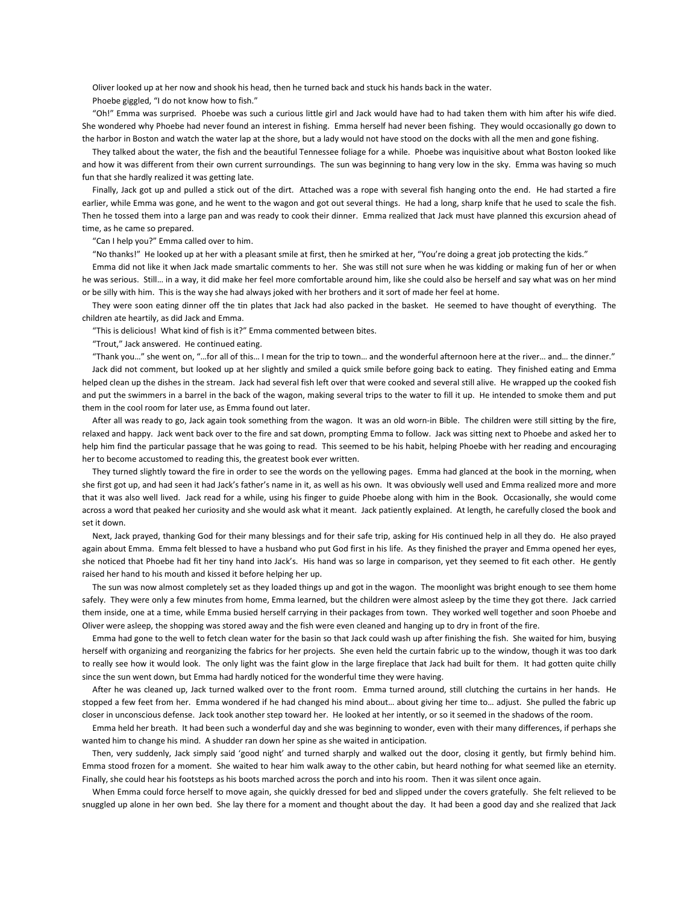Oliver looked up at her now and shook his head, then he turned back and stuck his hands back in the water.

Phoebe giggled, "I do not know how to fish."

 "Oh!" Emma was surprised. Phoebe was such a curious little girl and Jack would have had to had taken them with him after his wife died. She wondered why Phoebe had never found an interest in fishing. Emma herself had never been fishing. They would occasionally go down to the harbor in Boston and watch the water lap at the shore, but a lady would not have stood on the docks with all the men and gone fishing.

 They talked about the water, the fish and the beautiful Tennessee foliage for a while. Phoebe was inquisitive about what Boston looked like and how it was different from their own current surroundings. The sun was beginning to hang very low in the sky. Emma was having so much fun that she hardly realized it was getting late.

 Finally, Jack got up and pulled a stick out of the dirt. Attached was a rope with several fish hanging onto the end. He had started a fire earlier, while Emma was gone, and he went to the wagon and got out several things. He had a long, sharp knife that he used to scale the fish. Then he tossed them into a large pan and was ready to cook their dinner. Emma realized that Jack must have planned this excursion ahead of time, as he came so prepared.

"Can I help you?" Emma called over to him.

"No thanks!" He looked up at her with a pleasant smile at first, then he smirked at her, "You're doing a great job protecting the kids."

 Emma did not like it when Jack made smartalic comments to her. She was still not sure when he was kidding or making fun of her or when he was serious. Still… in a way, it did make her feel more comfortable around him, like she could also be herself and say what was on her mind or be silly with him. This is the way she had always joked with her brothers and it sort of made her feel at home.

 They were soon eating dinner off the tin plates that Jack had also packed in the basket. He seemed to have thought of everything. The children ate heartily, as did Jack and Emma.

"This is delicious! What kind of fish is it?" Emma commented between bites.

"Trout," Jack answered. He continued eating.

 "Thank you…" she went on, "…for all of this… I mean for the trip to town… and the wonderful afternoon here at the river… and… the dinner." Jack did not comment, but looked up at her slightly and smiled a quick smile before going back to eating. They finished eating and Emma helped clean up the dishes in the stream. Jack had several fish left over that were cooked and several still alive. He wrapped up the cooked fish and put the swimmers in a barrel in the back of the wagon, making several trips to the water to fill it up. He intended to smoke them and put them in the cool room for later use, as Emma found out later.

 After all was ready to go, Jack again took something from the wagon. It was an old worn-in Bible. The children were still sitting by the fire, relaxed and happy. Jack went back over to the fire and sat down, prompting Emma to follow. Jack was sitting next to Phoebe and asked her to help him find the particular passage that he was going to read. This seemed to be his habit, helping Phoebe with her reading and encouraging her to become accustomed to reading this, the greatest book ever written.

 They turned slightly toward the fire in order to see the words on the yellowing pages. Emma had glanced at the book in the morning, when she first got up, and had seen it had Jack's father's name in it, as well as his own. It was obviously well used and Emma realized more and more that it was also well lived. Jack read for a while, using his finger to guide Phoebe along with him in the Book. Occasionally, she would come across a word that peaked her curiosity and she would ask what it meant. Jack patiently explained. At length, he carefully closed the book and set it down.

 Next, Jack prayed, thanking God for their many blessings and for their safe trip, asking for His continued help in all they do. He also prayed again about Emma. Emma felt blessed to have a husband who put God first in his life. As they finished the prayer and Emma opened her eyes, she noticed that Phoebe had fit her tiny hand into Jack's. His hand was so large in comparison, yet they seemed to fit each other. He gently raised her hand to his mouth and kissed it before helping her up.

 The sun was now almost completely set as they loaded things up and got in the wagon. The moonlight was bright enough to see them home safely. They were only a few minutes from home, Emma learned, but the children were almost asleep by the time they got there. Jack carried them inside, one at a time, while Emma busied herself carrying in their packages from town. They worked well together and soon Phoebe and Oliver were asleep, the shopping was stored away and the fish were even cleaned and hanging up to dry in front of the fire.

 Emma had gone to the well to fetch clean water for the basin so that Jack could wash up after finishing the fish. She waited for him, busying herself with organizing and reorganizing the fabrics for her projects. She even held the curtain fabric up to the window, though it was too dark to really see how it would look. The only light was the faint glow in the large fireplace that Jack had built for them. It had gotten quite chilly since the sun went down, but Emma had hardly noticed for the wonderful time they were having.

 After he was cleaned up, Jack turned walked over to the front room. Emma turned around, still clutching the curtains in her hands. He stopped a few feet from her. Emma wondered if he had changed his mind about... about giving her time to... adjust. She pulled the fabric up closer in unconscious defense. Jack took another step toward her. He looked at her intently, or so it seemed in the shadows of the room.

 Emma held her breath. It had been such a wonderful day and she was beginning to wonder, even with their many differences, if perhaps she wanted him to change his mind. A shudder ran down her spine as she waited in anticipation.

 Then, very suddenly, Jack simply said 'good night' and turned sharply and walked out the door, closing it gently, but firmly behind him. Emma stood frozen for a moment. She waited to hear him walk away to the other cabin, but heard nothing for what seemed like an eternity. Finally, she could hear his footsteps as his boots marched across the porch and into his room. Then it was silent once again.

 When Emma could force herself to move again, she quickly dressed for bed and slipped under the covers gratefully. She felt relieved to be snuggled up alone in her own bed. She lay there for a moment and thought about the day. It had been a good day and she realized that Jack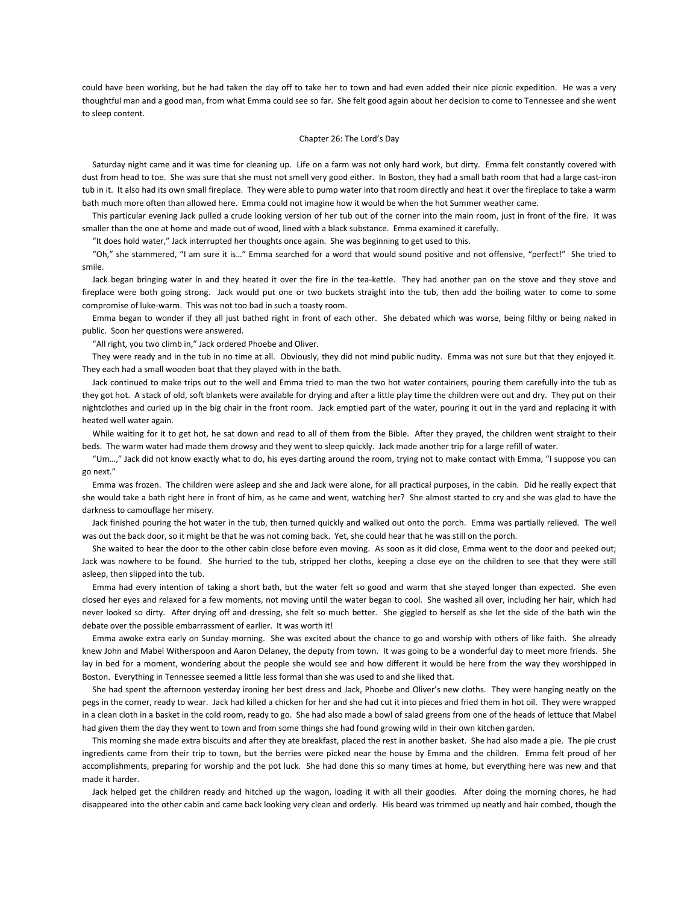could have been working, but he had taken the day off to take her to town and had even added their nice picnic expedition. He was a very thoughtful man and a good man, from what Emma could see so far. She felt good again about her decision to come to Tennessee and she went to sleep content.

## Chapter 26: The Lord's Day

 Saturday night came and it was time for cleaning up. Life on a farm was not only hard work, but dirty. Emma felt constantly covered with dust from head to toe. She was sure that she must not smell very good either. In Boston, they had a small bath room that had a large cast-iron tub in it. It also had its own small fireplace. They were able to pump water into that room directly and heat it over the fireplace to take a warm bath much more often than allowed here. Emma could not imagine how it would be when the hot Summer weather came.

 This particular evening Jack pulled a crude looking version of her tub out of the corner into the main room, just in front of the fire. It was smaller than the one at home and made out of wood, lined with a black substance. Emma examined it carefully.

"It does hold water," Jack interrupted her thoughts once again. She was beginning to get used to this.

 "Oh," she stammered, "I am sure it is…" Emma searched for a word that would sound positive and not offensive, "perfect!" She tried to smile.

 Jack began bringing water in and they heated it over the fire in the tea-kettle. They had another pan on the stove and they stove and fireplace were both going strong. Jack would put one or two buckets straight into the tub, then add the boiling water to come to some compromise of luke-warm. This was not too bad in such a toasty room.

 Emma began to wonder if they all just bathed right in front of each other. She debated which was worse, being filthy or being naked in public. Soon her questions were answered.

"All right, you two climb in," Jack ordered Phoebe and Oliver.

 They were ready and in the tub in no time at all. Obviously, they did not mind public nudity. Emma was not sure but that they enjoyed it. They each had a small wooden boat that they played with in the bath.

 Jack continued to make trips out to the well and Emma tried to man the two hot water containers, pouring them carefully into the tub as they got hot. A stack of old, soft blankets were available for drying and after a little play time the children were out and dry. They put on their nightclothes and curled up in the big chair in the front room. Jack emptied part of the water, pouring it out in the yard and replacing it with heated well water again.

 While waiting for it to get hot, he sat down and read to all of them from the Bible. After they prayed, the children went straight to their beds. The warm water had made them drowsy and they went to sleep quickly. Jack made another trip for a large refill of water.

 "Um…," Jack did not know exactly what to do, his eyes darting around the room, trying not to make contact with Emma, "I suppose you can go next."

 Emma was frozen. The children were asleep and she and Jack were alone, for all practical purposes, in the cabin. Did he really expect that she would take a bath right here in front of him, as he came and went, watching her? She almost started to cry and she was glad to have the darkness to camouflage her misery.

 Jack finished pouring the hot water in the tub, then turned quickly and walked out onto the porch. Emma was partially relieved. The well was out the back door, so it might be that he was not coming back. Yet, she could hear that he was still on the porch.

 She waited to hear the door to the other cabin close before even moving. As soon as it did close, Emma went to the door and peeked out; Jack was nowhere to be found. She hurried to the tub, stripped her cloths, keeping a close eye on the children to see that they were still asleep, then slipped into the tub.

 Emma had every intention of taking a short bath, but the water felt so good and warm that she stayed longer than expected. She even closed her eyes and relaxed for a few moments, not moving until the water began to cool. She washed all over, including her hair, which had never looked so dirty. After drying off and dressing, she felt so much better. She giggled to herself as she let the side of the bath win the debate over the possible embarrassment of earlier. It was worth it!

 Emma awoke extra early on Sunday morning. She was excited about the chance to go and worship with others of like faith. She already knew John and Mabel Witherspoon and Aaron Delaney, the deputy from town. It was going to be a wonderful day to meet more friends. She lay in bed for a moment, wondering about the people she would see and how different it would be here from the way they worshipped in Boston. Everything in Tennessee seemed a little less formal than she was used to and she liked that.

 She had spent the afternoon yesterday ironing her best dress and Jack, Phoebe and Oliver's new cloths. They were hanging neatly on the pegs in the corner, ready to wear. Jack had killed a chicken for her and she had cut it into pieces and fried them in hot oil. They were wrapped in a clean cloth in a basket in the cold room, ready to go. She had also made a bowl of salad greens from one of the heads of lettuce that Mabel had given them the day they went to town and from some things she had found growing wild in their own kitchen garden.

 This morning she made extra biscuits and after they ate breakfast, placed the rest in another basket. She had also made a pie. The pie crust ingredients came from their trip to town, but the berries were picked near the house by Emma and the children. Emma felt proud of her accomplishments, preparing for worship and the pot luck. She had done this so many times at home, but everything here was new and that made it harder.

 Jack helped get the children ready and hitched up the wagon, loading it with all their goodies. After doing the morning chores, he had disappeared into the other cabin and came back looking very clean and orderly. His beard was trimmed up neatly and hair combed, though the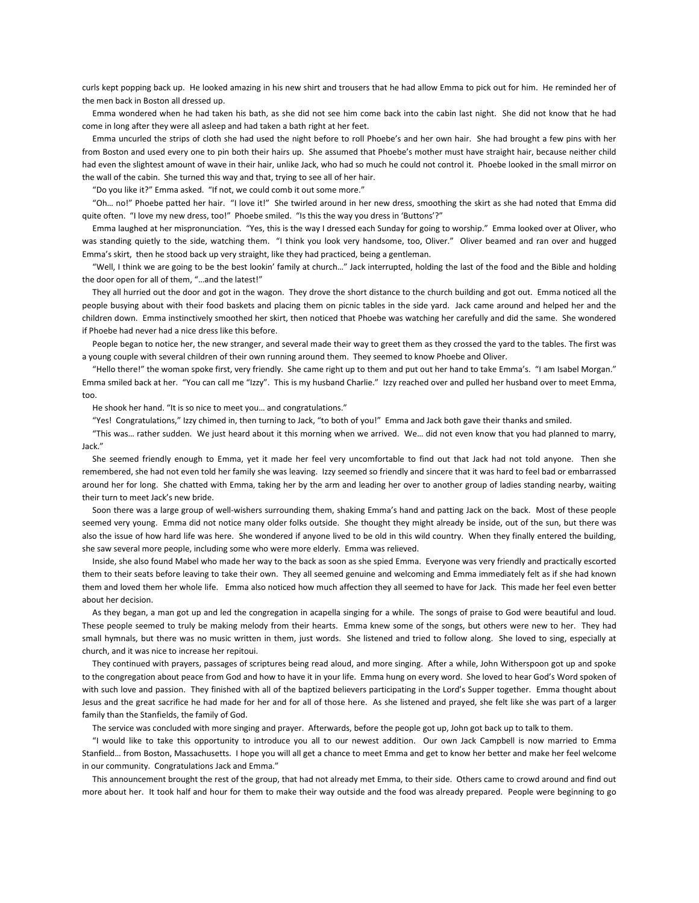curls kept popping back up. He looked amazing in his new shirt and trousers that he had allow Emma to pick out for him. He reminded her of the men back in Boston all dressed up.

 Emma wondered when he had taken his bath, as she did not see him come back into the cabin last night. She did not know that he had come in long after they were all asleep and had taken a bath right at her feet.

 Emma uncurled the strips of cloth she had used the night before to roll Phoebe's and her own hair. She had brought a few pins with her from Boston and used every one to pin both their hairs up. She assumed that Phoebe's mother must have straight hair, because neither child had even the slightest amount of wave in their hair, unlike Jack, who had so much he could not control it. Phoebe looked in the small mirror on the wall of the cabin. She turned this way and that, trying to see all of her hair.

"Do you like it?" Emma asked. "If not, we could comb it out some more."

 "Oh… no!" Phoebe patted her hair. "I love it!" She twirled around in her new dress, smoothing the skirt as she had noted that Emma did quite often. "I love my new dress, too!" Phoebe smiled. "Is this the way you dress in 'Buttons'?"

 Emma laughed at her mispronunciation. "Yes, this is the way I dressed each Sunday for going to worship." Emma looked over at Oliver, who was standing quietly to the side, watching them. "I think you look very handsome, too, Oliver." Oliver beamed and ran over and hugged Emma's skirt, then he stood back up very straight, like they had practiced, being a gentleman.

 "Well, I think we are going to be the best lookin' family at church…" Jack interrupted, holding the last of the food and the Bible and holding the door open for all of them, "…and the latest!"

 They all hurried out the door and got in the wagon. They drove the short distance to the church building and got out. Emma noticed all the people busying about with their food baskets and placing them on picnic tables in the side yard. Jack came around and helped her and the children down. Emma instinctively smoothed her skirt, then noticed that Phoebe was watching her carefully and did the same. She wondered if Phoebe had never had a nice dress like this before.

 People began to notice her, the new stranger, and several made their way to greet them as they crossed the yard to the tables. The first was a young couple with several children of their own running around them. They seemed to know Phoebe and Oliver.

 "Hello there!" the woman spoke first, very friendly. She came right up to them and put out her hand to take Emma's. "I am Isabel Morgan." Emma smiled back at her. "You can call me "Izzy". This is my husband Charlie." Izzy reached over and pulled her husband over to meet Emma, too.

He shook her hand. "It is so nice to meet you… and congratulations."

"Yes! Congratulations," Izzy chimed in, then turning to Jack, "to both of you!" Emma and Jack both gave their thanks and smiled.

 "This was… rather sudden. We just heard about it this morning when we arrived. We… did not even know that you had planned to marry, Jack."

 She seemed friendly enough to Emma, yet it made her feel very uncomfortable to find out that Jack had not told anyone. Then she remembered, she had not even told her family she was leaving. Izzy seemed so friendly and sincere that it was hard to feel bad or embarrassed around her for long. She chatted with Emma, taking her by the arm and leading her over to another group of ladies standing nearby, waiting their turn to meet Jack's new bride.

 Soon there was a large group of well-wishers surrounding them, shaking Emma's hand and patting Jack on the back. Most of these people seemed very young. Emma did not notice many older folks outside. She thought they might already be inside, out of the sun, but there was also the issue of how hard life was here. She wondered if anyone lived to be old in this wild country. When they finally entered the building, she saw several more people, including some who were more elderly. Emma was relieved.

 Inside, she also found Mabel who made her way to the back as soon as she spied Emma. Everyone was very friendly and practically escorted them to their seats before leaving to take their own. They all seemed genuine and welcoming and Emma immediately felt as if she had known them and loved them her whole life. Emma also noticed how much affection they all seemed to have for Jack. This made her feel even better about her decision.

 As they began, a man got up and led the congregation in acapella singing for a while. The songs of praise to God were beautiful and loud. These people seemed to truly be making melody from their hearts. Emma knew some of the songs, but others were new to her. They had small hymnals, but there was no music written in them, just words. She listened and tried to follow along. She loved to sing, especially at church, and it was nice to increase her repitoui.

 They continued with prayers, passages of scriptures being read aloud, and more singing. After a while, John Witherspoon got up and spoke to the congregation about peace from God and how to have it in your life. Emma hung on every word. She loved to hear God's Word spoken of with such love and passion. They finished with all of the baptized believers participating in the Lord's Supper together. Emma thought about Jesus and the great sacrifice he had made for her and for all of those here. As she listened and prayed, she felt like she was part of a larger family than the Stanfields, the family of God.

The service was concluded with more singing and prayer. Afterwards, before the people got up, John got back up to talk to them.

 "I would like to take this opportunity to introduce you all to our newest addition. Our own Jack Campbell is now married to Emma Stanfield… from Boston, Massachusetts. I hope you will all get a chance to meet Emma and get to know her better and make her feel welcome in our community. Congratulations Jack and Emma."

 This announcement brought the rest of the group, that had not already met Emma, to their side. Others came to crowd around and find out more about her. It took half and hour for them to make their way outside and the food was already prepared. People were beginning to go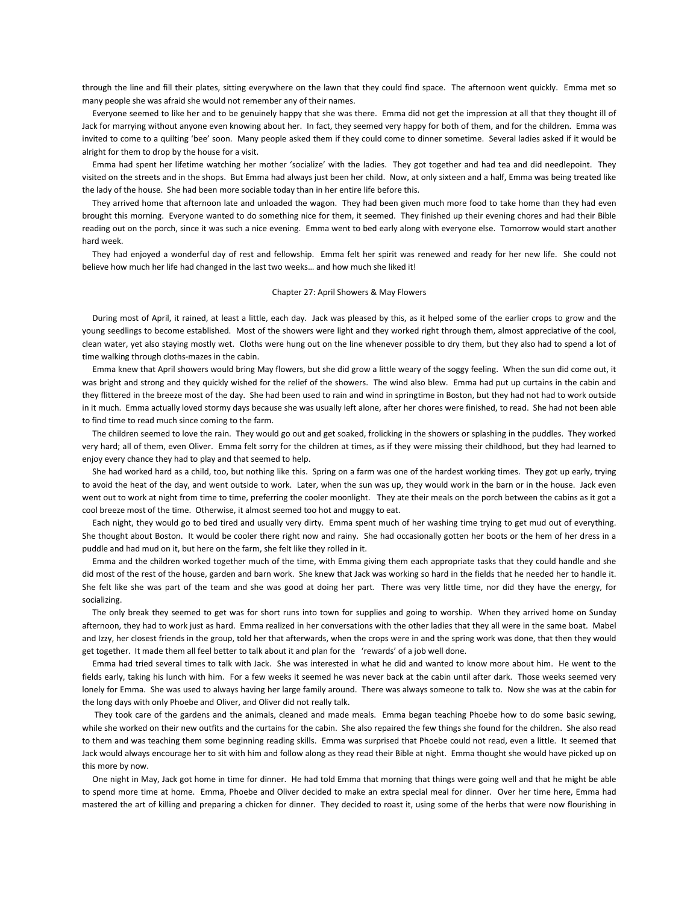through the line and fill their plates, sitting everywhere on the lawn that they could find space. The afternoon went quickly. Emma met so many people she was afraid she would not remember any of their names.

 Everyone seemed to like her and to be genuinely happy that she was there. Emma did not get the impression at all that they thought ill of Jack for marrying without anyone even knowing about her. In fact, they seemed very happy for both of them, and for the children. Emma was invited to come to a quilting 'bee' soon. Many people asked them if they could come to dinner sometime. Several ladies asked if it would be alright for them to drop by the house for a visit.

 Emma had spent her lifetime watching her mother 'socialize' with the ladies. They got together and had tea and did needlepoint. They visited on the streets and in the shops. But Emma had always just been her child. Now, at only sixteen and a half, Emma was being treated like the lady of the house. She had been more sociable today than in her entire life before this.

 They arrived home that afternoon late and unloaded the wagon. They had been given much more food to take home than they had even brought this morning. Everyone wanted to do something nice for them, it seemed. They finished up their evening chores and had their Bible reading out on the porch, since it was such a nice evening. Emma went to bed early along with everyone else. Tomorrow would start another hard week.

 They had enjoyed a wonderful day of rest and fellowship. Emma felt her spirit was renewed and ready for her new life. She could not believe how much her life had changed in the last two weeks… and how much she liked it!

## Chapter 27: April Showers & May Flowers

 During most of April, it rained, at least a little, each day. Jack was pleased by this, as it helped some of the earlier crops to grow and the young seedlings to become established. Most of the showers were light and they worked right through them, almost appreciative of the cool, clean water, yet also staying mostly wet. Cloths were hung out on the line whenever possible to dry them, but they also had to spend a lot of time walking through cloths-mazes in the cabin.

 Emma knew that April showers would bring May flowers, but she did grow a little weary of the soggy feeling. When the sun did come out, it was bright and strong and they quickly wished for the relief of the showers. The wind also blew. Emma had put up curtains in the cabin and they flittered in the breeze most of the day. She had been used to rain and wind in springtime in Boston, but they had not had to work outside in it much. Emma actually loved stormy days because she was usually left alone, after her chores were finished, to read. She had not been able to find time to read much since coming to the farm.

 The children seemed to love the rain. They would go out and get soaked, frolicking in the showers or splashing in the puddles. They worked very hard; all of them, even Oliver. Emma felt sorry for the children at times, as if they were missing their childhood, but they had learned to enjoy every chance they had to play and that seemed to help.

 She had worked hard as a child, too, but nothing like this. Spring on a farm was one of the hardest working times. They got up early, trying to avoid the heat of the day, and went outside to work. Later, when the sun was up, they would work in the barn or in the house. Jack even went out to work at night from time to time, preferring the cooler moonlight. They ate their meals on the porch between the cabins as it got a cool breeze most of the time. Otherwise, it almost seemed too hot and muggy to eat.

 Each night, they would go to bed tired and usually very dirty. Emma spent much of her washing time trying to get mud out of everything. She thought about Boston. It would be cooler there right now and rainy. She had occasionally gotten her boots or the hem of her dress in a puddle and had mud on it, but here on the farm, she felt like they rolled in it.

 Emma and the children worked together much of the time, with Emma giving them each appropriate tasks that they could handle and she did most of the rest of the house, garden and barn work. She knew that Jack was working so hard in the fields that he needed her to handle it. She felt like she was part of the team and she was good at doing her part. There was very little time, nor did they have the energy, for socializing.

 The only break they seemed to get was for short runs into town for supplies and going to worship. When they arrived home on Sunday afternoon, they had to work just as hard. Emma realized in her conversations with the other ladies that they all were in the same boat. Mabel and Izzy, her closest friends in the group, told her that afterwards, when the crops were in and the spring work was done, that then they would get together. It made them all feel better to talk about it and plan for the 'rewards' of a job well done.

 Emma had tried several times to talk with Jack. She was interested in what he did and wanted to know more about him. He went to the fields early, taking his lunch with him. For a few weeks it seemed he was never back at the cabin until after dark. Those weeks seemed very lonely for Emma. She was used to always having her large family around. There was always someone to talk to. Now she was at the cabin for the long days with only Phoebe and Oliver, and Oliver did not really talk.

 They took care of the gardens and the animals, cleaned and made meals. Emma began teaching Phoebe how to do some basic sewing, while she worked on their new outfits and the curtains for the cabin. She also repaired the few things she found for the children. She also read to them and was teaching them some beginning reading skills. Emma was surprised that Phoebe could not read, even a little. It seemed that Jack would always encourage her to sit with him and follow along as they read their Bible at night. Emma thought she would have picked up on this more by now.

 One night in May, Jack got home in time for dinner. He had told Emma that morning that things were going well and that he might be able to spend more time at home. Emma, Phoebe and Oliver decided to make an extra special meal for dinner. Over her time here, Emma had mastered the art of killing and preparing a chicken for dinner. They decided to roast it, using some of the herbs that were now flourishing in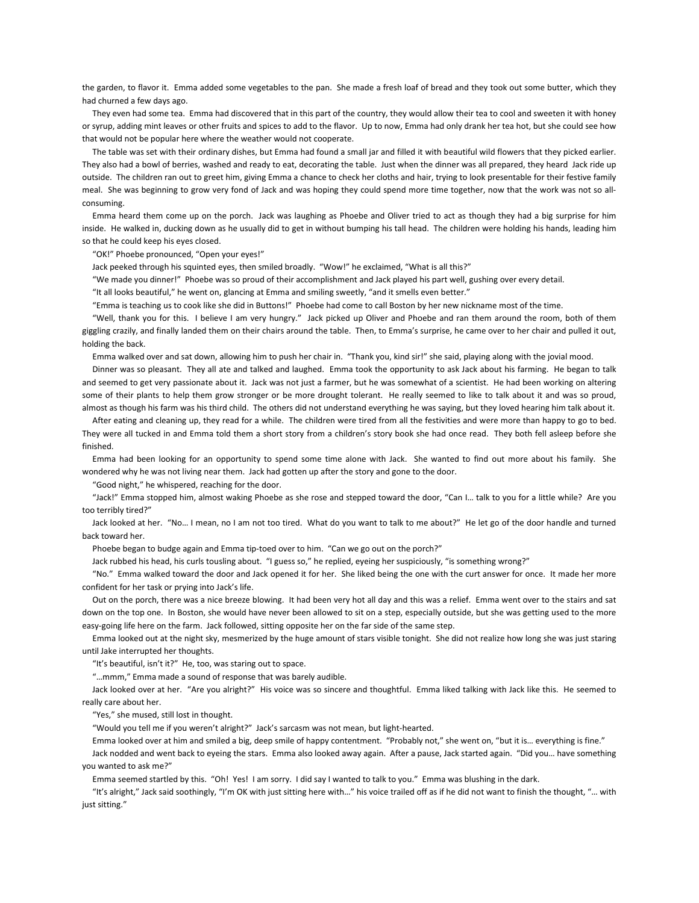the garden, to flavor it. Emma added some vegetables to the pan. She made a fresh loaf of bread and they took out some butter, which they had churned a few days ago.

 They even had some tea. Emma had discovered that in this part of the country, they would allow their tea to cool and sweeten it with honey or syrup, adding mint leaves or other fruits and spices to add to the flavor. Up to now, Emma had only drank her tea hot, but she could see how that would not be popular here where the weather would not cooperate.

 The table was set with their ordinary dishes, but Emma had found a small jar and filled it with beautiful wild flowers that they picked earlier. They also had a bowl of berries, washed and ready to eat, decorating the table. Just when the dinner was all prepared, they heard Jack ride up outside. The children ran out to greet him, giving Emma a chance to check her cloths and hair, trying to look presentable for their festive family meal. She was beginning to grow very fond of Jack and was hoping they could spend more time together, now that the work was not so allconsuming.

 Emma heard them come up on the porch. Jack was laughing as Phoebe and Oliver tried to act as though they had a big surprise for him inside. He walked in, ducking down as he usually did to get in without bumping his tall head. The children were holding his hands, leading him so that he could keep his eyes closed.

"OK!" Phoebe pronounced, "Open your eyes!"

Jack peeked through his squinted eyes, then smiled broadly. "Wow!" he exclaimed, "What is all this?"

"We made you dinner!" Phoebe was so proud of their accomplishment and Jack played his part well, gushing over every detail.

"It all looks beautiful," he went on, glancing at Emma and smiling sweetly, "and it smells even better."

"Emma is teaching us to cook like she did in Buttons!" Phoebe had come to call Boston by her new nickname most of the time.

 "Well, thank you for this. I believe I am very hungry." Jack picked up Oliver and Phoebe and ran them around the room, both of them giggling crazily, and finally landed them on their chairs around the table. Then, to Emma's surprise, he came over to her chair and pulled it out, holding the back.

Emma walked over and sat down, allowing him to push her chair in. "Thank you, kind sir!" she said, playing along with the jovial mood.

 Dinner was so pleasant. They all ate and talked and laughed. Emma took the opportunity to ask Jack about his farming. He began to talk and seemed to get very passionate about it. Jack was not just a farmer, but he was somewhat of a scientist. He had been working on altering some of their plants to help them grow stronger or be more drought tolerant. He really seemed to like to talk about it and was so proud, almost as though his farm was his third child. The others did not understand everything he was saying, but they loved hearing him talk about it.

 After eating and cleaning up, they read for a while. The children were tired from all the festivities and were more than happy to go to bed. They were all tucked in and Emma told them a short story from a children's story book she had once read. They both fell asleep before she finished.

 Emma had been looking for an opportunity to spend some time alone with Jack. She wanted to find out more about his family. She wondered why he was not living near them. Jack had gotten up after the story and gone to the door.

"Good night," he whispered, reaching for the door.

 "Jack!" Emma stopped him, almost waking Phoebe as she rose and stepped toward the door, "Can I… talk to you for a little while? Are you too terribly tired?"

 Jack looked at her. "No… I mean, no I am not too tired. What do you want to talk to me about?" He let go of the door handle and turned back toward her.

Phoebe began to budge again and Emma tip-toed over to him. "Can we go out on the porch?"

Jack rubbed his head, his curls tousling about. "I guess so," he replied, eyeing her suspiciously, "is something wrong?"

 "No." Emma walked toward the door and Jack opened it for her. She liked being the one with the curt answer for once. It made her more confident for her task or prying into Jack's life.

 Out on the porch, there was a nice breeze blowing. It had been very hot all day and this was a relief. Emma went over to the stairs and sat down on the top one. In Boston, she would have never been allowed to sit on a step, especially outside, but she was getting used to the more easy-going life here on the farm. Jack followed, sitting opposite her on the far side of the same step.

 Emma looked out at the night sky, mesmerized by the huge amount of stars visible tonight. She did not realize how long she was just staring until Jake interrupted her thoughts.

"It's beautiful, isn't it?" He, too, was staring out to space.

"…mmm," Emma made a sound of response that was barely audible.

 Jack looked over at her. "Are you alright?" His voice was so sincere and thoughtful. Emma liked talking with Jack like this. He seemed to really care about her.

"Yes," she mused, still lost in thought.

"Would you tell me if you weren't alright?" Jack's sarcasm was not mean, but light-hearted.

Emma looked over at him and smiled a big, deep smile of happy contentment. "Probably not," she went on, "but it is… everything is fine."

 Jack nodded and went back to eyeing the stars. Emma also looked away again. After a pause, Jack started again. "Did you… have something you wanted to ask me?"

Emma seemed startled by this. "Oh! Yes! I am sorry. I did say I wanted to talk to you." Emma was blushing in the dark.

 "It's alright," Jack said soothingly, "I'm OK with just sitting here with…" his voice trailed off as if he did not want to finish the thought, "… with just sitting."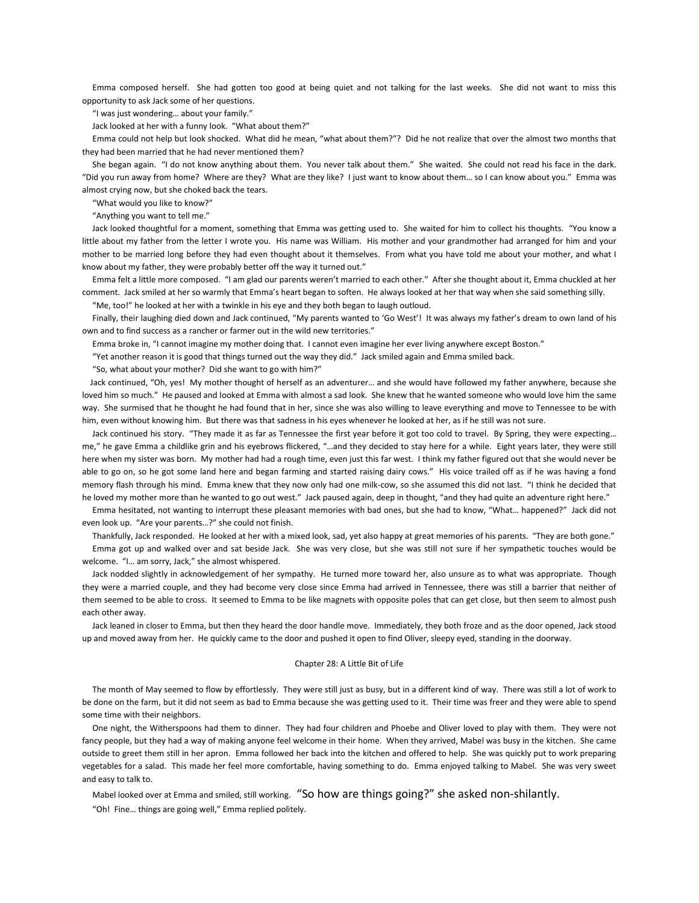Emma composed herself. She had gotten too good at being quiet and not talking for the last weeks. She did not want to miss this opportunity to ask Jack some of her questions.

"I was just wondering… about your family."

Jack looked at her with a funny look. "What about them?"

 Emma could not help but look shocked. What did he mean, "what about them?"? Did he not realize that over the almost two months that they had been married that he had never mentioned them?

 She began again. "I do not know anything about them. You never talk about them." She waited. She could not read his face in the dark. "Did you run away from home? Where are they? What are they like? I just want to know about them… so I can know about you." Emma was almost crying now, but she choked back the tears.

"What would you like to know?"

"Anything you want to tell me."

 Jack looked thoughtful for a moment, something that Emma was getting used to. She waited for him to collect his thoughts. "You know a little about my father from the letter I wrote you. His name was William. His mother and your grandmother had arranged for him and your mother to be married long before they had even thought about it themselves. From what you have told me about your mother, and what I know about my father, they were probably better off the way it turned out."

 Emma felt a little more composed. "I am glad our parents weren't married to each other." After she thought about it, Emma chuckled at her comment. Jack smiled at her so warmly that Emma's heart began to soften. He always looked at her that way when she said something silly.

"Me, too!" he looked at her with a twinkle in his eye and they both began to laugh outloud.

 Finally, their laughing died down and Jack continued, "My parents wanted to 'Go West'! It was always my father's dream to own land of his own and to find success as a rancher or farmer out in the wild new territories."

Emma broke in, "I cannot imagine my mother doing that. I cannot even imagine her ever living anywhere except Boston."

"Yet another reason it is good that things turned out the way they did." Jack smiled again and Emma smiled back.

"So, what about your mother? Did she want to go with him?"

 Jack continued, "Oh, yes! My mother thought of herself as an adventurer… and she would have followed my father anywhere, because she loved him so much." He paused and looked at Emma with almost a sad look. She knew that he wanted someone who would love him the same way. She surmised that he thought he had found that in her, since she was also willing to leave everything and move to Tennessee to be with him, even without knowing him. But there was that sadness in his eyes whenever he looked at her, as if he still was not sure.

Jack continued his story. "They made it as far as Tennessee the first year before it got too cold to travel. By Spring, they were expecting... me," he gave Emma a childlike grin and his eyebrows flickered, "…and they decided to stay here for a while. Eight years later, they were still here when my sister was born. My mother had had a rough time, even just this far west. I think my father figured out that she would never be able to go on, so he got some land here and began farming and started raising dairy cows." His voice trailed off as if he was having a fond memory flash through his mind. Emma knew that they now only had one milk-cow, so she assumed this did not last. "I think he decided that he loved my mother more than he wanted to go out west." Jack paused again, deep in thought, "and they had quite an adventure right here."

 Emma hesitated, not wanting to interrupt these pleasant memories with bad ones, but she had to know, "What… happened?" Jack did not even look up. "Are your parents…?" she could not finish.

Thankfully, Jack responded. He looked at her with a mixed look, sad, yet also happy at great memories of his parents. "They are both gone."

 Emma got up and walked over and sat beside Jack. She was very close, but she was still not sure if her sympathetic touches would be welcome. "I… am sorry, Jack," she almost whispered.

 Jack nodded slightly in acknowledgement of her sympathy. He turned more toward her, also unsure as to what was appropriate. Though they were a married couple, and they had become very close since Emma had arrived in Tennessee, there was still a barrier that neither of them seemed to be able to cross. It seemed to Emma to be like magnets with opposite poles that can get close, but then seem to almost push each other away.

 Jack leaned in closer to Emma, but then they heard the door handle move. Immediately, they both froze and as the door opened, Jack stood up and moved away from her. He quickly came to the door and pushed it open to find Oliver, sleepy eyed, standing in the doorway.

### Chapter 28: A Little Bit of Life

 The month of May seemed to flow by effortlessly. They were still just as busy, but in a different kind of way. There was still a lot of work to be done on the farm, but it did not seem as bad to Emma because she was getting used to it. Their time was freer and they were able to spend some time with their neighbors.

 One night, the Witherspoons had them to dinner. They had four children and Phoebe and Oliver loved to play with them. They were not fancy people, but they had a way of making anyone feel welcome in their home. When they arrived, Mabel was busy in the kitchen. She came outside to greet them still in her apron. Emma followed her back into the kitchen and offered to help. She was quickly put to work preparing vegetables for a salad. This made her feel more comfortable, having something to do. Emma enjoyed talking to Mabel. She was very sweet and easy to talk to.

Mabel looked over at Emma and smiled, still working. "So how are things going?" she asked non-shilantly.

"Oh! Fine… things are going well," Emma replied politely.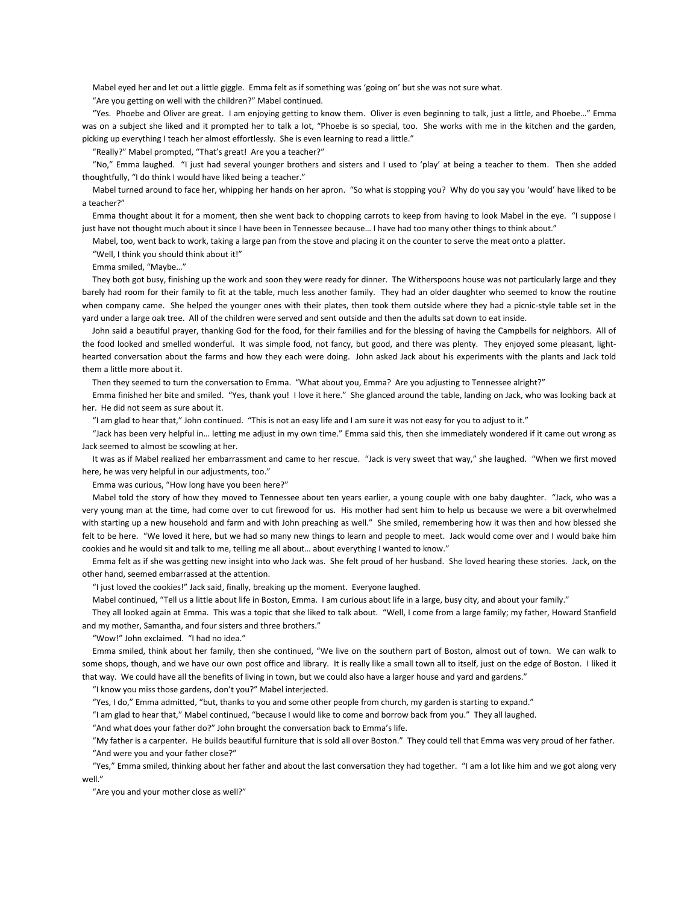Mabel eyed her and let out a little giggle. Emma felt as if something was 'going on' but she was not sure what.

"Are you getting on well with the children?" Mabel continued.

 "Yes. Phoebe and Oliver are great. I am enjoying getting to know them. Oliver is even beginning to talk, just a little, and Phoebe…" Emma was on a subject she liked and it prompted her to talk a lot, "Phoebe is so special, too. She works with me in the kitchen and the garden, picking up everything I teach her almost effortlessly. She is even learning to read a little."

"Really?" Mabel prompted, "That's great! Are you a teacher?"

 "No," Emma laughed. "I just had several younger brothers and sisters and I used to 'play' at being a teacher to them. Then she added thoughtfully, "I do think I would have liked being a teacher."

 Mabel turned around to face her, whipping her hands on her apron. "So what is stopping you? Why do you say you 'would' have liked to be a teacher?"

 Emma thought about it for a moment, then she went back to chopping carrots to keep from having to look Mabel in the eye. "I suppose I just have not thought much about it since I have been in Tennessee because… I have had too many other things to think about."

Mabel, too, went back to work, taking a large pan from the stove and placing it on the counter to serve the meat onto a platter.

"Well, I think you should think about it!"

Emma smiled, "Maybe…"

 They both got busy, finishing up the work and soon they were ready for dinner. The Witherspoons house was not particularly large and they barely had room for their family to fit at the table, much less another family. They had an older daughter who seemed to know the routine when company came. She helped the younger ones with their plates, then took them outside where they had a picnic-style table set in the yard under a large oak tree. All of the children were served and sent outside and then the adults sat down to eat inside.

 John said a beautiful prayer, thanking God for the food, for their families and for the blessing of having the Campbells for neighbors. All of the food looked and smelled wonderful. It was simple food, not fancy, but good, and there was plenty. They enjoyed some pleasant, lighthearted conversation about the farms and how they each were doing. John asked Jack about his experiments with the plants and Jack told them a little more about it.

Then they seemed to turn the conversation to Emma. "What about you, Emma? Are you adjusting to Tennessee alright?"

 Emma finished her bite and smiled. "Yes, thank you! I love it here." She glanced around the table, landing on Jack, who was looking back at her. He did not seem as sure about it.

"I am glad to hear that," John continued. "This is not an easy life and I am sure it was not easy for you to adjust to it."

 "Jack has been very helpful in… letting me adjust in my own time." Emma said this, then she immediately wondered if it came out wrong as Jack seemed to almost be scowling at her.

 It was as if Mabel realized her embarrassment and came to her rescue. "Jack is very sweet that way," she laughed. "When we first moved here, he was very helpful in our adjustments, too."

Emma was curious, "How long have you been here?"

 Mabel told the story of how they moved to Tennessee about ten years earlier, a young couple with one baby daughter. "Jack, who was a very young man at the time, had come over to cut firewood for us. His mother had sent him to help us because we were a bit overwhelmed with starting up a new household and farm and with John preaching as well." She smiled, remembering how it was then and how blessed she felt to be here. "We loved it here, but we had so many new things to learn and people to meet. Jack would come over and I would bake him cookies and he would sit and talk to me, telling me all about… about everything I wanted to know."

 Emma felt as if she was getting new insight into who Jack was. She felt proud of her husband. She loved hearing these stories. Jack, on the other hand, seemed embarrassed at the attention.

"I just loved the cookies!" Jack said, finally, breaking up the moment. Everyone laughed.

Mabel continued, "Tell us a little about life in Boston, Emma. I am curious about life in a large, busy city, and about your family."

 They all looked again at Emma. This was a topic that she liked to talk about. "Well, I come from a large family; my father, Howard Stanfield and my mother, Samantha, and four sisters and three brothers."

"Wow!" John exclaimed. "I had no idea."

 Emma smiled, think about her family, then she continued, "We live on the southern part of Boston, almost out of town. We can walk to some shops, though, and we have our own post office and library. It is really like a small town all to itself, just on the edge of Boston. I liked it that way. We could have all the benefits of living in town, but we could also have a larger house and yard and gardens."

"I know you miss those gardens, don't you?" Mabel interjected.

"Yes, I do," Emma admitted, "but, thanks to you and some other people from church, my garden is starting to expand."

"I am glad to hear that," Mabel continued, "because I would like to come and borrow back from you." They all laughed.

"And what does your father do?" John brought the conversation back to Emma's life.

 "My father is a carpenter. He builds beautiful furniture that is sold all over Boston." They could tell that Emma was very proud of her father. "And were you and your father close?"

 "Yes," Emma smiled, thinking about her father and about the last conversation they had together. "I am a lot like him and we got along very well."

"Are you and your mother close as well?"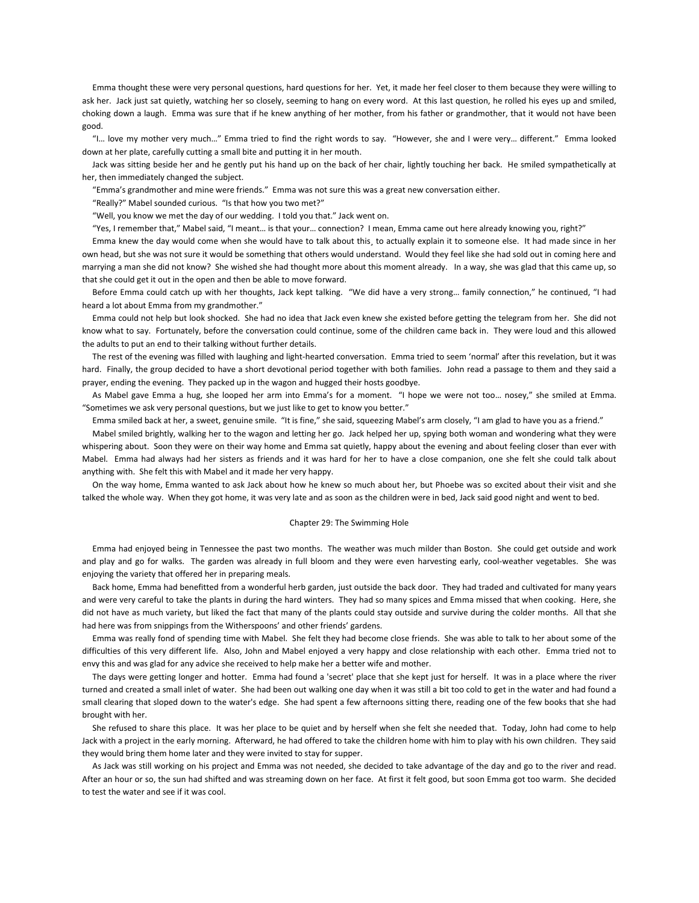Emma thought these were very personal questions, hard questions for her. Yet, it made her feel closer to them because they were willing to ask her. Jack just sat quietly, watching her so closely, seeming to hang on every word. At this last question, he rolled his eyes up and smiled, choking down a laugh. Emma was sure that if he knew anything of her mother, from his father or grandmother, that it would not have been good.

 "I… love my mother very much…" Emma tried to find the right words to say. "However, she and I were very… different." Emma looked down at her plate, carefully cutting a small bite and putting it in her mouth.

 Jack was sitting beside her and he gently put his hand up on the back of her chair, lightly touching her back. He smiled sympathetically at her, then immediately changed the subject.

"Emma's grandmother and mine were friends." Emma was not sure this was a great new conversation either.

"Really?" Mabel sounded curious. "Is that how you two met?"

"Well, you know we met the day of our wedding. I told you that." Jack went on.

"Yes, I remember that," Mabel said, "I meant… is that your… connection? I mean, Emma came out here already knowing you, right?"

 Emma knew the day would come when she would have to talk about this¸ to actually explain it to someone else. It had made since in her own head, but she was not sure it would be something that others would understand. Would they feel like she had sold out in coming here and marrying a man she did not know? She wished she had thought more about this moment already. In a way, she was glad that this came up, so that she could get it out in the open and then be able to move forward.

 Before Emma could catch up with her thoughts, Jack kept talking. "We did have a very strong… family connection," he continued, "I had heard a lot about Emma from my grandmother."

 Emma could not help but look shocked. She had no idea that Jack even knew she existed before getting the telegram from her. She did not know what to say. Fortunately, before the conversation could continue, some of the children came back in. They were loud and this allowed the adults to put an end to their talking without further details.

 The rest of the evening was filled with laughing and light-hearted conversation. Emma tried to seem 'normal' after this revelation, but it was hard. Finally, the group decided to have a short devotional period together with both families. John read a passage to them and they said a prayer, ending the evening. They packed up in the wagon and hugged their hosts goodbye.

 As Mabel gave Emma a hug, she looped her arm into Emma's for a moment. "I hope we were not too… nosey," she smiled at Emma. "Sometimes we ask very personal questions, but we just like to get to know you better."

Emma smiled back at her, a sweet, genuine smile. "It is fine," she said, squeezing Mabel's arm closely, "I am glad to have you as a friend."

 Mabel smiled brightly, walking her to the wagon and letting her go. Jack helped her up, spying both woman and wondering what they were whispering about. Soon they were on their way home and Emma sat quietly, happy about the evening and about feeling closer than ever with Mabel. Emma had always had her sisters as friends and it was hard for her to have a close companion, one she felt she could talk about anything with. She felt this with Mabel and it made her very happy.

 On the way home, Emma wanted to ask Jack about how he knew so much about her, but Phoebe was so excited about their visit and she talked the whole way. When they got home, it was very late and as soon as the children were in bed, Jack said good night and went to bed.

#### Chapter 29: The Swimming Hole

 Emma had enjoyed being in Tennessee the past two months. The weather was much milder than Boston. She could get outside and work and play and go for walks. The garden was already in full bloom and they were even harvesting early, cool-weather vegetables. She was enjoying the variety that offered her in preparing meals.

 Back home, Emma had benefitted from a wonderful herb garden, just outside the back door. They had traded and cultivated for many years and were very careful to take the plants in during the hard winters. They had so many spices and Emma missed that when cooking. Here, she did not have as much variety, but liked the fact that many of the plants could stay outside and survive during the colder months. All that she had here was from snippings from the Witherspoons' and other friends' gardens.

 Emma was really fond of spending time with Mabel. She felt they had become close friends. She was able to talk to her about some of the difficulties of this very different life. Also, John and Mabel enjoyed a very happy and close relationship with each other. Emma tried not to envy this and was glad for any advice she received to help make her a better wife and mother.

 The days were getting longer and hotter. Emma had found a 'secret' place that she kept just for herself. It was in a place where the river turned and created a small inlet of water. She had been out walking one day when it was still a bit too cold to get in the water and had found a small clearing that sloped down to the water's edge. She had spent a few afternoons sitting there, reading one of the few books that she had brought with her.

 She refused to share this place. It was her place to be quiet and by herself when she felt she needed that. Today, John had come to help Jack with a project in the early morning. Afterward, he had offered to take the children home with him to play with his own children. They said they would bring them home later and they were invited to stay for supper.

 As Jack was still working on his project and Emma was not needed, she decided to take advantage of the day and go to the river and read. After an hour or so, the sun had shifted and was streaming down on her face. At first it felt good, but soon Emma got too warm. She decided to test the water and see if it was cool.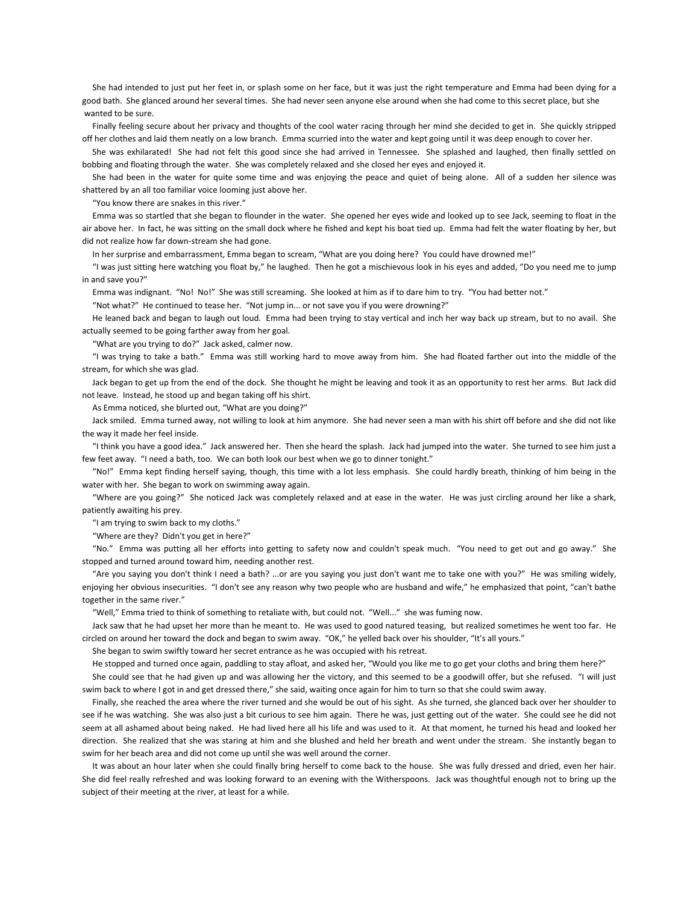She had intended to just put her feet in, or splash some on her face, but it was just the right temperature and Emma had been dying for a good bath. She glanced around her several times. She had never seen anyone else around when she had come to this secret place, but she wanted to be sure.

 Finally feeling secure about her privacy and thoughts of the cool water racing through her mind she decided to get in. She quickly stripped off her clothes and laid them neatly on a low branch. Emma scurried into the water and kept going until it was deep enough to cover her.

 She was exhilarated! She had not felt this good since she had arrived in Tennessee. She splashed and laughed, then finally settled on bobbing and floating through the water. She was completely relaxed and she closed her eyes and enjoyed it.

 She had been in the water for quite some time and was enjoying the peace and quiet of being alone. All of a sudden her silence was shattered by an all too familiar voice looming just above her.

"You know there are snakes in this river."

 Emma was so startled that she began to flounder in the water. She opened her eyes wide and looked up to see Jack, seeming to float in the air above her. In fact, he was sitting on the small dock where he fished and kept his boat tied up. Emma had felt the water floating by her, but did not realize how far down-stream she had gone.

In her surprise and embarrassment, Emma began to scream, "What are you doing here? You could have drowned me!"

 "I was just sitting here watching you float by," he laughed. Then he got a mischievous look in his eyes and added, "Do you need me to jump in and save you?"

Emma was indignant. "No! No!" She was still screaming. She looked at him as if to dare him to try. "You had better not."

"Not what?" He continued to tease her. "Not jump in... or not save you if you were drowning?"

 He leaned back and began to laugh out loud. Emma had been trying to stay vertical and inch her way back up stream, but to no avail. She actually seemed to be going farther away from her goal.

"What are you trying to do?" Jack asked, calmer now.

 "I was trying to take a bath." Emma was still working hard to move away from him. She had floated farther out into the middle of the stream, for which she was glad.

 Jack began to get up from the end of the dock. She thought he might be leaving and took it as an opportunity to rest her arms. But Jack did not leave. Instead, he stood up and began taking off his shirt.

As Emma noticed, she blurted out, "What are you doing?"

 Jack smiled. Emma turned away, not willing to look at him anymore. She had never seen a man with his shirt off before and she did not like the way it made her feel inside.

 "I think you have a good idea." Jack answered her. Then she heard the splash. Jack had jumped into the water. She turned to see him just a few feet away. "I need a bath, too. We can both look our best when we go to dinner tonight."

 "No!" Emma kept finding herself saying, though, this time with a lot less emphasis. She could hardly breath, thinking of him being in the water with her. She began to work on swimming away again.

 "Where are you going?" She noticed Jack was completely relaxed and at ease in the water. He was just circling around her like a shark, patiently awaiting his prey.

"I am trying to swim back to my cloths."

"Where are they? Didn't you get in here?"

 "No." Emma was putting all her efforts into getting to safety now and couldn't speak much. "You need to get out and go away." She stopped and turned around toward him, needing another rest.

 "Are you saying you don't think I need a bath? ...or are you saying you just don't want me to take one with you?" He was smiling widely, enjoying her obvious insecurities. "I don't see any reason why two people who are husband and wife," he emphasized that point, "can't bathe together in the same river."

"Well," Emma tried to think of something to retaliate with, but could not. "Well..." she was fuming now.

 Jack saw that he had upset her more than he meant to. He was used to good natured teasing, but realized sometimes he went too far. He circled on around her toward the dock and began to swim away. "OK," he yelled back over his shoulder, "It's all yours."

She began to swim swiftly toward her secret entrance as he was occupied with his retreat.

He stopped and turned once again, paddling to stay afloat, and asked her, "Would you like me to go get your cloths and bring them here?"

 She could see that he had given up and was allowing her the victory, and this seemed to be a goodwill offer, but she refused. "I will just swim back to where I got in and get dressed there," she said, waiting once again for him to turn so that she could swim away.

 Finally, she reached the area where the river turned and she would be out of his sight. As she turned, she glanced back over her shoulder to see if he was watching. She was also just a bit curious to see him again. There he was, just getting out of the water. She could see he did not seem at all ashamed about being naked. He had lived here all his life and was used to it. At that moment, he turned his head and looked her direction. She realized that she was staring at him and she blushed and held her breath and went under the stream. She instantly began to swim for her beach area and did not come up until she was well around the corner.

 It was about an hour later when she could finally bring herself to come back to the house. She was fully dressed and dried, even her hair. She did feel really refreshed and was looking forward to an evening with the Witherspoons. Jack was thoughtful enough not to bring up the subject of their meeting at the river, at least for a while.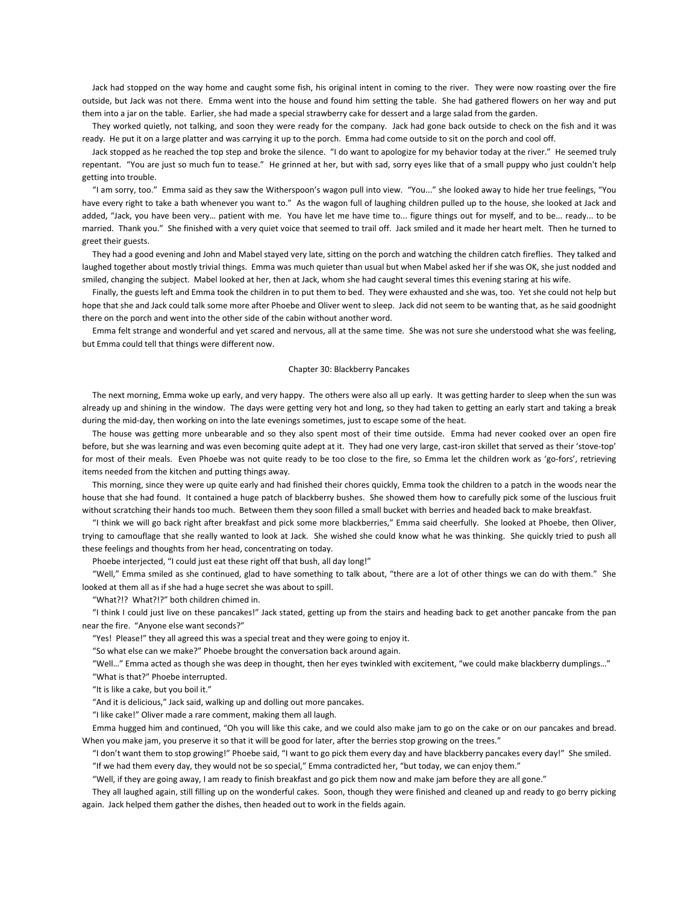Jack had stopped on the way home and caught some fish, his original intent in coming to the river. They were now roasting over the fire outside, but Jack was not there. Emma went into the house and found him setting the table. She had gathered flowers on her way and put them into a jar on the table. Earlier, she had made a special strawberry cake for dessert and a large salad from the garden.

 They worked quietly, not talking, and soon they were ready for the company. Jack had gone back outside to check on the fish and it was ready. He put it on a large platter and was carrying it up to the porch. Emma had come outside to sit on the porch and cool off.

 Jack stopped as he reached the top step and broke the silence. "I do want to apologize for my behavior today at the river." He seemed truly repentant. "You are just so much fun to tease." He grinned at her, but with sad, sorry eyes like that of a small puppy who just couldn't help getting into trouble.

 "I am sorry, too." Emma said as they saw the Witherspoon's wagon pull into view. "You..." she looked away to hide her true feelings, "You have every right to take a bath whenever you want to." As the wagon full of laughing children pulled up to the house, she looked at Jack and added, "Jack, you have been very… patient with me. You have let me have time to... figure things out for myself, and to be... ready... to be married. Thank you." She finished with a very quiet voice that seemed to trail off. Jack smiled and it made her heart melt. Then he turned to greet their guests.

 They had a good evening and John and Mabel stayed very late, sitting on the porch and watching the children catch fireflies. They talked and laughed together about mostly trivial things. Emma was much quieter than usual but when Mabel asked her if she was OK, she just nodded and smiled, changing the subject. Mabel looked at her, then at Jack, whom she had caught several times this evening staring at his wife.

 Finally, the guests left and Emma took the children in to put them to bed. They were exhausted and she was, too. Yet she could not help but hope that she and Jack could talk some more after Phoebe and Oliver went to sleep. Jack did not seem to be wanting that, as he said goodnight there on the porch and went into the other side of the cabin without another word.

 Emma felt strange and wonderful and yet scared and nervous, all at the same time. She was not sure she understood what she was feeling, but Emma could tell that things were different now.

## Chapter 30: Blackberry Pancakes

 The next morning, Emma woke up early, and very happy. The others were also all up early. It was getting harder to sleep when the sun was already up and shining in the window. The days were getting very hot and long, so they had taken to getting an early start and taking a break during the mid-day, then working on into the late evenings sometimes, just to escape some of the heat.

 The house was getting more unbearable and so they also spent most of their time outside. Emma had never cooked over an open fire before, but she was learning and was even becoming quite adept at it. They had one very large, cast-iron skillet that served as their 'stove-top' for most of their meals. Even Phoebe was not quite ready to be too close to the fire, so Emma let the children work as 'go-fors', retrieving items needed from the kitchen and putting things away.

 This morning, since they were up quite early and had finished their chores quickly, Emma took the children to a patch in the woods near the house that she had found. It contained a huge patch of blackberry bushes. She showed them how to carefully pick some of the luscious fruit without scratching their hands too much. Between them they soon filled a small bucket with berries and headed back to make breakfast.

 "I think we will go back right after breakfast and pick some more blackberries," Emma said cheerfully. She looked at Phoebe, then Oliver, trying to camouflage that she really wanted to look at Jack. She wished she could know what he was thinking. She quickly tried to push all these feelings and thoughts from her head, concentrating on today.

Phoebe interjected, "I could just eat these right off that bush, all day long!"

 "Well," Emma smiled as she continued, glad to have something to talk about, "there are a lot of other things we can do with them." She looked at them all as if she had a huge secret she was about to spill.

"What?!? What?!?" both children chimed in.

 "I think I could just live on these pancakes!" Jack stated, getting up from the stairs and heading back to get another pancake from the pan near the fire. "Anyone else want seconds?"

"Yes! Please!" they all agreed this was a special treat and they were going to enjoy it.

"So what else can we make?" Phoebe brought the conversation back around again.

"Well…" Emma acted as though she was deep in thought, then her eyes twinkled with excitement, "we could make blackberry dumplings…"

"What is that?" Phoebe interrupted.

"It is like a cake, but you boil it."

"And it is delicious," Jack said, walking up and dolling out more pancakes.

"I like cake!" Oliver made a rare comment, making them all laugh.

 Emma hugged him and continued, "Oh you will like this cake, and we could also make jam to go on the cake or on our pancakes and bread. When you make jam, you preserve it so that it will be good for later, after the berries stop growing on the trees."

 "I don't want them to stop growing!" Phoebe said, "I want to go pick them every day and have blackberry pancakes every day!" She smiled. "If we had them every day, they would not be so special," Emma contradicted her, "but today, we can enjoy them."

"Well, if they are going away, I am ready to finish breakfast and go pick them now and make jam before they are all gone."

 They all laughed again, still filling up on the wonderful cakes. Soon, though they were finished and cleaned up and ready to go berry picking again. Jack helped them gather the dishes, then headed out to work in the fields again.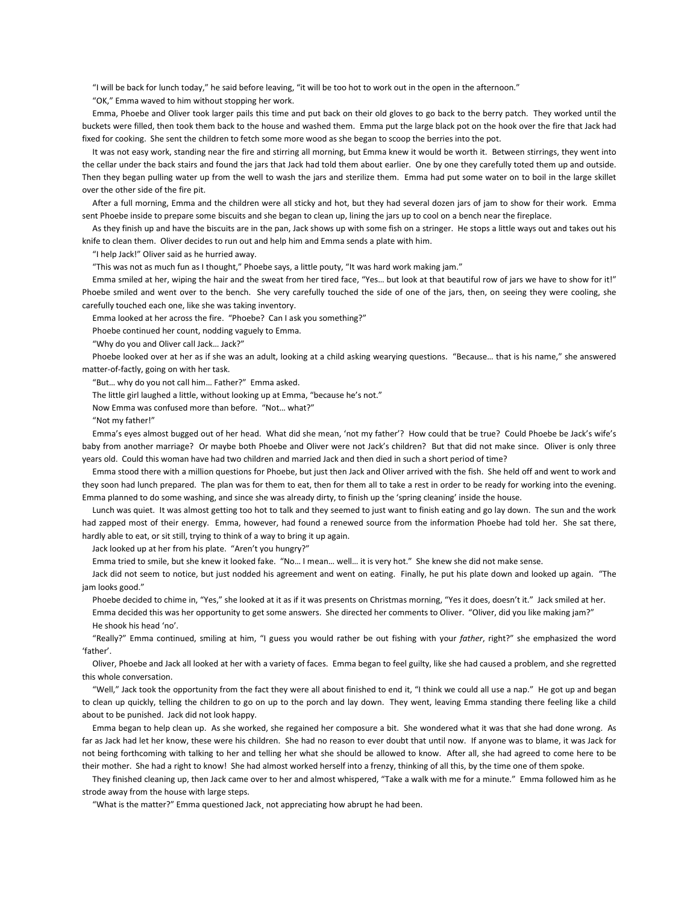"I will be back for lunch today," he said before leaving, "it will be too hot to work out in the open in the afternoon."

"OK," Emma waved to him without stopping her work.

 Emma, Phoebe and Oliver took larger pails this time and put back on their old gloves to go back to the berry patch. They worked until the buckets were filled, then took them back to the house and washed them. Emma put the large black pot on the hook over the fire that Jack had fixed for cooking. She sent the children to fetch some more wood as she began to scoop the berries into the pot.

 It was not easy work, standing near the fire and stirring all morning, but Emma knew it would be worth it. Between stirrings, they went into the cellar under the back stairs and found the jars that Jack had told them about earlier. One by one they carefully toted them up and outside. Then they began pulling water up from the well to wash the jars and sterilize them. Emma had put some water on to boil in the large skillet over the other side of the fire pit.

 After a full morning, Emma and the children were all sticky and hot, but they had several dozen jars of jam to show for their work. Emma sent Phoebe inside to prepare some biscuits and she began to clean up, lining the jars up to cool on a bench near the fireplace.

 As they finish up and have the biscuits are in the pan, Jack shows up with some fish on a stringer. He stops a little ways out and takes out his knife to clean them. Oliver decides to run out and help him and Emma sends a plate with him.

"I help Jack!" Oliver said as he hurried away.

"This was not as much fun as I thought," Phoebe says, a little pouty, "It was hard work making jam."

 Emma smiled at her, wiping the hair and the sweat from her tired face, "Yes… but look at that beautiful row of jars we have to show for it!" Phoebe smiled and went over to the bench. She very carefully touched the side of one of the jars, then, on seeing they were cooling, she carefully touched each one, like she was taking inventory.

Emma looked at her across the fire. "Phoebe? Can I ask you something?"

Phoebe continued her count, nodding vaguely to Emma.

"Why do you and Oliver call Jack… Jack?"

Phoebe looked over at her as if she was an adult, looking at a child asking wearying questions. "Because... that is his name," she answered matter-of-factly, going on with her task.

"But… why do you not call him… Father?" Emma asked.

The little girl laughed a little, without looking up at Emma, "because he's not."

Now Emma was confused more than before. "Not… what?"

"Not my father!"

 Emma's eyes almost bugged out of her head. What did she mean, 'not my father'? How could that be true? Could Phoebe be Jack's wife's baby from another marriage? Or maybe both Phoebe and Oliver were not Jack's children? But that did not make since. Oliver is only three years old. Could this woman have had two children and married Jack and then died in such a short period of time?

 Emma stood there with a million questions for Phoebe, but just then Jack and Oliver arrived with the fish. She held off and went to work and they soon had lunch prepared. The plan was for them to eat, then for them all to take a rest in order to be ready for working into the evening. Emma planned to do some washing, and since she was already dirty, to finish up the 'spring cleaning' inside the house.

 Lunch was quiet. It was almost getting too hot to talk and they seemed to just want to finish eating and go lay down. The sun and the work had zapped most of their energy. Emma, however, had found a renewed source from the information Phoebe had told her. She sat there, hardly able to eat, or sit still, trying to think of a way to bring it up again.

Jack looked up at her from his plate. "Aren't you hungry?"

Emma tried to smile, but she knew it looked fake. "No… I mean… well… it is very hot." She knew she did not make sense.

 Jack did not seem to notice, but just nodded his agreement and went on eating. Finally, he put his plate down and looked up again. "The jam looks good."

 Phoebe decided to chime in, "Yes," she looked at it as if it was presents on Christmas morning, "Yes it does, doesn't it." Jack smiled at her. Emma decided this was her opportunity to get some answers. She directed her comments to Oliver. "Oliver, did you like making jam?" He shook his head 'no'.

 "Really?" Emma continued, smiling at him, "I guess you would rather be out fishing with your *father*, right?" she emphasized the word 'father'.

 Oliver, Phoebe and Jack all looked at her with a variety of faces. Emma began to feel guilty, like she had caused a problem, and she regretted this whole conversation.

 "Well," Jack took the opportunity from the fact they were all about finished to end it, "I think we could all use a nap." He got up and began to clean up quickly, telling the children to go on up to the porch and lay down. They went, leaving Emma standing there feeling like a child about to be punished. Jack did not look happy.

 Emma began to help clean up. As she worked, she regained her composure a bit. She wondered what it was that she had done wrong. As far as Jack had let her know, these were his children. She had no reason to ever doubt that until now. If anyone was to blame, it was Jack for not being forthcoming with talking to her and telling her what she should be allowed to know. After all, she had agreed to come here to be their mother. She had a right to know! She had almost worked herself into a frenzy, thinking of all this, by the time one of them spoke.

 They finished cleaning up, then Jack came over to her and almost whispered, "Take a walk with me for a minute." Emma followed him as he strode away from the house with large steps.

"What is the matter?" Emma questioned Jack¸ not appreciating how abrupt he had been.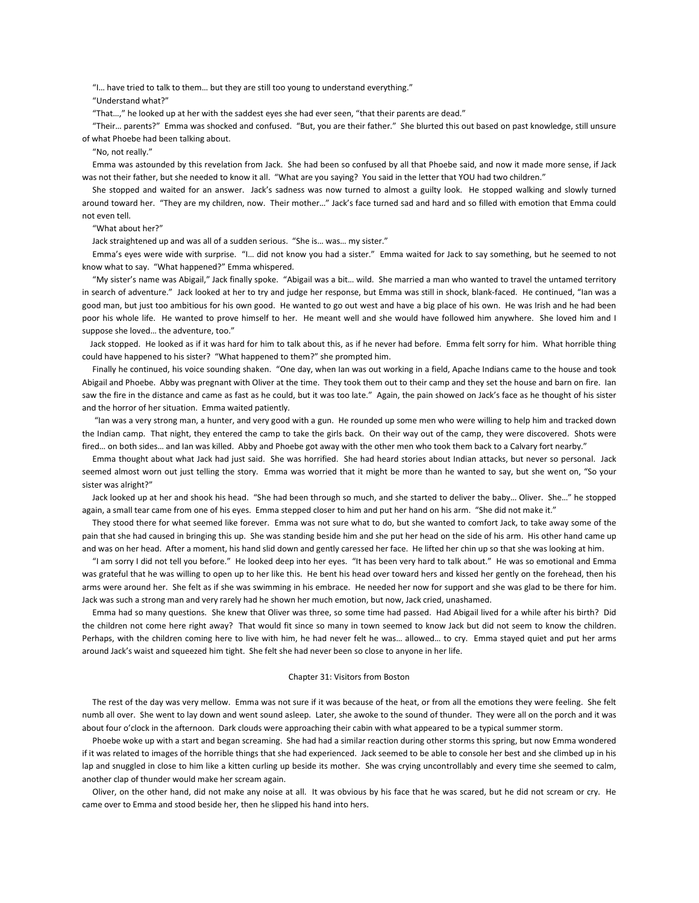"I… have tried to talk to them… but they are still too young to understand everything."

"Understand what?"

"That…," he looked up at her with the saddest eyes she had ever seen, "that their parents are dead."

 "Their… parents?" Emma was shocked and confused. "But, you are their father." She blurted this out based on past knowledge, still unsure of what Phoebe had been talking about.

"No, not really."

 Emma was astounded by this revelation from Jack. She had been so confused by all that Phoebe said, and now it made more sense, if Jack was not their father, but she needed to know it all. "What are you saying? You said in the letter that YOU had two children."

 She stopped and waited for an answer. Jack's sadness was now turned to almost a guilty look. He stopped walking and slowly turned around toward her. "They are my children, now. Their mother…" Jack's face turned sad and hard and so filled with emotion that Emma could not even tell.

### "What about her?"

Jack straightened up and was all of a sudden serious. "She is… was… my sister."

 Emma's eyes were wide with surprise. "I… did not know you had a sister." Emma waited for Jack to say something, but he seemed to not know what to say. "What happened?" Emma whispered.

 "My sister's name was Abigail," Jack finally spoke. "Abigail was a bit… wild. She married a man who wanted to travel the untamed territory in search of adventure." Jack looked at her to try and judge her response, but Emma was still in shock, blank-faced. He continued, "Ian was a good man, but just too ambitious for his own good. He wanted to go out west and have a big place of his own. He was Irish and he had been poor his whole life. He wanted to prove himself to her. He meant well and she would have followed him anywhere. She loved him and I suppose she loved… the adventure, too."

 Jack stopped. He looked as if it was hard for him to talk about this, as if he never had before. Emma felt sorry for him. What horrible thing could have happened to his sister? "What happened to them?" she prompted him.

 Finally he continued, his voice sounding shaken. "One day, when Ian was out working in a field, Apache Indians came to the house and took Abigail and Phoebe. Abby was pregnant with Oliver at the time. They took them out to their camp and they set the house and barn on fire. Ian saw the fire in the distance and came as fast as he could, but it was too late." Again, the pain showed on Jack's face as he thought of his sister and the horror of her situation. Emma waited patiently.

 "Ian was a very strong man, a hunter, and very good with a gun. He rounded up some men who were willing to help him and tracked down the Indian camp. That night, they entered the camp to take the girls back. On their way out of the camp, they were discovered. Shots were fired… on both sides… and Ian was killed. Abby and Phoebe got away with the other men who took them back to a Calvary fort nearby."

 Emma thought about what Jack had just said. She was horrified. She had heard stories about Indian attacks, but never so personal. Jack seemed almost worn out just telling the story. Emma was worried that it might be more than he wanted to say, but she went on, "So your sister was alright?"

 Jack looked up at her and shook his head. "She had been through so much, and she started to deliver the baby… Oliver. She…" he stopped again, a small tear came from one of his eyes. Emma stepped closer to him and put her hand on his arm. "She did not make it."

 They stood there for what seemed like forever. Emma was not sure what to do, but she wanted to comfort Jack, to take away some of the pain that she had caused in bringing this up. She was standing beside him and she put her head on the side of his arm. His other hand came up and was on her head. After a moment, his hand slid down and gently caressed her face. He lifted her chin up so that she was looking at him.

 "I am sorry I did not tell you before." He looked deep into her eyes. "It has been very hard to talk about." He was so emotional and Emma was grateful that he was willing to open up to her like this. He bent his head over toward hers and kissed her gently on the forehead, then his arms were around her. She felt as if she was swimming in his embrace. He needed her now for support and she was glad to be there for him. Jack was such a strong man and very rarely had he shown her much emotion, but now, Jack cried, unashamed.

 Emma had so many questions. She knew that Oliver was three, so some time had passed. Had Abigail lived for a while after his birth? Did the children not come here right away? That would fit since so many in town seemed to know Jack but did not seem to know the children. Perhaps, with the children coming here to live with him, he had never felt he was… allowed… to cry. Emma stayed quiet and put her arms around Jack's waist and squeezed him tight. She felt she had never been so close to anyone in her life.

# Chapter 31: Visitors from Boston

 The rest of the day was very mellow. Emma was not sure if it was because of the heat, or from all the emotions they were feeling. She felt numb all over. She went to lay down and went sound asleep. Later, she awoke to the sound of thunder. They were all on the porch and it was about four o'clock in the afternoon. Dark clouds were approaching their cabin with what appeared to be a typical summer storm.

 Phoebe woke up with a start and began screaming. She had had a similar reaction during other storms this spring, but now Emma wondered if it was related to images of the horrible things that she had experienced. Jack seemed to be able to console her best and she climbed up in his lap and snuggled in close to him like a kitten curling up beside its mother. She was crying uncontrollably and every time she seemed to calm, another clap of thunder would make her scream again.

 Oliver, on the other hand, did not make any noise at all. It was obvious by his face that he was scared, but he did not scream or cry. He came over to Emma and stood beside her, then he slipped his hand into hers.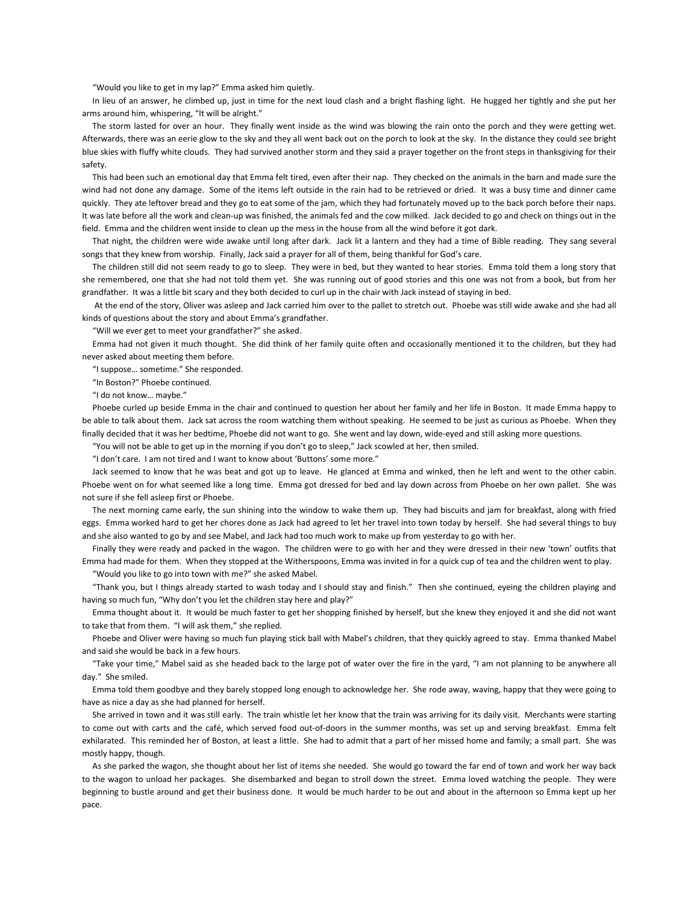"Would you like to get in my lap?" Emma asked him quietly.

 In lieu of an answer, he climbed up, just in time for the next loud clash and a bright flashing light. He hugged her tightly and she put her arms around him, whispering, "It will be alright."

 The storm lasted for over an hour. They finally went inside as the wind was blowing the rain onto the porch and they were getting wet. Afterwards, there was an eerie glow to the sky and they all went back out on the porch to look at the sky. In the distance they could see bright blue skies with fluffy white clouds. They had survived another storm and they said a prayer together on the front steps in thanksgiving for their safety.

 This had been such an emotional day that Emma felt tired, even after their nap. They checked on the animals in the barn and made sure the wind had not done any damage. Some of the items left outside in the rain had to be retrieved or dried. It was a busy time and dinner came quickly. They ate leftover bread and they go to eat some of the jam, which they had fortunately moved up to the back porch before their naps. It was late before all the work and clean-up was finished, the animals fed and the cow milked. Jack decided to go and check on things out in the field. Emma and the children went inside to clean up the mess in the house from all the wind before it got dark.

 That night, the children were wide awake until long after dark. Jack lit a lantern and they had a time of Bible reading. They sang several songs that they knew from worship. Finally, Jack said a prayer for all of them, being thankful for God's care.

 The children still did not seem ready to go to sleep. They were in bed, but they wanted to hear stories. Emma told them a long story that she remembered, one that she had not told them yet. She was running out of good stories and this one was not from a book, but from her grandfather. It was a little bit scary and they both decided to curl up in the chair with Jack instead of staying in bed.

 At the end of the story, Oliver was asleep and Jack carried him over to the pallet to stretch out. Phoebe was still wide awake and she had all kinds of questions about the story and about Emma's grandfather.

"Will we ever get to meet your grandfather?" she asked.

 Emma had not given it much thought. She did think of her family quite often and occasionally mentioned it to the children, but they had never asked about meeting them before.

"I suppose… sometime." She responded.

"In Boston?" Phoebe continued.

"I do not know… maybe."

Phoebe curled up beside Emma in the chair and continued to question her about her family and her life in Boston. It made Emma happy to be able to talk about them. Jack sat across the room watching them without speaking. He seemed to be just as curious as Phoebe. When they finally decided that it was her bedtime, Phoebe did not want to go. She went and lay down, wide-eyed and still asking more questions.

"You will not be able to get up in the morning if you don't go to sleep," Jack scowled at her, then smiled.

"I don't care. I am not tired and I want to know about 'Buttons' some more."

 Jack seemed to know that he was beat and got up to leave. He glanced at Emma and winked, then he left and went to the other cabin. Phoebe went on for what seemed like a long time. Emma got dressed for bed and lay down across from Phoebe on her own pallet. She was not sure if she fell asleep first or Phoebe.

 The next morning came early, the sun shining into the window to wake them up. They had biscuits and jam for breakfast, along with fried eggs. Emma worked hard to get her chores done as Jack had agreed to let her travel into town today by herself. She had several things to buy and she also wanted to go by and see Mabel, and Jack had too much work to make up from yesterday to go with her.

 Finally they were ready and packed in the wagon. The children were to go with her and they were dressed in their new 'town' outfits that Emma had made for them. When they stopped at the Witherspoons, Emma was invited in for a quick cup of tea and the children went to play.

"Would you like to go into town with me?" she asked Mabel.

 "Thank you, but I things already started to wash today and I should stay and finish." Then she continued, eyeing the children playing and having so much fun, "Why don't you let the children stay here and play?"

 Emma thought about it. It would be much faster to get her shopping finished by herself, but she knew they enjoyed it and she did not want to take that from them. "I will ask them," she replied.

 Phoebe and Oliver were having so much fun playing stick ball with Mabel's children, that they quickly agreed to stay. Emma thanked Mabel and said she would be back in a few hours.

 "Take your time," Mabel said as she headed back to the large pot of water over the fire in the yard, "I am not planning to be anywhere all day." She smiled.

 Emma told them goodbye and they barely stopped long enough to acknowledge her. She rode away, waving, happy that they were going to have as nice a day as she had planned for herself.

 She arrived in town and it was still early. The train whistle let her know that the train was arriving for its daily visit. Merchants were starting to come out with carts and the café, which served food out-of-doors in the summer months, was set up and serving breakfast. Emma felt exhilarated. This reminded her of Boston, at least a little. She had to admit that a part of her missed home and family; a small part. She was mostly happy, though.

 As she parked the wagon, she thought about her list of items she needed. She would go toward the far end of town and work her way back to the wagon to unload her packages. She disembarked and began to stroll down the street. Emma loved watching the people. They were beginning to bustle around and get their business done. It would be much harder to be out and about in the afternoon so Emma kept up her pace.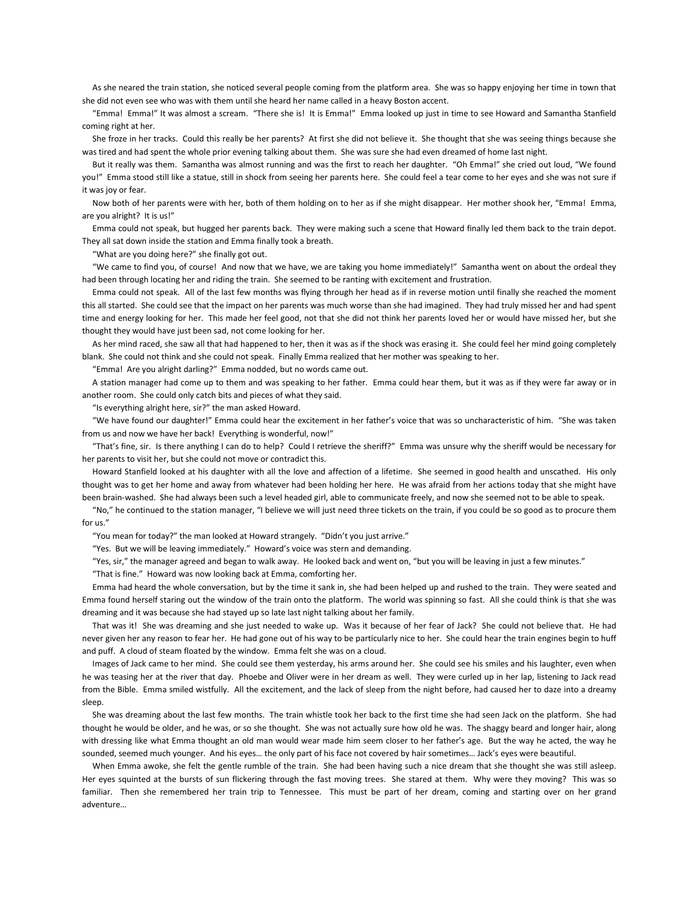As she neared the train station, she noticed several people coming from the platform area. She was so happy enjoying her time in town that she did not even see who was with them until she heard her name called in a heavy Boston accent.

 "Emma! Emma!" It was almost a scream. "There she is! It is Emma!" Emma looked up just in time to see Howard and Samantha Stanfield coming right at her.

 She froze in her tracks. Could this really be her parents? At first she did not believe it. She thought that she was seeing things because she was tired and had spent the whole prior evening talking about them. She was sure she had even dreamed of home last night.

 But it really was them. Samantha was almost running and was the first to reach her daughter. "Oh Emma!" she cried out loud, "We found you!" Emma stood still like a statue, still in shock from seeing her parents here. She could feel a tear come to her eyes and she was not sure if it was joy or fear.

 Now both of her parents were with her, both of them holding on to her as if she might disappear. Her mother shook her, "Emma! Emma, are you alright? It is us!"

 Emma could not speak, but hugged her parents back. They were making such a scene that Howard finally led them back to the train depot. They all sat down inside the station and Emma finally took a breath.

"What are you doing here?" she finally got out.

 "We came to find you, of course! And now that we have, we are taking you home immediately!" Samantha went on about the ordeal they had been through locating her and riding the train. She seemed to be ranting with excitement and frustration.

 Emma could not speak. All of the last few months was flying through her head as if in reverse motion until finally she reached the moment this all started. She could see that the impact on her parents was much worse than she had imagined. They had truly missed her and had spent time and energy looking for her. This made her feel good, not that she did not think her parents loved her or would have missed her, but she thought they would have just been sad, not come looking for her.

 As her mind raced, she saw all that had happened to her, then it was as if the shock was erasing it. She could feel her mind going completely blank. She could not think and she could not speak. Finally Emma realized that her mother was speaking to her.

"Emma! Are you alright darling?" Emma nodded, but no words came out.

 A station manager had come up to them and was speaking to her father. Emma could hear them, but it was as if they were far away or in another room. She could only catch bits and pieces of what they said.

"Is everything alright here, sir?" the man asked Howard.

 "We have found our daughter!" Emma could hear the excitement in her father's voice that was so uncharacteristic of him. "She was taken from us and now we have her back! Everything is wonderful, now!"

 "That's fine, sir. Is there anything I can do to help? Could I retrieve the sheriff?" Emma was unsure why the sheriff would be necessary for her parents to visit her, but she could not move or contradict this.

 Howard Stanfield looked at his daughter with all the love and affection of a lifetime. She seemed in good health and unscathed. His only thought was to get her home and away from whatever had been holding her here. He was afraid from her actions today that she might have been brain-washed. She had always been such a level headed girl, able to communicate freely, and now she seemed not to be able to speak.

 "No," he continued to the station manager, "I believe we will just need three tickets on the train, if you could be so good as to procure them for us."

"You mean for today?" the man looked at Howard strangely. "Didn't you just arrive."

"Yes. But we will be leaving immediately." Howard's voice was stern and demanding.

"Yes, sir," the manager agreed and began to walk away. He looked back and went on, "but you will be leaving in just a few minutes."

"That is fine." Howard was now looking back at Emma, comforting her.

 Emma had heard the whole conversation, but by the time it sank in, she had been helped up and rushed to the train. They were seated and Emma found herself staring out the window of the train onto the platform. The world was spinning so fast. All she could think is that she was dreaming and it was because she had stayed up so late last night talking about her family.

 That was it! She was dreaming and she just needed to wake up. Was it because of her fear of Jack? She could not believe that. He had never given her any reason to fear her. He had gone out of his way to be particularly nice to her. She could hear the train engines begin to huff and puff. A cloud of steam floated by the window. Emma felt she was on a cloud.

 Images of Jack came to her mind. She could see them yesterday, his arms around her. She could see his smiles and his laughter, even when he was teasing her at the river that day. Phoebe and Oliver were in her dream as well. They were curled up in her lap, listening to Jack read from the Bible. Emma smiled wistfully. All the excitement, and the lack of sleep from the night before, had caused her to daze into a dreamy sleep.

 She was dreaming about the last few months. The train whistle took her back to the first time she had seen Jack on the platform. She had thought he would be older, and he was, or so she thought. She was not actually sure how old he was. The shaggy beard and longer hair, along with dressing like what Emma thought an old man would wear made him seem closer to her father's age. But the way he acted, the way he sounded, seemed much younger. And his eyes… the only part of his face not covered by hair sometimes… Jack's eyes were beautiful.

 When Emma awoke, she felt the gentle rumble of the train. She had been having such a nice dream that she thought she was still asleep. Her eyes squinted at the bursts of sun flickering through the fast moving trees. She stared at them. Why were they moving? This was so familiar. Then she remembered her train trip to Tennessee. This must be part of her dream, coming and starting over on her grand adventure…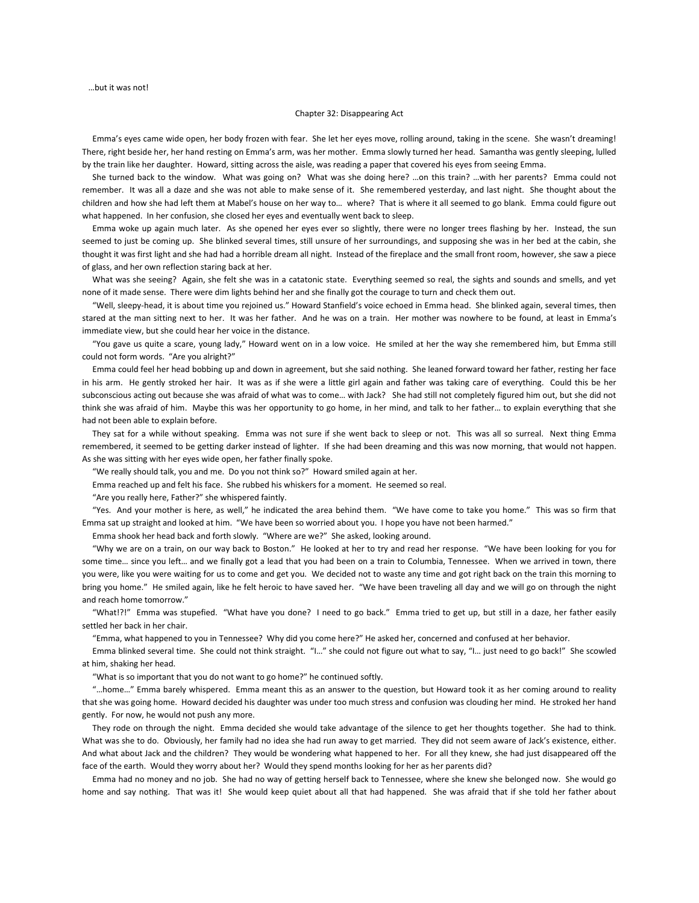…but it was not!

### Chapter 32: Disappearing Act

 Emma's eyes came wide open, her body frozen with fear. She let her eyes move, rolling around, taking in the scene. She wasn't dreaming! There, right beside her, her hand resting on Emma's arm, was her mother. Emma slowly turned her head. Samantha was gently sleeping, lulled by the train like her daughter. Howard, sitting across the aisle, was reading a paper that covered his eyes from seeing Emma.

 She turned back to the window. What was going on? What was she doing here? …on this train? …with her parents? Emma could not remember. It was all a daze and she was not able to make sense of it. She remembered yesterday, and last night. She thought about the children and how she had left them at Mabel's house on her way to… where? That is where it all seemed to go blank. Emma could figure out what happened. In her confusion, she closed her eyes and eventually went back to sleep.

 Emma woke up again much later. As she opened her eyes ever so slightly, there were no longer trees flashing by her. Instead, the sun seemed to just be coming up. She blinked several times, still unsure of her surroundings, and supposing she was in her bed at the cabin, she thought it was first light and she had had a horrible dream all night. Instead of the fireplace and the small front room, however, she saw a piece of glass, and her own reflection staring back at her.

 What was she seeing? Again, she felt she was in a catatonic state. Everything seemed so real, the sights and sounds and smells, and yet none of it made sense. There were dim lights behind her and she finally got the courage to turn and check them out.

 "Well, sleepy-head, it is about time you rejoined us." Howard Stanfield's voice echoed in Emma head. She blinked again, several times, then stared at the man sitting next to her. It was her father. And he was on a train. Her mother was nowhere to be found, at least in Emma's immediate view, but she could hear her voice in the distance.

 "You gave us quite a scare, young lady," Howard went on in a low voice. He smiled at her the way she remembered him, but Emma still could not form words. "Are you alright?"

 Emma could feel her head bobbing up and down in agreement, but she said nothing. She leaned forward toward her father, resting her face in his arm. He gently stroked her hair. It was as if she were a little girl again and father was taking care of everything. Could this be her subconscious acting out because she was afraid of what was to come… with Jack? She had still not completely figured him out, but she did not think she was afraid of him. Maybe this was her opportunity to go home, in her mind, and talk to her father… to explain everything that she had not been able to explain before.

 They sat for a while without speaking. Emma was not sure if she went back to sleep or not. This was all so surreal. Next thing Emma remembered, it seemed to be getting darker instead of lighter. If she had been dreaming and this was now morning, that would not happen. As she was sitting with her eyes wide open, her father finally spoke.

"We really should talk, you and me. Do you not think so?" Howard smiled again at her.

Emma reached up and felt his face. She rubbed his whiskers for a moment. He seemed so real.

"Are you really here, Father?" she whispered faintly.

 "Yes. And your mother is here, as well," he indicated the area behind them. "We have come to take you home." This was so firm that Emma sat up straight and looked at him. "We have been so worried about you. I hope you have not been harmed."

Emma shook her head back and forth slowly. "Where are we?" She asked, looking around.

 "Why we are on a train, on our way back to Boston." He looked at her to try and read her response. "We have been looking for you for some time… since you left… and we finally got a lead that you had been on a train to Columbia, Tennessee. When we arrived in town, there you were, like you were waiting for us to come and get you. We decided not to waste any time and got right back on the train this morning to bring you home." He smiled again, like he felt heroic to have saved her. "We have been traveling all day and we will go on through the night and reach home tomorrow."

 "What!?!" Emma was stupefied. "What have you done? I need to go back." Emma tried to get up, but still in a daze, her father easily settled her back in her chair.

"Emma, what happened to you in Tennessee? Why did you come here?" He asked her, concerned and confused at her behavior.

 Emma blinked several time. She could not think straight. "I…" she could not figure out what to say, "I… just need to go back!" She scowled at him, shaking her head.

"What is so important that you do not want to go home?" he continued softly.

 "…home…" Emma barely whispered. Emma meant this as an answer to the question, but Howard took it as her coming around to reality that she was going home. Howard decided his daughter was under too much stress and confusion was clouding her mind. He stroked her hand gently. For now, he would not push any more.

 They rode on through the night. Emma decided she would take advantage of the silence to get her thoughts together. She had to think. What was she to do. Obviously, her family had no idea she had run away to get married. They did not seem aware of Jack's existence, either. And what about Jack and the children? They would be wondering what happened to her. For all they knew, she had just disappeared off the face of the earth. Would they worry about her? Would they spend months looking for her as her parents did?

 Emma had no money and no job. She had no way of getting herself back to Tennessee, where she knew she belonged now. She would go home and say nothing. That was it! She would keep quiet about all that had happened. She was afraid that if she told her father about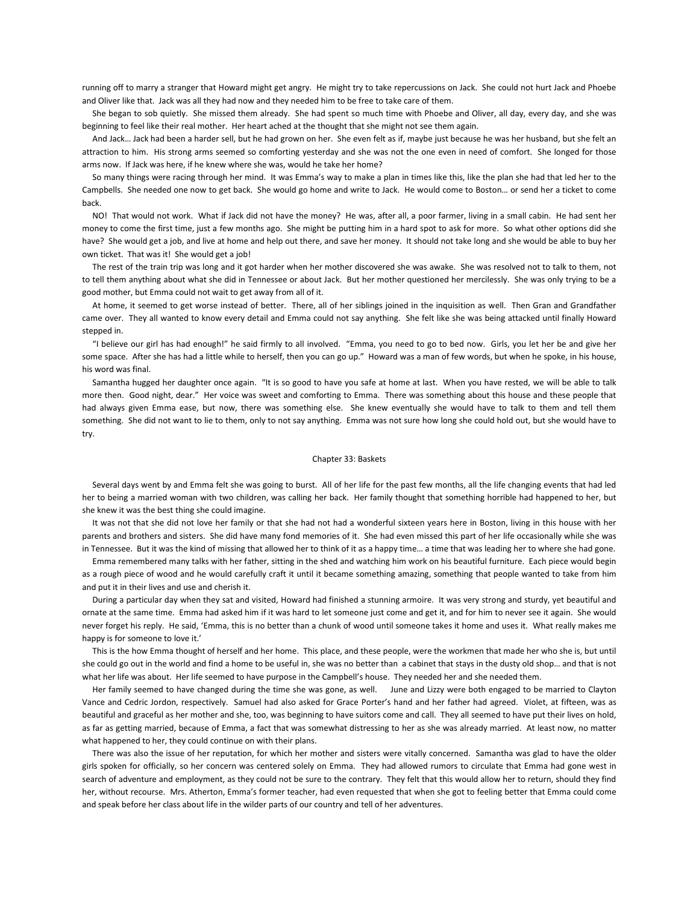running off to marry a stranger that Howard might get angry. He might try to take repercussions on Jack. She could not hurt Jack and Phoebe and Oliver like that. Jack was all they had now and they needed him to be free to take care of them.

 She began to sob quietly. She missed them already. She had spent so much time with Phoebe and Oliver, all day, every day, and she was beginning to feel like their real mother. Her heart ached at the thought that she might not see them again.

 And Jack… Jack had been a harder sell, but he had grown on her. She even felt as if, maybe just because he was her husband, but she felt an attraction to him. His strong arms seemed so comforting yesterday and she was not the one even in need of comfort. She longed for those arms now. If Jack was here, if he knew where she was, would he take her home?

 So many things were racing through her mind. It was Emma's way to make a plan in times like this, like the plan she had that led her to the Campbells. She needed one now to get back. She would go home and write to Jack. He would come to Boston… or send her a ticket to come back.

 NO! That would not work. What if Jack did not have the money? He was, after all, a poor farmer, living in a small cabin. He had sent her money to come the first time, just a few months ago. She might be putting him in a hard spot to ask for more. So what other options did she have? She would get a job, and live at home and help out there, and save her money. It should not take long and she would be able to buy her own ticket. That was it! She would get a job!

 The rest of the train trip was long and it got harder when her mother discovered she was awake. She was resolved not to talk to them, not to tell them anything about what she did in Tennessee or about Jack. But her mother questioned her mercilessly. She was only trying to be a good mother, but Emma could not wait to get away from all of it.

 At home, it seemed to get worse instead of better. There, all of her siblings joined in the inquisition as well. Then Gran and Grandfather came over. They all wanted to know every detail and Emma could not say anything. She felt like she was being attacked until finally Howard stepped in.

 "I believe our girl has had enough!" he said firmly to all involved. "Emma, you need to go to bed now. Girls, you let her be and give her some space. After she has had a little while to herself, then you can go up." Howard was a man of few words, but when he spoke, in his house, his word was final.

 Samantha hugged her daughter once again. "It is so good to have you safe at home at last. When you have rested, we will be able to talk more then. Good night, dear." Her voice was sweet and comforting to Emma. There was something about this house and these people that had always given Emma ease, but now, there was something else. She knew eventually she would have to talk to them and tell them something. She did not want to lie to them, only to not say anything. Emma was not sure how long she could hold out, but she would have to try.

### Chapter 33: Baskets

 Several days went by and Emma felt she was going to burst. All of her life for the past few months, all the life changing events that had led her to being a married woman with two children, was calling her back. Her family thought that something horrible had happened to her, but she knew it was the best thing she could imagine.

 It was not that she did not love her family or that she had not had a wonderful sixteen years here in Boston, living in this house with her parents and brothers and sisters. She did have many fond memories of it. She had even missed this part of her life occasionally while she was in Tennessee. But it was the kind of missing that allowed her to think of it as a happy time… a time that was leading her to where she had gone.

 Emma remembered many talks with her father, sitting in the shed and watching him work on his beautiful furniture. Each piece would begin as a rough piece of wood and he would carefully craft it until it became something amazing, something that people wanted to take from him and put it in their lives and use and cherish it.

 During a particular day when they sat and visited, Howard had finished a stunning armoire. It was very strong and sturdy, yet beautiful and ornate at the same time. Emma had asked him if it was hard to let someone just come and get it, and for him to never see it again. She would never forget his reply. He said, 'Emma, this is no better than a chunk of wood until someone takes it home and uses it. What really makes me happy is for someone to love it.'

 This is the how Emma thought of herself and her home. This place, and these people, were the workmen that made her who she is, but until she could go out in the world and find a home to be useful in, she was no better than a cabinet that stays in the dusty old shop… and that is not what her life was about. Her life seemed to have purpose in the Campbell's house. They needed her and she needed them.

 Her family seemed to have changed during the time she was gone, as well. June and Lizzy were both engaged to be married to Clayton Vance and Cedric Jordon, respectively. Samuel had also asked for Grace Porter's hand and her father had agreed. Violet, at fifteen, was as beautiful and graceful as her mother and she, too, was beginning to have suitors come and call. They all seemed to have put their lives on hold, as far as getting married, because of Emma, a fact that was somewhat distressing to her as she was already married. At least now, no matter what happened to her, they could continue on with their plans.

 There was also the issue of her reputation, for which her mother and sisters were vitally concerned. Samantha was glad to have the older girls spoken for officially, so her concern was centered solely on Emma. They had allowed rumors to circulate that Emma had gone west in search of adventure and employment, as they could not be sure to the contrary. They felt that this would allow her to return, should they find her, without recourse. Mrs. Atherton, Emma's former teacher, had even requested that when she got to feeling better that Emma could come and speak before her class about life in the wilder parts of our country and tell of her adventures.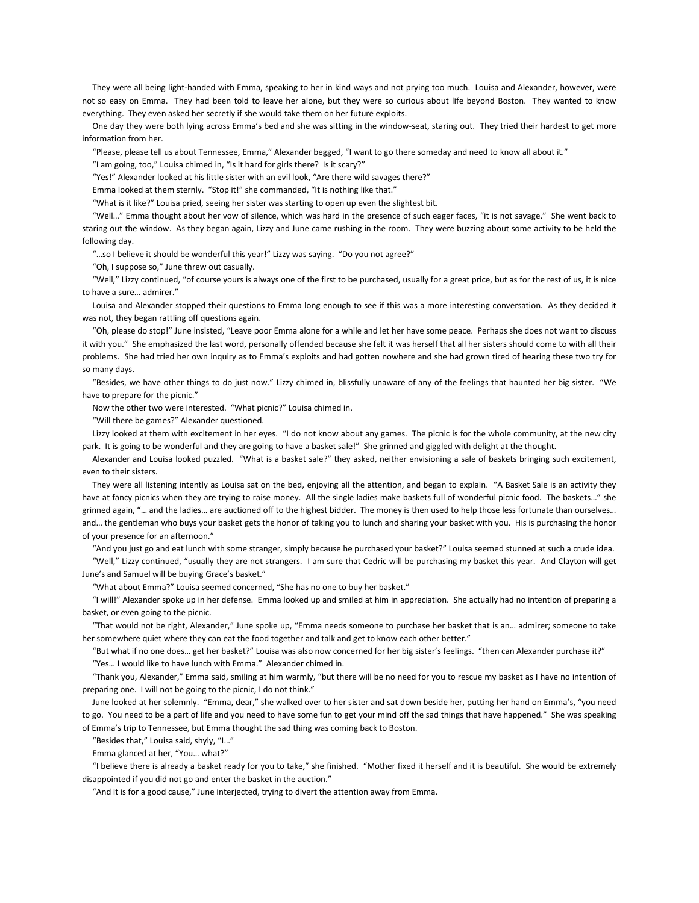They were all being light-handed with Emma, speaking to her in kind ways and not prying too much. Louisa and Alexander, however, were not so easy on Emma. They had been told to leave her alone, but they were so curious about life beyond Boston. They wanted to know everything. They even asked her secretly if she would take them on her future exploits.

 One day they were both lying across Emma's bed and she was sitting in the window-seat, staring out. They tried their hardest to get more information from her.

"Please, please tell us about Tennessee, Emma," Alexander begged, "I want to go there someday and need to know all about it."

"I am going, too," Louisa chimed in, "Is it hard for girls there? Is it scary?"

"Yes!" Alexander looked at his little sister with an evil look, "Are there wild savages there?"

Emma looked at them sternly. "Stop it!" she commanded, "It is nothing like that."

"What is it like?" Louisa pried, seeing her sister was starting to open up even the slightest bit.

 "Well…" Emma thought about her vow of silence, which was hard in the presence of such eager faces, "it is not savage." She went back to staring out the window. As they began again, Lizzy and June came rushing in the room. They were buzzing about some activity to be held the following day.

"…so I believe it should be wonderful this year!" Lizzy was saying. "Do you not agree?"

"Oh, I suppose so," June threw out casually.

 "Well," Lizzy continued, "of course yours is always one of the first to be purchased, usually for a great price, but as for the rest of us, it is nice to have a sure… admirer."

 Louisa and Alexander stopped their questions to Emma long enough to see if this was a more interesting conversation. As they decided it was not, they began rattling off questions again.

 "Oh, please do stop!" June insisted, "Leave poor Emma alone for a while and let her have some peace. Perhaps she does not want to discuss it with you." She emphasized the last word, personally offended because she felt it was herself that all her sisters should come to with all their problems. She had tried her own inquiry as to Emma's exploits and had gotten nowhere and she had grown tired of hearing these two try for so many days.

 "Besides, we have other things to do just now." Lizzy chimed in, blissfully unaware of any of the feelings that haunted her big sister. "We have to prepare for the picnic."

Now the other two were interested. "What picnic?" Louisa chimed in.

"Will there be games?" Alexander questioned.

 Lizzy looked at them with excitement in her eyes. "I do not know about any games. The picnic is for the whole community, at the new city park. It is going to be wonderful and they are going to have a basket sale!" She grinned and giggled with delight at the thought.

 Alexander and Louisa looked puzzled. "What is a basket sale?" they asked, neither envisioning a sale of baskets bringing such excitement, even to their sisters.

 They were all listening intently as Louisa sat on the bed, enjoying all the attention, and began to explain. "A Basket Sale is an activity they have at fancy picnics when they are trying to raise money. All the single ladies make baskets full of wonderful picnic food. The baskets..." she grinned again, "… and the ladies… are auctioned off to the highest bidder. The money is then used to help those less fortunate than ourselves… and… the gentleman who buys your basket gets the honor of taking you to lunch and sharing your basket with you. His is purchasing the honor of your presence for an afternoon."

"And you just go and eat lunch with some stranger, simply because he purchased your basket?" Louisa seemed stunned at such a crude idea.

 "Well," Lizzy continued, "usually they are not strangers. I am sure that Cedric will be purchasing my basket this year. And Clayton will get June's and Samuel will be buying Grace's basket."

"What about Emma?" Louisa seemed concerned, "She has no one to buy her basket."

 "I will!" Alexander spoke up in her defense. Emma looked up and smiled at him in appreciation. She actually had no intention of preparing a basket, or even going to the picnic.

 "That would not be right, Alexander," June spoke up, "Emma needs someone to purchase her basket that is an… admirer; someone to take her somewhere quiet where they can eat the food together and talk and get to know each other better."

"But what if no one does… get her basket?" Louisa was also now concerned for her big sister's feelings. "then can Alexander purchase it?"

"Yes… I would like to have lunch with Emma." Alexander chimed in.

 "Thank you, Alexander," Emma said, smiling at him warmly, "but there will be no need for you to rescue my basket as I have no intention of preparing one. I will not be going to the picnic, I do not think."

 June looked at her solemnly. "Emma, dear," she walked over to her sister and sat down beside her, putting her hand on Emma's, "you need to go. You need to be a part of life and you need to have some fun to get your mind off the sad things that have happened." She was speaking of Emma's trip to Tennessee, but Emma thought the sad thing was coming back to Boston.

"Besides that," Louisa said, shyly, "I…"

Emma glanced at her, "You… what?"

 "I believe there is already a basket ready for you to take," she finished. "Mother fixed it herself and it is beautiful. She would be extremely disappointed if you did not go and enter the basket in the auction."

"And it is for a good cause," June interjected, trying to divert the attention away from Emma.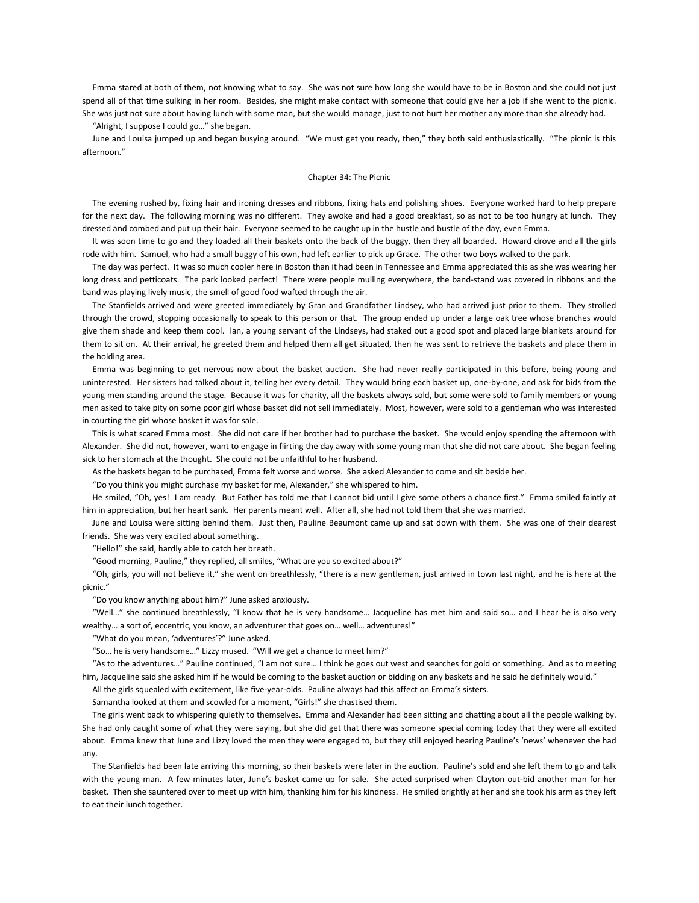Emma stared at both of them, not knowing what to say. She was not sure how long she would have to be in Boston and she could not just spend all of that time sulking in her room. Besides, she might make contact with someone that could give her a job if she went to the picnic. She was just not sure about having lunch with some man, but she would manage, just to not hurt her mother any more than she already had.

"Alright, I suppose I could go…" she began.

 June and Louisa jumped up and began busying around. "We must get you ready, then," they both said enthusiastically. "The picnic is this afternoon."

## Chapter 34: The Picnic

 The evening rushed by, fixing hair and ironing dresses and ribbons, fixing hats and polishing shoes. Everyone worked hard to help prepare for the next day. The following morning was no different. They awoke and had a good breakfast, so as not to be too hungry at lunch. They dressed and combed and put up their hair. Everyone seemed to be caught up in the hustle and bustle of the day, even Emma.

It was soon time to go and they loaded all their baskets onto the back of the buggy, then they all boarded. Howard drove and all the girls rode with him. Samuel, who had a small buggy of his own, had left earlier to pick up Grace. The other two boys walked to the park.

 The day was perfect. It was so much cooler here in Boston than it had been in Tennessee and Emma appreciated this as she was wearing her long dress and petticoats. The park looked perfect! There were people mulling everywhere, the band-stand was covered in ribbons and the band was playing lively music, the smell of good food wafted through the air.

 The Stanfields arrived and were greeted immediately by Gran and Grandfather Lindsey, who had arrived just prior to them. They strolled through the crowd, stopping occasionally to speak to this person or that. The group ended up under a large oak tree whose branches would give them shade and keep them cool. Ian, a young servant of the Lindseys, had staked out a good spot and placed large blankets around for them to sit on. At their arrival, he greeted them and helped them all get situated, then he was sent to retrieve the baskets and place them in the holding area.

 Emma was beginning to get nervous now about the basket auction. She had never really participated in this before, being young and uninterested. Her sisters had talked about it, telling her every detail. They would bring each basket up, one-by-one, and ask for bids from the young men standing around the stage. Because it was for charity, all the baskets always sold, but some were sold to family members or young men asked to take pity on some poor girl whose basket did not sell immediately. Most, however, were sold to a gentleman who was interested in courting the girl whose basket it was for sale.

 This is what scared Emma most. She did not care if her brother had to purchase the basket. She would enjoy spending the afternoon with Alexander. She did not, however, want to engage in flirting the day away with some young man that she did not care about. She began feeling sick to her stomach at the thought. She could not be unfaithful to her husband.

As the baskets began to be purchased, Emma felt worse and worse. She asked Alexander to come and sit beside her.

"Do you think you might purchase my basket for me, Alexander," she whispered to him.

 He smiled, "Oh, yes! I am ready. But Father has told me that I cannot bid until I give some others a chance first." Emma smiled faintly at him in appreciation, but her heart sank. Her parents meant well. After all, she had not told them that she was married.

 June and Louisa were sitting behind them. Just then, Pauline Beaumont came up and sat down with them. She was one of their dearest friends. She was very excited about something.

"Hello!" she said, hardly able to catch her breath.

"Good morning, Pauline," they replied, all smiles, "What are you so excited about?"

 "Oh, girls, you will not believe it," she went on breathlessly, "there is a new gentleman, just arrived in town last night, and he is here at the picnic."

"Do you know anything about him?" June asked anxiously.

 "Well…" she continued breathlessly, "I know that he is very handsome… Jacqueline has met him and said so… and I hear he is also very wealthy… a sort of, eccentric, you know, an adventurer that goes on… well… adventures!"

"What do you mean, 'adventures'?" June asked.

"So… he is very handsome…" Lizzy mused. "Will we get a chance to meet him?"

 "As to the adventures…" Pauline continued, "I am not sure… I think he goes out west and searches for gold or something. And as to meeting him, Jacqueline said she asked him if he would be coming to the basket auction or bidding on any baskets and he said he definitely would."

All the girls squealed with excitement, like five-year-olds. Pauline always had this affect on Emma's sisters.

Samantha looked at them and scowled for a moment, "Girls!" she chastised them.

 The girls went back to whispering quietly to themselves. Emma and Alexander had been sitting and chatting about all the people walking by. She had only caught some of what they were saying, but she did get that there was someone special coming today that they were all excited about. Emma knew that June and Lizzy loved the men they were engaged to, but they still enjoyed hearing Pauline's 'news' whenever she had any.

 The Stanfields had been late arriving this morning, so their baskets were later in the auction. Pauline's sold and she left them to go and talk with the young man. A few minutes later, June's basket came up for sale. She acted surprised when Clayton out-bid another man for her basket. Then she sauntered over to meet up with him, thanking him for his kindness. He smiled brightly at her and she took his arm as they left to eat their lunch together.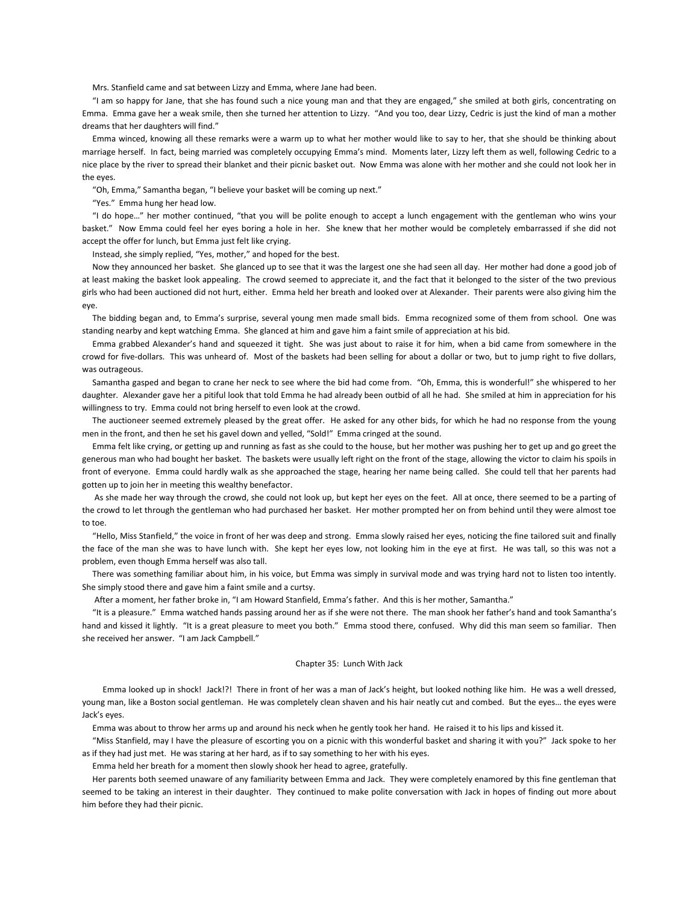Mrs. Stanfield came and sat between Lizzy and Emma, where Jane had been.

 "I am so happy for Jane, that she has found such a nice young man and that they are engaged," she smiled at both girls, concentrating on Emma. Emma gave her a weak smile, then she turned her attention to Lizzy. "And you too, dear Lizzy, Cedric is just the kind of man a mother dreams that her daughters will find."

 Emma winced, knowing all these remarks were a warm up to what her mother would like to say to her, that she should be thinking about marriage herself. In fact, being married was completely occupying Emma's mind. Moments later, Lizzy left them as well, following Cedric to a nice place by the river to spread their blanket and their picnic basket out. Now Emma was alone with her mother and she could not look her in the eyes.

"Oh, Emma," Samantha began, "I believe your basket will be coming up next."

"Yes." Emma hung her head low.

 "I do hope…" her mother continued, "that you will be polite enough to accept a lunch engagement with the gentleman who wins your basket." Now Emma could feel her eyes boring a hole in her. She knew that her mother would be completely embarrassed if she did not accept the offer for lunch, but Emma just felt like crying.

Instead, she simply replied, "Yes, mother," and hoped for the best.

 Now they announced her basket. She glanced up to see that it was the largest one she had seen all day. Her mother had done a good job of at least making the basket look appealing. The crowd seemed to appreciate it, and the fact that it belonged to the sister of the two previous girls who had been auctioned did not hurt, either. Emma held her breath and looked over at Alexander. Their parents were also giving him the eye.

 The bidding began and, to Emma's surprise, several young men made small bids. Emma recognized some of them from school. One was standing nearby and kept watching Emma. She glanced at him and gave him a faint smile of appreciation at his bid.

 Emma grabbed Alexander's hand and squeezed it tight. She was just about to raise it for him, when a bid came from somewhere in the crowd for five-dollars. This was unheard of. Most of the baskets had been selling for about a dollar or two, but to jump right to five dollars, was outrageous.

 Samantha gasped and began to crane her neck to see where the bid had come from. "Oh, Emma, this is wonderful!" she whispered to her daughter. Alexander gave her a pitiful look that told Emma he had already been outbid of all he had. She smiled at him in appreciation for his willingness to try. Emma could not bring herself to even look at the crowd.

 The auctioneer seemed extremely pleased by the great offer. He asked for any other bids, for which he had no response from the young men in the front, and then he set his gavel down and yelled, "Sold!" Emma cringed at the sound.

 Emma felt like crying, or getting up and running as fast as she could to the house, but her mother was pushing her to get up and go greet the generous man who had bought her basket. The baskets were usually left right on the front of the stage, allowing the victor to claim his spoils in front of everyone. Emma could hardly walk as she approached the stage, hearing her name being called. She could tell that her parents had gotten up to join her in meeting this wealthy benefactor.

As she made her way through the crowd, she could not look up, but kept her eyes on the feet. All at once, there seemed to be a parting of the crowd to let through the gentleman who had purchased her basket. Her mother prompted her on from behind until they were almost toe to toe.

 "Hello, Miss Stanfield," the voice in front of her was deep and strong. Emma slowly raised her eyes, noticing the fine tailored suit and finally the face of the man she was to have lunch with. She kept her eyes low, not looking him in the eye at first. He was tall, so this was not a problem, even though Emma herself was also tall.

 There was something familiar about him, in his voice, but Emma was simply in survival mode and was trying hard not to listen too intently. She simply stood there and gave him a faint smile and a curtsy.

After a moment, her father broke in, "I am Howard Stanfield, Emma's father. And this is her mother, Samantha."

 "It is a pleasure." Emma watched hands passing around her as if she were not there. The man shook her father's hand and took Samantha's hand and kissed it lightly. "It is a great pleasure to meet you both." Emma stood there, confused. Why did this man seem so familiar. Then she received her answer. "I am Jack Campbell."

#### Chapter 35: Lunch With Jack

 Emma looked up in shock! Jack!?! There in front of her was a man of Jack's height, but looked nothing like him. He was a well dressed, young man, like a Boston social gentleman. He was completely clean shaven and his hair neatly cut and combed. But the eyes… the eyes were Jack's eyes.

Emma was about to throw her arms up and around his neck when he gently took her hand. He raised it to his lips and kissed it.

 "Miss Stanfield, may I have the pleasure of escorting you on a picnic with this wonderful basket and sharing it with you?" Jack spoke to her as if they had just met. He was staring at her hard, as if to say something to her with his eyes.

Emma held her breath for a moment then slowly shook her head to agree, gratefully.

 Her parents both seemed unaware of any familiarity between Emma and Jack. They were completely enamored by this fine gentleman that seemed to be taking an interest in their daughter. They continued to make polite conversation with Jack in hopes of finding out more about him before they had their picnic.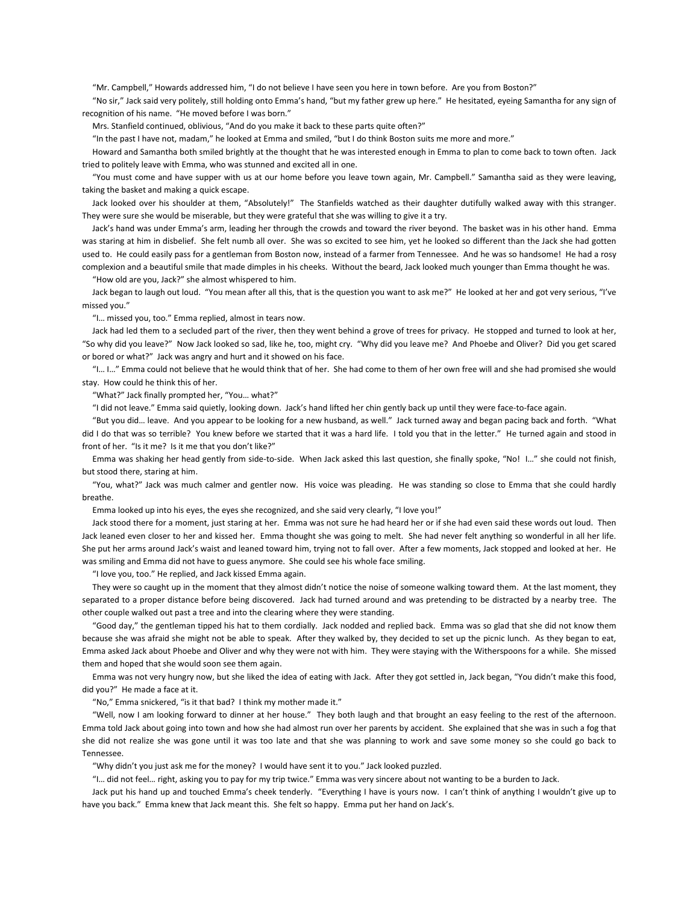"Mr. Campbell," Howards addressed him, "I do not believe I have seen you here in town before. Are you from Boston?"

 "No sir," Jack said very politely, still holding onto Emma's hand, "but my father grew up here." He hesitated, eyeing Samantha for any sign of recognition of his name. "He moved before I was born."

Mrs. Stanfield continued, oblivious, "And do you make it back to these parts quite often?"

"In the past I have not, madam," he looked at Emma and smiled, "but I do think Boston suits me more and more."

 Howard and Samantha both smiled brightly at the thought that he was interested enough in Emma to plan to come back to town often. Jack tried to politely leave with Emma, who was stunned and excited all in one.

 "You must come and have supper with us at our home before you leave town again, Mr. Campbell." Samantha said as they were leaving, taking the basket and making a quick escape.

 Jack looked over his shoulder at them, "Absolutely!" The Stanfields watched as their daughter dutifully walked away with this stranger. They were sure she would be miserable, but they were grateful that she was willing to give it a try.

 Jack's hand was under Emma's arm, leading her through the crowds and toward the river beyond. The basket was in his other hand. Emma was staring at him in disbelief. She felt numb all over. She was so excited to see him, yet he looked so different than the Jack she had gotten used to. He could easily pass for a gentleman from Boston now, instead of a farmer from Tennessee. And he was so handsome! He had a rosy complexion and a beautiful smile that made dimples in his cheeks. Without the beard, Jack looked much younger than Emma thought he was.

"How old are you, Jack?" she almost whispered to him.

 Jack began to laugh out loud. "You mean after all this, that is the question you want to ask me?" He looked at her and got very serious, "I've missed you."

"I… missed you, too." Emma replied, almost in tears now.

 Jack had led them to a secluded part of the river, then they went behind a grove of trees for privacy. He stopped and turned to look at her, "So why did you leave?" Now Jack looked so sad, like he, too, might cry. "Why did you leave me? And Phoebe and Oliver? Did you get scared or bored or what?" Jack was angry and hurt and it showed on his face.

 "I… I…" Emma could not believe that he would think that of her. She had come to them of her own free will and she had promised she would stay. How could he think this of her.

"What?" Jack finally prompted her, "You… what?"

"I did not leave." Emma said quietly, looking down. Jack's hand lifted her chin gently back up until they were face-to-face again.

 "But you did… leave. And you appear to be looking for a new husband, as well." Jack turned away and began pacing back and forth. "What did I do that was so terrible? You knew before we started that it was a hard life. I told you that in the letter." He turned again and stood in front of her. "Is it me? Is it me that you don't like?"

 Emma was shaking her head gently from side-to-side. When Jack asked this last question, she finally spoke, "No! I…" she could not finish, but stood there, staring at him.

 "You, what?" Jack was much calmer and gentler now. His voice was pleading. He was standing so close to Emma that she could hardly breathe.

Emma looked up into his eyes, the eyes she recognized, and she said very clearly, "I love you!"

 Jack stood there for a moment, just staring at her. Emma was not sure he had heard her or if she had even said these words out loud. Then Jack leaned even closer to her and kissed her. Emma thought she was going to melt. She had never felt anything so wonderful in all her life. She put her arms around Jack's waist and leaned toward him, trying not to fall over. After a few moments, Jack stopped and looked at her. He was smiling and Emma did not have to guess anymore. She could see his whole face smiling.

"I love you, too." He replied, and Jack kissed Emma again.

 They were so caught up in the moment that they almost didn't notice the noise of someone walking toward them. At the last moment, they separated to a proper distance before being discovered. Jack had turned around and was pretending to be distracted by a nearby tree. The other couple walked out past a tree and into the clearing where they were standing.

 "Good day," the gentleman tipped his hat to them cordially. Jack nodded and replied back. Emma was so glad that she did not know them because she was afraid she might not be able to speak. After they walked by, they decided to set up the picnic lunch. As they began to eat, Emma asked Jack about Phoebe and Oliver and why they were not with him. They were staying with the Witherspoons for a while. She missed them and hoped that she would soon see them again.

 Emma was not very hungry now, but she liked the idea of eating with Jack. After they got settled in, Jack began, "You didn't make this food, did you?" He made a face at it.

"No," Emma snickered, "is it that bad? I think my mother made it."

 "Well, now I am looking forward to dinner at her house." They both laugh and that brought an easy feeling to the rest of the afternoon. Emma told Jack about going into town and how she had almost run over her parents by accident. She explained that she was in such a fog that she did not realize she was gone until it was too late and that she was planning to work and save some money so she could go back to Tennessee.

"Why didn't you just ask me for the money? I would have sent it to you." Jack looked puzzled.

"I… did not feel… right, asking you to pay for my trip twice." Emma was very sincere about not wanting to be a burden to Jack.

 Jack put his hand up and touched Emma's cheek tenderly. "Everything I have is yours now. I can't think of anything I wouldn't give up to have you back." Emma knew that Jack meant this. She felt so happy. Emma put her hand on Jack's.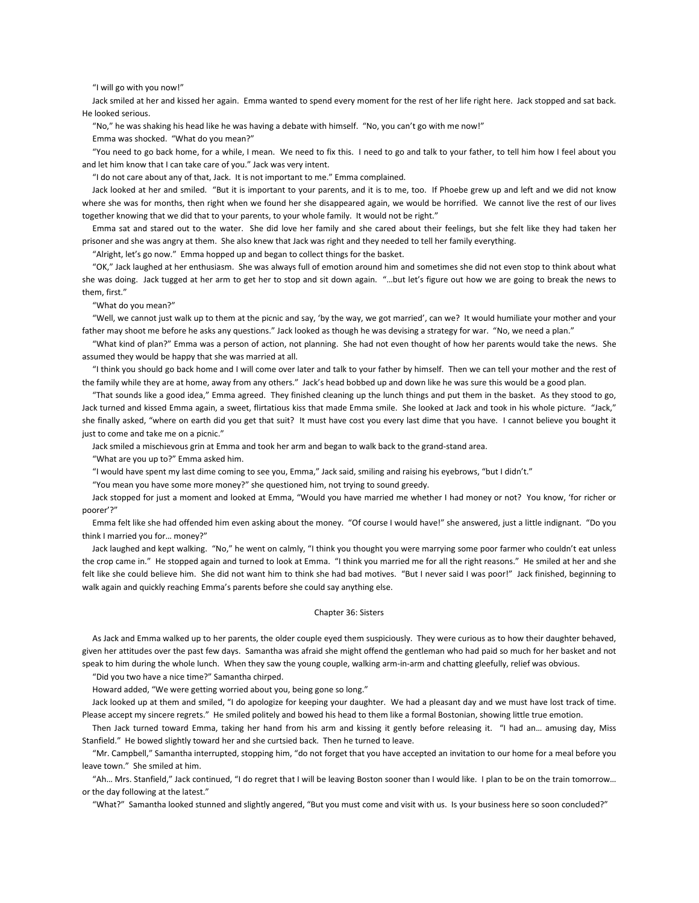## "I will go with you now!"

 Jack smiled at her and kissed her again. Emma wanted to spend every moment for the rest of her life right here. Jack stopped and sat back. He looked serious.

"No," he was shaking his head like he was having a debate with himself. "No, you can't go with me now!"

Emma was shocked. "What do you mean?"

 "You need to go back home, for a while, I mean. We need to fix this. I need to go and talk to your father, to tell him how I feel about you and let him know that I can take care of you." Jack was very intent.

"I do not care about any of that, Jack. It is not important to me." Emma complained.

 Jack looked at her and smiled. "But it is important to your parents, and it is to me, too. If Phoebe grew up and left and we did not know where she was for months, then right when we found her she disappeared again, we would be horrified. We cannot live the rest of our lives together knowing that we did that to your parents, to your whole family. It would not be right."

 Emma sat and stared out to the water. She did love her family and she cared about their feelings, but she felt like they had taken her prisoner and she was angry at them. She also knew that Jack was right and they needed to tell her family everything.

"Alright, let's go now." Emma hopped up and began to collect things for the basket.

 "OK," Jack laughed at her enthusiasm. She was always full of emotion around him and sometimes she did not even stop to think about what she was doing. Jack tugged at her arm to get her to stop and sit down again. "…but let's figure out how we are going to break the news to them, first."

"What do you mean?"

 "Well, we cannot just walk up to them at the picnic and say, 'by the way, we got married', can we? It would humiliate your mother and your father may shoot me before he asks any questions." Jack looked as though he was devising a strategy for war. "No, we need a plan."

 "What kind of plan?" Emma was a person of action, not planning. She had not even thought of how her parents would take the news. She assumed they would be happy that she was married at all.

 "I think you should go back home and I will come over later and talk to your father by himself. Then we can tell your mother and the rest of the family while they are at home, away from any others." Jack's head bobbed up and down like he was sure this would be a good plan.

 "That sounds like a good idea," Emma agreed. They finished cleaning up the lunch things and put them in the basket. As they stood to go, Jack turned and kissed Emma again, a sweet, flirtatious kiss that made Emma smile. She looked at Jack and took in his whole picture. "Jack," she finally asked, "where on earth did you get that suit? It must have cost you every last dime that you have. I cannot believe you bought it just to come and take me on a picnic."

Jack smiled a mischievous grin at Emma and took her arm and began to walk back to the grand-stand area.

"What are you up to?" Emma asked him.

"I would have spent my last dime coming to see you, Emma," Jack said, smiling and raising his eyebrows, "but I didn't."

"You mean you have some more money?" she questioned him, not trying to sound greedy.

 Jack stopped for just a moment and looked at Emma, "Would you have married me whether I had money or not? You know, 'for richer or poorer'?"

 Emma felt like she had offended him even asking about the money. "Of course I would have!" she answered, just a little indignant. "Do you think I married you for… money?"

 Jack laughed and kept walking. "No," he went on calmly, "I think you thought you were marrying some poor farmer who couldn't eat unless the crop came in." He stopped again and turned to look at Emma. "I think you married me for all the right reasons." He smiled at her and she felt like she could believe him. She did not want him to think she had bad motives. "But I never said I was poor!" Jack finished, beginning to walk again and quickly reaching Emma's parents before she could say anything else.

### Chapter 36: Sisters

 As Jack and Emma walked up to her parents, the older couple eyed them suspiciously. They were curious as to how their daughter behaved, given her attitudes over the past few days. Samantha was afraid she might offend the gentleman who had paid so much for her basket and not speak to him during the whole lunch. When they saw the young couple, walking arm-in-arm and chatting gleefully, relief was obvious.

"Did you two have a nice time?" Samantha chirped.

Howard added, "We were getting worried about you, being gone so long."

 Jack looked up at them and smiled, "I do apologize for keeping your daughter. We had a pleasant day and we must have lost track of time. Please accept my sincere regrets." He smiled politely and bowed his head to them like a formal Bostonian, showing little true emotion.

 Then Jack turned toward Emma, taking her hand from his arm and kissing it gently before releasing it. "I had an… amusing day, Miss Stanfield." He bowed slightly toward her and she curtsied back. Then he turned to leave.

 "Mr. Campbell," Samantha interrupted, stopping him, "do not forget that you have accepted an invitation to our home for a meal before you leave town." She smiled at him.

 "Ah… Mrs. Stanfield," Jack continued, "I do regret that I will be leaving Boston sooner than I would like. I plan to be on the train tomorrow… or the day following at the latest."

"What?" Samantha looked stunned and slightly angered, "But you must come and visit with us. Is your business here so soon concluded?"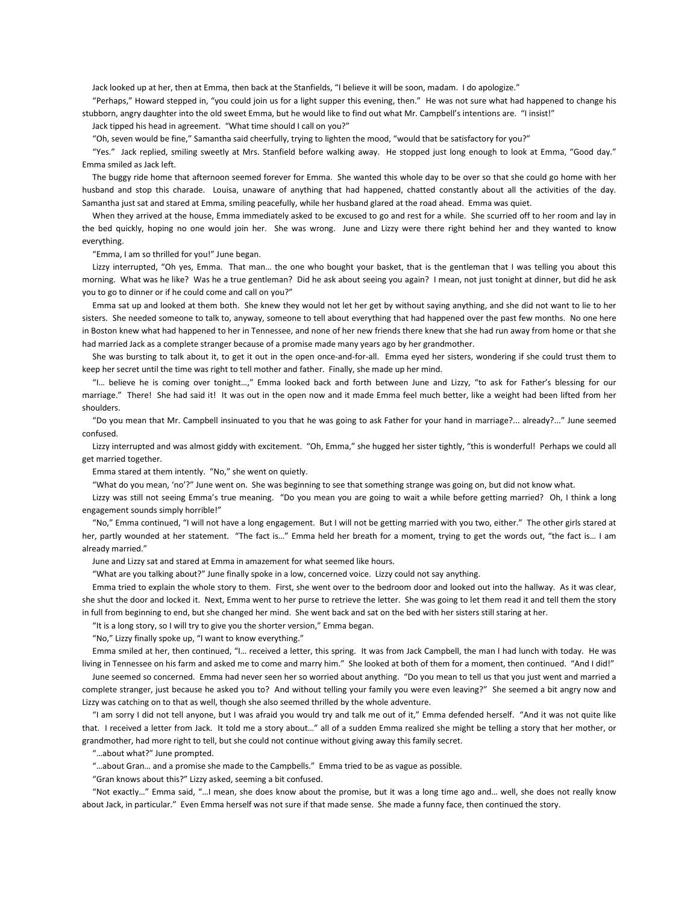Jack looked up at her, then at Emma, then back at the Stanfields, "I believe it will be soon, madam. I do apologize."

 "Perhaps," Howard stepped in, "you could join us for a light supper this evening, then." He was not sure what had happened to change his stubborn, angry daughter into the old sweet Emma, but he would like to find out what Mr. Campbell's intentions are. "I insist!"

Jack tipped his head in agreement. "What time should I call on you?"

"Oh, seven would be fine," Samantha said cheerfully, trying to lighten the mood, "would that be satisfactory for you?"

 "Yes." Jack replied, smiling sweetly at Mrs. Stanfield before walking away. He stopped just long enough to look at Emma, "Good day." Emma smiled as Jack left.

 The buggy ride home that afternoon seemed forever for Emma. She wanted this whole day to be over so that she could go home with her husband and stop this charade. Louisa, unaware of anything that had happened, chatted constantly about all the activities of the day. Samantha just sat and stared at Emma, smiling peacefully, while her husband glared at the road ahead. Emma was quiet.

 When they arrived at the house, Emma immediately asked to be excused to go and rest for a while. She scurried off to her room and lay in the bed quickly, hoping no one would join her. She was wrong. June and Lizzy were there right behind her and they wanted to know everything.

"Emma, I am so thrilled for you!" June began.

 Lizzy interrupted, "Oh yes, Emma. That man… the one who bought your basket, that is the gentleman that I was telling you about this morning. What was he like? Was he a true gentleman? Did he ask about seeing you again? I mean, not just tonight at dinner, but did he ask you to go to dinner or if he could come and call on you?"

 Emma sat up and looked at them both. She knew they would not let her get by without saying anything, and she did not want to lie to her sisters. She needed someone to talk to, anyway, someone to tell about everything that had happened over the past few months. No one here in Boston knew what had happened to her in Tennessee, and none of her new friends there knew that she had run away from home or that she had married Jack as a complete stranger because of a promise made many years ago by her grandmother.

 She was bursting to talk about it, to get it out in the open once-and-for-all. Emma eyed her sisters, wondering if she could trust them to keep her secret until the time was right to tell mother and father. Finally, she made up her mind.

 "I… believe he is coming over tonight…," Emma looked back and forth between June and Lizzy, "to ask for Father's blessing for our marriage." There! She had said it! It was out in the open now and it made Emma feel much better, like a weight had been lifted from her shoulders.

 "Do you mean that Mr. Campbell insinuated to you that he was going to ask Father for your hand in marriage?... already?..." June seemed confused.

 Lizzy interrupted and was almost giddy with excitement. "Oh, Emma," she hugged her sister tightly, "this is wonderful! Perhaps we could all get married together.

Emma stared at them intently. "No," she went on quietly.

"What do you mean, 'no'?" June went on. She was beginning to see that something strange was going on, but did not know what.

 Lizzy was still not seeing Emma's true meaning. "Do you mean you are going to wait a while before getting married? Oh, I think a long engagement sounds simply horrible!"

 "No," Emma continued, "I will not have a long engagement. But I will not be getting married with you two, either." The other girls stared at her, partly wounded at her statement. "The fact is…" Emma held her breath for a moment, trying to get the words out, "the fact is… I am already married."

June and Lizzy sat and stared at Emma in amazement for what seemed like hours.

"What are you talking about?" June finally spoke in a low, concerned voice. Lizzy could not say anything.

 Emma tried to explain the whole story to them. First, she went over to the bedroom door and looked out into the hallway. As it was clear, she shut the door and locked it. Next, Emma went to her purse to retrieve the letter. She was going to let them read it and tell them the story in full from beginning to end, but she changed her mind. She went back and sat on the bed with her sisters still staring at her.

"It is a long story, so I will try to give you the shorter version," Emma began.

"No," Lizzy finally spoke up, "I want to know everything."

 Emma smiled at her, then continued, "I… received a letter, this spring. It was from Jack Campbell, the man I had lunch with today. He was living in Tennessee on his farm and asked me to come and marry him." She looked at both of them for a moment, then continued. "And I did!"

 June seemed so concerned. Emma had never seen her so worried about anything. "Do you mean to tell us that you just went and married a complete stranger, just because he asked you to? And without telling your family you were even leaving?" She seemed a bit angry now and Lizzy was catching on to that as well, though she also seemed thrilled by the whole adventure.

 "I am sorry I did not tell anyone, but I was afraid you would try and talk me out of it," Emma defended herself. "And it was not quite like that. I received a letter from Jack. It told me a story about…" all of a sudden Emma realized she might be telling a story that her mother, or grandmother, had more right to tell, but she could not continue without giving away this family secret.

"…about what?" June prompted.

"…about Gran… and a promise she made to the Campbells." Emma tried to be as vague as possible.

"Gran knows about this?" Lizzy asked, seeming a bit confused.

 "Not exactly…" Emma said, "…I mean, she does know about the promise, but it was a long time ago and… well, she does not really know about Jack, in particular." Even Emma herself was not sure if that made sense. She made a funny face, then continued the story.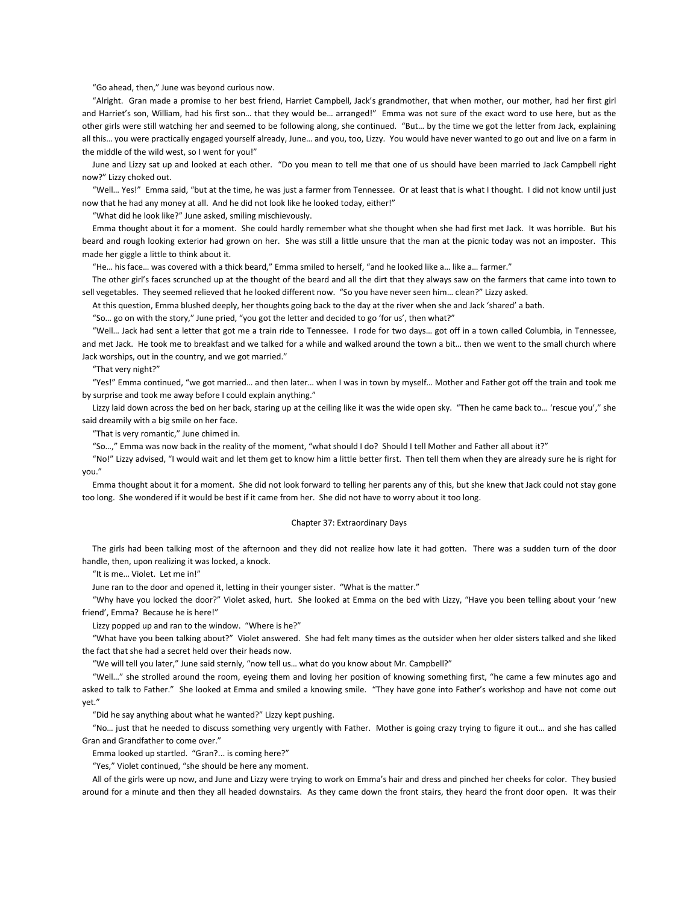"Go ahead, then," June was beyond curious now.

 "Alright. Gran made a promise to her best friend, Harriet Campbell, Jack's grandmother, that when mother, our mother, had her first girl and Harriet's son, William, had his first son… that they would be… arranged!" Emma was not sure of the exact word to use here, but as the other girls were still watching her and seemed to be following along, she continued. "But… by the time we got the letter from Jack, explaining all this… you were practically engaged yourself already, June… and you, too, Lizzy. You would have never wanted to go out and live on a farm in the middle of the wild west, so I went for you!"

 June and Lizzy sat up and looked at each other. "Do you mean to tell me that one of us should have been married to Jack Campbell right now?" Lizzy choked out.

 "Well… Yes!" Emma said, "but at the time, he was just a farmer from Tennessee. Or at least that is what I thought. I did not know until just now that he had any money at all. And he did not look like he looked today, either!"

"What did he look like?" June asked, smiling mischievously.

 Emma thought about it for a moment. She could hardly remember what she thought when she had first met Jack. It was horrible. But his beard and rough looking exterior had grown on her. She was still a little unsure that the man at the picnic today was not an imposter. This made her giggle a little to think about it.

"He… his face… was covered with a thick beard," Emma smiled to herself, "and he looked like a… like a… farmer."

 The other girl's faces scrunched up at the thought of the beard and all the dirt that they always saw on the farmers that came into town to sell vegetables. They seemed relieved that he looked different now. "So you have never seen him… clean?" Lizzy asked.

At this question, Emma blushed deeply, her thoughts going back to the day at the river when she and Jack 'shared' a bath.

"So… go on with the story," June pried, "you got the letter and decided to go 'for us', then what?"

 "Well… Jack had sent a letter that got me a train ride to Tennessee. I rode for two days… got off in a town called Columbia, in Tennessee, and met Jack. He took me to breakfast and we talked for a while and walked around the town a bit… then we went to the small church where Jack worships, out in the country, and we got married."

"That very night?"

 "Yes!" Emma continued, "we got married… and then later… when I was in town by myself… Mother and Father got off the train and took me by surprise and took me away before I could explain anything."

 Lizzy laid down across the bed on her back, staring up at the ceiling like it was the wide open sky. "Then he came back to… 'rescue you'," she said dreamily with a big smile on her face.

"That is very romantic," June chimed in.

"So…," Emma was now back in the reality of the moment, "what should I do? Should I tell Mother and Father all about it?"

 "No!" Lizzy advised, "I would wait and let them get to know him a little better first. Then tell them when they are already sure he is right for you."

 Emma thought about it for a moment. She did not look forward to telling her parents any of this, but she knew that Jack could not stay gone too long. She wondered if it would be best if it came from her. She did not have to worry about it too long.

### Chapter 37: Extraordinary Days

 The girls had been talking most of the afternoon and they did not realize how late it had gotten. There was a sudden turn of the door handle, then, upon realizing it was locked, a knock.

"It is me… Violet. Let me in!"

June ran to the door and opened it, letting in their younger sister. "What is the matter."

 "Why have you locked the door?" Violet asked, hurt. She looked at Emma on the bed with Lizzy, "Have you been telling about your 'new friend', Emma? Because he is here!"

Lizzy popped up and ran to the window. "Where is he?"

 "What have you been talking about?" Violet answered. She had felt many times as the outsider when her older sisters talked and she liked the fact that she had a secret held over their heads now.

"We will tell you later," June said sternly, "now tell us… what do you know about Mr. Campbell?"

 "Well…" she strolled around the room, eyeing them and loving her position of knowing something first, "he came a few minutes ago and asked to talk to Father." She looked at Emma and smiled a knowing smile. "They have gone into Father's workshop and have not come out yet."

"Did he say anything about what he wanted?" Lizzy kept pushing.

 "No… just that he needed to discuss something very urgently with Father. Mother is going crazy trying to figure it out… and she has called Gran and Grandfather to come over."

Emma looked up startled. "Gran?... is coming here?"

"Yes," Violet continued, "she should be here any moment.

 All of the girls were up now, and June and Lizzy were trying to work on Emma's hair and dress and pinched her cheeks for color. They busied around for a minute and then they all headed downstairs. As they came down the front stairs, they heard the front door open. It was their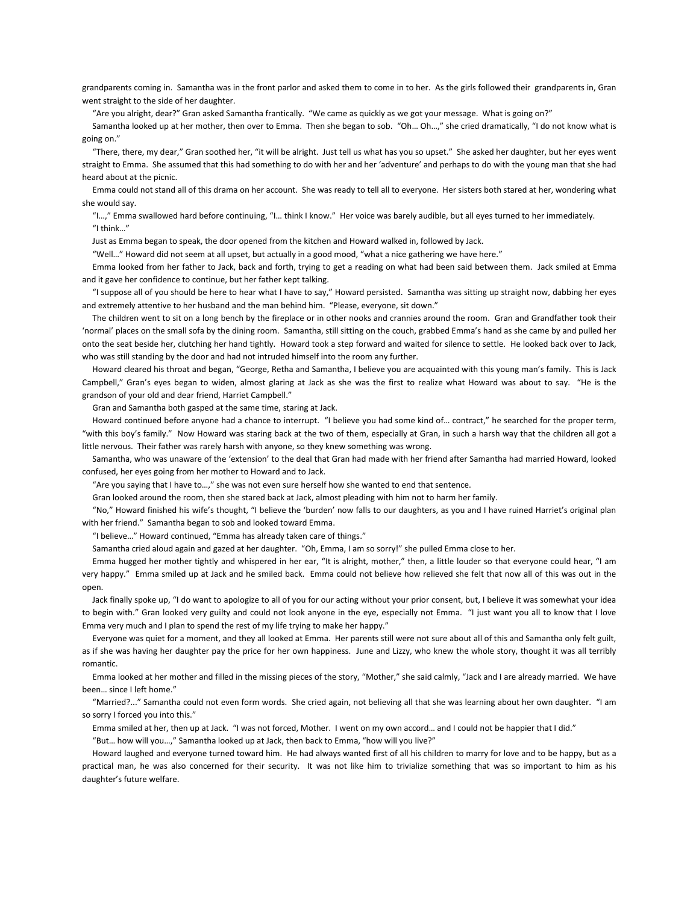grandparents coming in. Samantha was in the front parlor and asked them to come in to her. As the girls followed their grandparents in, Gran went straight to the side of her daughter.

"Are you alright, dear?" Gran asked Samantha frantically. "We came as quickly as we got your message. What is going on?"

Samantha looked up at her mother, then over to Emma. Then she began to sob. "Oh... Oh...," she cried dramatically, "I do not know what is going on."

 "There, there, my dear," Gran soothed her, "it will be alright. Just tell us what has you so upset." She asked her daughter, but her eyes went straight to Emma. She assumed that this had something to do with her and her 'adventure' and perhaps to do with the young man that she had heard about at the picnic.

 Emma could not stand all of this drama on her account. She was ready to tell all to everyone. Her sisters both stared at her, wondering what she would say.

 "I…," Emma swallowed hard before continuing, "I… think I know." Her voice was barely audible, but all eyes turned to her immediately. "I think…"

Just as Emma began to speak, the door opened from the kitchen and Howard walked in, followed by Jack.

"Well…" Howard did not seem at all upset, but actually in a good mood, "what a nice gathering we have here."

 Emma looked from her father to Jack, back and forth, trying to get a reading on what had been said between them. Jack smiled at Emma and it gave her confidence to continue, but her father kept talking.

 "I suppose all of you should be here to hear what I have to say," Howard persisted. Samantha was sitting up straight now, dabbing her eyes and extremely attentive to her husband and the man behind him. "Please, everyone, sit down."

 The children went to sit on a long bench by the fireplace or in other nooks and crannies around the room. Gran and Grandfather took their 'normal' places on the small sofa by the dining room. Samantha, still sitting on the couch, grabbed Emma's hand as she came by and pulled her onto the seat beside her, clutching her hand tightly. Howard took a step forward and waited for silence to settle. He looked back over to Jack, who was still standing by the door and had not intruded himself into the room any further.

 Howard cleared his throat and began, "George, Retha and Samantha, I believe you are acquainted with this young man's family. This is Jack Campbell," Gran's eyes began to widen, almost glaring at Jack as she was the first to realize what Howard was about to say. "He is the grandson of your old and dear friend, Harriet Campbell."

Gran and Samantha both gasped at the same time, staring at Jack.

 Howard continued before anyone had a chance to interrupt. "I believe you had some kind of… contract," he searched for the proper term, "with this boy's family." Now Howard was staring back at the two of them, especially at Gran, in such a harsh way that the children all got a little nervous. Their father was rarely harsh with anyone, so they knew something was wrong.

 Samantha, who was unaware of the 'extension' to the deal that Gran had made with her friend after Samantha had married Howard, looked confused, her eyes going from her mother to Howard and to Jack.

"Are you saying that I have to…," she was not even sure herself how she wanted to end that sentence.

Gran looked around the room, then she stared back at Jack, almost pleading with him not to harm her family.

 "No," Howard finished his wife's thought, "I believe the 'burden' now falls to our daughters, as you and I have ruined Harriet's original plan with her friend." Samantha began to sob and looked toward Emma.

"I believe…" Howard continued, "Emma has already taken care of things."

Samantha cried aloud again and gazed at her daughter. "Oh, Emma, I am so sorry!" she pulled Emma close to her.

 Emma hugged her mother tightly and whispered in her ear, "It is alright, mother," then, a little louder so that everyone could hear, "I am very happy." Emma smiled up at Jack and he smiled back. Emma could not believe how relieved she felt that now all of this was out in the open.

 Jack finally spoke up, "I do want to apologize to all of you for our acting without your prior consent, but, I believe it was somewhat your idea to begin with." Gran looked very guilty and could not look anyone in the eye, especially not Emma. "I just want you all to know that I love Emma very much and I plan to spend the rest of my life trying to make her happy."

 Everyone was quiet for a moment, and they all looked at Emma. Her parents still were not sure about all of this and Samantha only felt guilt, as if she was having her daughter pay the price for her own happiness. June and Lizzy, who knew the whole story, thought it was all terribly romantic.

 Emma looked at her mother and filled in the missing pieces of the story, "Mother," she said calmly, "Jack and I are already married. We have been… since I left home."

 "Married?..." Samantha could not even form words. She cried again, not believing all that she was learning about her own daughter. "I am so sorry I forced you into this."

Emma smiled at her, then up at Jack. "I was not forced, Mother. I went on my own accord… and I could not be happier that I did."

"But… how will you…," Samantha looked up at Jack, then back to Emma, "how will you live?"

 Howard laughed and everyone turned toward him. He had always wanted first of all his children to marry for love and to be happy, but as a practical man, he was also concerned for their security. It was not like him to trivialize something that was so important to him as his daughter's future welfare.